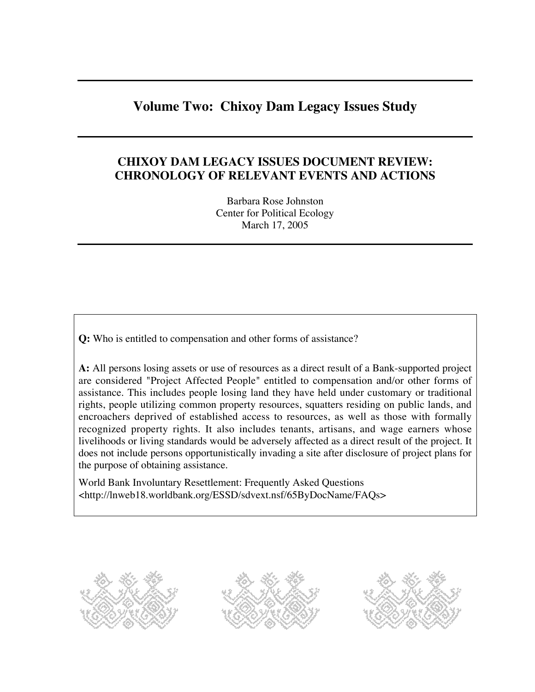# **Volume Two: Chixoy Dam Legacy Issues Study**

## **CHIXOY DAM LEGACY ISSUES DOCUMENT REVIEW: CHRONOLOGY OF RELEVANT EVENTS AND ACTIONS**

Barbara Rose Johnston Center for Political Ecology March 17, 2005

**Q:** Who is entitled to compensation and other forms of assistance?

**A:** All persons losing assets or use of resources as a direct result of a Bank-supported project are considered "Project Affected People" entitled to compensation and/or other forms of assistance. This includes people losing land they have held under customary or traditional rights, people utilizing common property resources, squatters residing on public lands, and encroachers deprived of established access to resources, as well as those with formally recognized property rights. It also includes tenants, artisans, and wage earners whose livelihoods or living standards would be adversely affected as a direct result of the project. It does not include persons opportunistically invading a site after disclosure of project plans for the purpose of obtaining assistance.

World Bank Involuntary Resettlement: Frequently Asked Questions <http://lnweb18.worldbank.org/ESSD/sdvext.nsf/65ByDocName/FAQs>

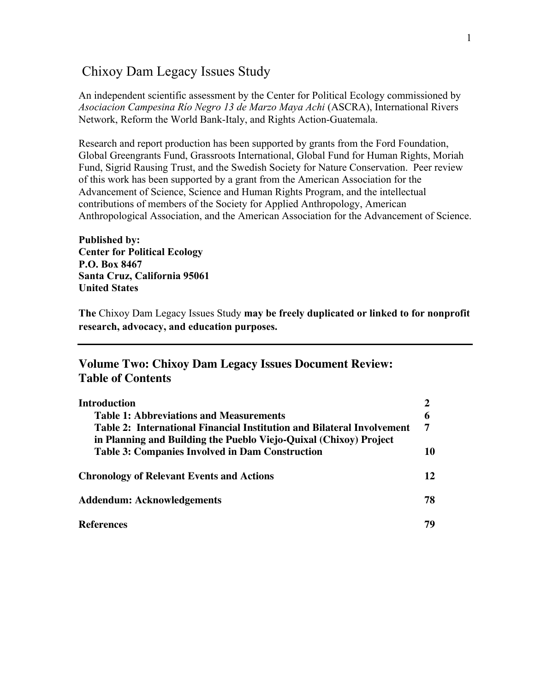## Chixoy Dam Legacy Issues Study

An independent scientific assessment by the Center for Political Ecology commissioned by *Asociacion Campesina Río Negro 13 de Marzo Maya Achi* (ASCRA), International Rivers Network, Reform the World Bank-Italy, and Rights Action-Guatemala.

Research and report production has been supported by grants from the Ford Foundation, Global Greengrants Fund, Grassroots International, Global Fund for Human Rights, Moriah Fund, Sigrid Rausing Trust, and the Swedish Society for Nature Conservation. Peer review of this work has been supported by a grant from the American Association for the Advancement of Science, Science and Human Rights Program, and the intellectual contributions of members of the Society for Applied Anthropology, American Anthropological Association, and the American Association for the Advancement of Science.

**Published by: Center for Political Ecology P.O. Box 8467 Santa Cruz, California 95061 United States**

**The** Chixoy Dam Legacy Issues Study **may be freely duplicated or linked to for nonprofit research, advocacy, and education purposes.** 

#### **Volume Two: Chixoy Dam Legacy Issues Document Review: Table of Contents**

| Introduction                                                           |    |
|------------------------------------------------------------------------|----|
| <b>Table 1: Abbreviations and Measurements</b>                         |    |
| Table 2: International Financial Institution and Bilateral Involvement |    |
| in Planning and Building the Pueblo Viejo-Quixal (Chixoy) Project      |    |
| <b>Table 3: Companies Involved in Dam Construction</b>                 | 10 |
| <b>Chronology of Relevant Events and Actions</b>                       | 12 |
| <b>Addendum: Acknowledgements</b>                                      | 78 |
| <b>References</b>                                                      | 79 |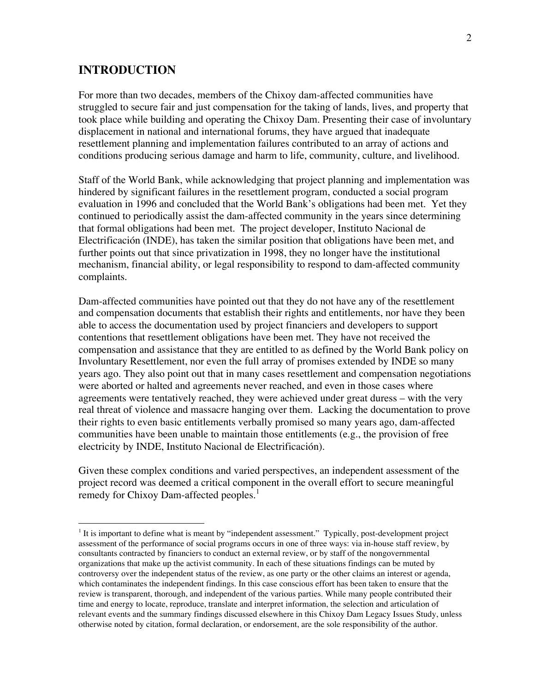#### **INTRODUCTION**

 $\overline{a}$ 

For more than two decades, members of the Chixoy dam-affected communities have struggled to secure fair and just compensation for the taking of lands, lives, and property that took place while building and operating the Chixoy Dam. Presenting their case of involuntary displacement in national and international forums, they have argued that inadequate resettlement planning and implementation failures contributed to an array of actions and conditions producing serious damage and harm to life, community, culture, and livelihood.

Staff of the World Bank, while acknowledging that project planning and implementation was hindered by significant failures in the resettlement program, conducted a social program evaluation in 1996 and concluded that the World Bank's obligations had been met. Yet they continued to periodically assist the dam-affected community in the years since determining that formal obligations had been met. The project developer, Instituto Nacional de Electrificación (INDE), has taken the similar position that obligations have been met, and further points out that since privatization in 1998, they no longer have the institutional mechanism, financial ability, or legal responsibility to respond to dam-affected community complaints.

Dam-affected communities have pointed out that they do not have any of the resettlement and compensation documents that establish their rights and entitlements, nor have they been able to access the documentation used by project financiers and developers to support contentions that resettlement obligations have been met. They have not received the compensation and assistance that they are entitled to as defined by the World Bank policy on Involuntary Resettlement, nor even the full array of promises extended by INDE so many years ago. They also point out that in many cases resettlement and compensation negotiations were aborted or halted and agreements never reached, and even in those cases where agreements were tentatively reached, they were achieved under great duress – with the very real threat of violence and massacre hanging over them. Lacking the documentation to prove their rights to even basic entitlements verbally promised so many years ago, dam-affected communities have been unable to maintain those entitlements (e.g., the provision of free electricity by INDE, Instituto Nacional de Electrificación).

Given these complex conditions and varied perspectives, an independent assessment of the project record was deemed a critical component in the overall effort to secure meaningful remedy for Chixoy Dam-affected peoples.<sup>1</sup>

<sup>&</sup>lt;sup>1</sup> It is important to define what is meant by "independent assessment." Typically, post-development project assessment of the performance of social programs occurs in one of three ways: via in-house staff review, by consultants contracted by financiers to conduct an external review, or by staff of the nongovernmental organizations that make up the activist community. In each of these situations findings can be muted by controversy over the independent status of the review, as one party or the other claims an interest or agenda, which contaminates the independent findings. In this case conscious effort has been taken to ensure that the review is transparent, thorough, and independent of the various parties. While many people contributed their time and energy to locate, reproduce, translate and interpret information, the selection and articulation of relevant events and the summary findings discussed elsewhere in this Chixoy Dam Legacy Issues Study, unless otherwise noted by citation, formal declaration, or endorsement, are the sole responsibility of the author.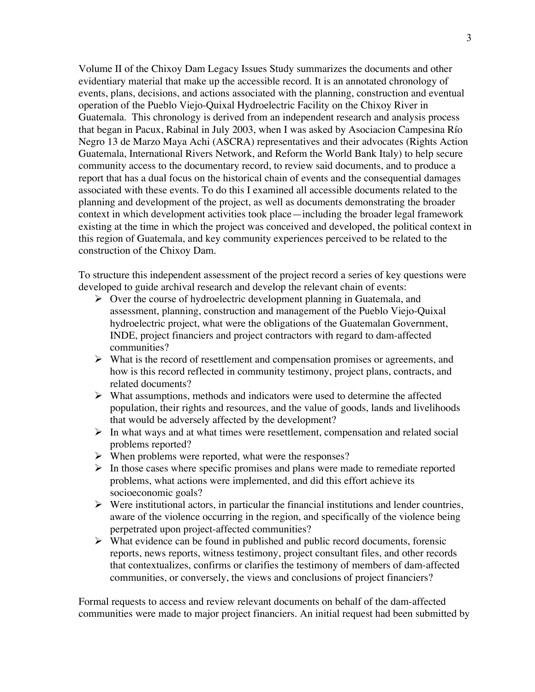Volume II of the Chixoy Dam Legacy Issues Study summarizes the documents and other evidentiary material that make up the accessible record. It is an annotated chronology of events, plans, decisions, and actions associated with the planning, construction and eventual operation of the Pueblo Viejo-Quixal Hydroelectric Facility on the Chixoy River in Guatemala. This chronology is derived from an independent research and analysis process that began in Pacux, Rabinal in July 2003, when I was asked by Asociacion Campesina Río Negro 13 de Marzo Maya Achi (ASCRA) representatives and their advocates (Rights Action Guatemala, International Rivers Network, and Reform the World Bank Italy) to help secure community access to the documentary record, to review said documents, and to produce a report that has a dual focus on the historical chain of events and the consequential damages associated with these events. To do this I examined all accessible documents related to the planning and development of the project, as well as documents demonstrating the broader context in which development activities took place—including the broader legal framework existing at the time in which the project was conceived and developed, the political context in this region of Guatemala, and key community experiences perceived to be related to the construction of the Chixoy Dam.

To structure this independent assessment of the project record a series of key questions were developed to guide archival research and develop the relevant chain of events:

- $\triangleright$  Over the course of hydroelectric development planning in Guatemala, and assessment, planning, construction and management of the Pueblo Viejo-Quixal hydroelectric project, what were the obligations of the Guatemalan Government, INDE, project financiers and project contractors with regard to dam-affected communities?
- $\triangleright$  What is the record of resettlement and compensation promises or agreements, and how is this record reflected in community testimony, project plans, contracts, and related documents?
- $\triangleright$  What assumptions, methods and indicators were used to determine the affected population, their rights and resources, and the value of goods, lands and livelihoods that would be adversely affected by the development?
- $\triangleright$  In what ways and at what times were resettlement, compensation and related social problems reported?
- $\triangleright$  When problems were reported, what were the responses?
- $\triangleright$  In those cases where specific promises and plans were made to remediate reported problems, what actions were implemented, and did this effort achieve its socioeconomic goals?
- $\triangleright$  Were institutional actors, in particular the financial institutions and lender countries, aware of the violence occurring in the region, and specifically of the violence being perpetrated upon project-affected communities?
- $\triangleright$  What evidence can be found in published and public record documents, forensic reports, news reports, witness testimony, project consultant files, and other records that contextualizes, confirms or clarifies the testimony of members of dam-affected communities, or conversely, the views and conclusions of project financiers?

Formal requests to access and review relevant documents on behalf of the dam-affected communities were made to major project financiers. An initial request had been submitted by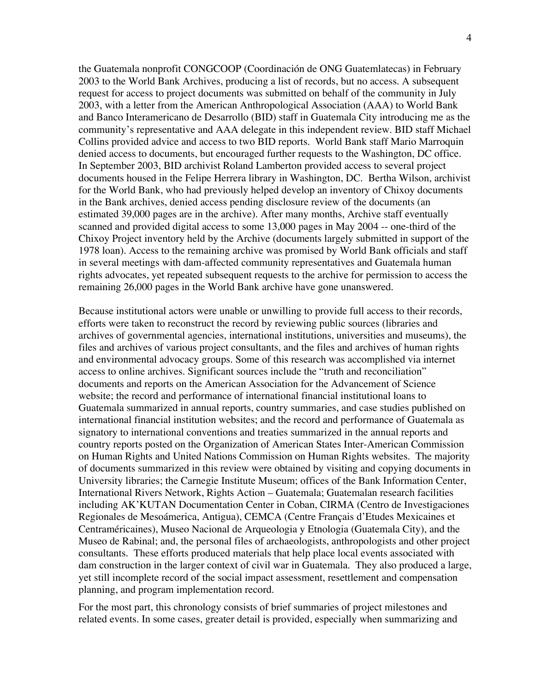the Guatemala nonprofit CONGCOOP (Coordinación de ONG Guatemlatecas) in February 2003 to the World Bank Archives, producing a list of records, but no access. A subsequent request for access to project documents was submitted on behalf of the community in July 2003, with a letter from the American Anthropological Association (AAA) to World Bank and Banco Interamericano de Desarrollo (BID) staff in Guatemala City introducing me as the community's representative and AAA delegate in this independent review. BID staff Michael Collins provided advice and access to two BID reports. World Bank staff Mario Marroquin denied access to documents, but encouraged further requests to the Washington, DC office. In September 2003, BID archivist Roland Lamberton provided access to several project documents housed in the Felipe Herrera library in Washington, DC. Bertha Wilson, archivist for the World Bank, who had previously helped develop an inventory of Chixoy documents in the Bank archives, denied access pending disclosure review of the documents (an estimated 39,000 pages are in the archive). After many months, Archive staff eventually scanned and provided digital access to some 13,000 pages in May 2004 -- one-third of the Chixoy Project inventory held by the Archive (documents largely submitted in support of the 1978 loan). Access to the remaining archive was promised by World Bank officials and staff in several meetings with dam-affected community representatives and Guatemala human rights advocates, yet repeated subsequent requests to the archive for permission to access the remaining 26,000 pages in the World Bank archive have gone unanswered.

Because institutional actors were unable or unwilling to provide full access to their records, efforts were taken to reconstruct the record by reviewing public sources (libraries and archives of governmental agencies, international institutions, universities and museums), the files and archives of various project consultants, and the files and archives of human rights and environmental advocacy groups. Some of this research was accomplished via internet access to online archives. Significant sources include the "truth and reconciliation" documents and reports on the American Association for the Advancement of Science website; the record and performance of international financial institutional loans to Guatemala summarized in annual reports, country summaries, and case studies published on international financial institution websites; and the record and performance of Guatemala as signatory to international conventions and treaties summarized in the annual reports and country reports posted on the Organization of American States Inter-American Commission on Human Rights and United Nations Commission on Human Rights websites. The majority of documents summarized in this review were obtained by visiting and copying documents in University libraries; the Carnegie Institute Museum; offices of the Bank Information Center, International Rivers Network, Rights Action – Guatemala; Guatemalan research facilities including AK'KUTAN Documentation Center in Coban, CIRMA (Centro de Investigaciones Regionales de Mesoámerica, Antigua), CEMCA (Centre Français d'Etudes Mexicaines et Centraméricaines), Museo Nacional de Arqueologia y Etnologia (Guatemala City), and the Museo de Rabinal; and, the personal files of archaeologists, anthropologists and other project consultants. These efforts produced materials that help place local events associated with dam construction in the larger context of civil war in Guatemala. They also produced a large, yet still incomplete record of the social impact assessment, resettlement and compensation planning, and program implementation record.

For the most part, this chronology consists of brief summaries of project milestones and related events. In some cases, greater detail is provided, especially when summarizing and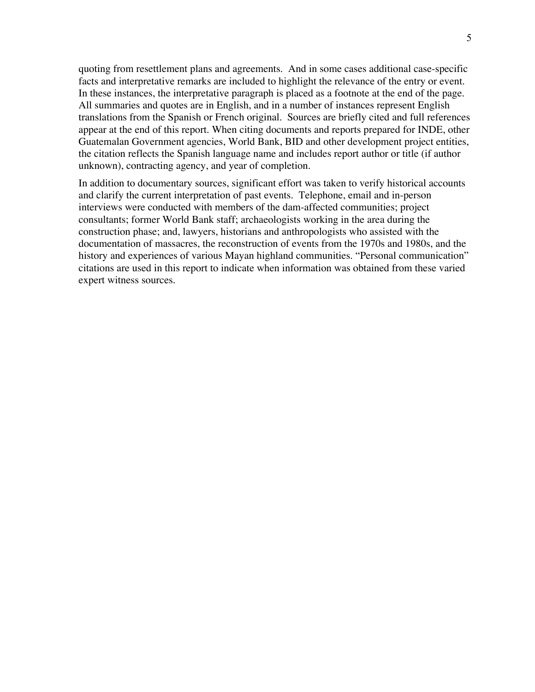quoting from resettlement plans and agreements. And in some cases additional case-specific facts and interpretative remarks are included to highlight the relevance of the entry or event. In these instances, the interpretative paragraph is placed as a footnote at the end of the page. All summaries and quotes are in English, and in a number of instances represent English translations from the Spanish or French original. Sources are briefly cited and full references appear at the end of this report. When citing documents and reports prepared for INDE, other Guatemalan Government agencies, World Bank, BID and other development project entities, the citation reflects the Spanish language name and includes report author or title (if author unknown), contracting agency, and year of completion.

In addition to documentary sources, significant effort was taken to verify historical accounts and clarify the current interpretation of past events. Telephone, email and in-person interviews were conducted with members of the dam-affected communities; project consultants; former World Bank staff; archaeologists working in the area during the construction phase; and, lawyers, historians and anthropologists who assisted with the documentation of massacres, the reconstruction of events from the 1970s and 1980s, and the history and experiences of various Mayan highland communities. "Personal communication" citations are used in this report to indicate when information was obtained from these varied expert witness sources.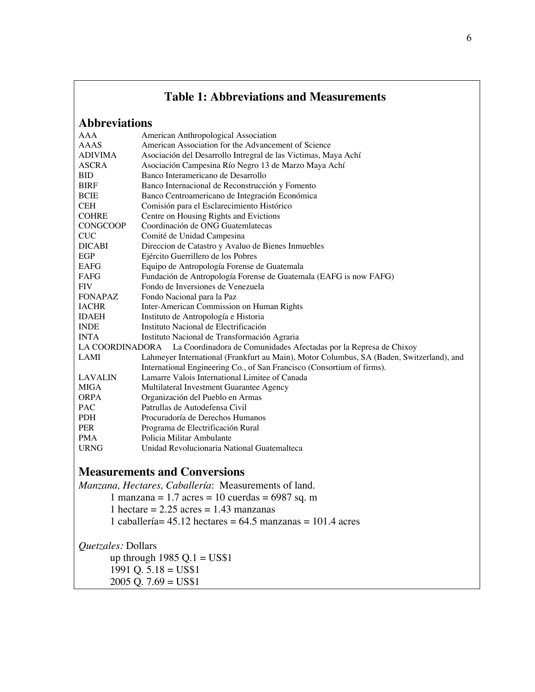### **Table 1: Abbreviations and Measurements**

# **Abbreviations**

| AAA             | American Anthropological Association                                                     |  |  |  |  |  |
|-----------------|------------------------------------------------------------------------------------------|--|--|--|--|--|
| AAAS            | American Association for the Advancement of Science                                      |  |  |  |  |  |
| <b>ADIVIMA</b>  | Asociación del Desarrollo Intregral de las Victimas, Maya Achí                           |  |  |  |  |  |
| <b>ASCRA</b>    | Asociación Campesina Río Negro 13 de Marzo Maya Achí                                     |  |  |  |  |  |
| <b>BID</b>      | Banco Interamericano de Desarrollo                                                       |  |  |  |  |  |
| <b>BIRF</b>     | Banco Internacional de Reconstrucción y Fomento                                          |  |  |  |  |  |
| <b>BCIE</b>     | Banco Centroamericano de Integración Económica                                           |  |  |  |  |  |
| <b>CEH</b>      | Comisión para el Esclarecimiento Histórico                                               |  |  |  |  |  |
| <b>COHRE</b>    | Centre on Housing Rights and Evictions                                                   |  |  |  |  |  |
| <b>CONGCOOP</b> | Coordinación de ONG Guatemlatecas                                                        |  |  |  |  |  |
| <b>CUC</b>      | Comité de Unidad Campesina                                                               |  |  |  |  |  |
| <b>DICABI</b>   | Direccion de Catastro y Avaluo de Bienes Inmuebles                                       |  |  |  |  |  |
| EGP             | Ejército Guerrillero de los Pobres                                                       |  |  |  |  |  |
| <b>EAFG</b>     | Equipo de Antropología Forense de Guatemala                                              |  |  |  |  |  |
| FAFG            | Fundación de Antropología Forense de Guatemala (EAFG is now FAFG)                        |  |  |  |  |  |
| <b>FIV</b>      | Fondo de Inversiones de Venezuela                                                        |  |  |  |  |  |
| <b>FONAPAZ</b>  | Fondo Nacional para la Paz                                                               |  |  |  |  |  |
| <b>IACHR</b>    | Inter-American Commission on Human Rights                                                |  |  |  |  |  |
| <b>IDAEH</b>    | Instituto de Antropología e Historia                                                     |  |  |  |  |  |
| <b>INDE</b>     | Instituto Nacional de Electrificación                                                    |  |  |  |  |  |
| <b>INTA</b>     | Instituto Nacional de Transformación Agraria                                             |  |  |  |  |  |
| LA COORDINADORA | La Coordinadora de Comunidades Afectadas por la Represa de Chixoy                        |  |  |  |  |  |
| LAMI            | Lahmeyer International (Frankfurt au Main), Motor Columbus, SA (Baden, Switzerland), and |  |  |  |  |  |
|                 | International Engineering Co., of San Francisco (Consortium of firms).                   |  |  |  |  |  |
| <b>LAVALIN</b>  | Lamarre Valois International Limitee of Canada                                           |  |  |  |  |  |
| <b>MIGA</b>     | Multilateral Investment Guarantee Agency                                                 |  |  |  |  |  |
| <b>ORPA</b>     | Organización del Pueblo en Armas                                                         |  |  |  |  |  |
| <b>PAC</b>      | Patrullas de Autodefensa Civil                                                           |  |  |  |  |  |
| <b>PDH</b>      | Procuradoría de Derechos Humanos                                                         |  |  |  |  |  |
| <b>PER</b>      | Programa de Electrificación Rural                                                        |  |  |  |  |  |
| <b>PMA</b>      | Policia Militar Ambulante                                                                |  |  |  |  |  |
| <b>URNG</b>     | Unidad Revolucionaria National Guatemalteca                                              |  |  |  |  |  |

### **Measurements and Conversions**

*Manzana, Hectares, Caballería*: Measurements of land. 1 manzana = 1.7 acres = 10 cuerdas = 6987 sq. m 1 hectare  $= 2.25$  acres  $= 1.43$  manzanas 1 caballería= 45.12 hectares = 64.5 manzanas = 101.4 acres

*Quetzales:* Dollars up through  $1985$  Q.1 = US\$1  $1991$  Q.  $5.18 = US$1$  $2005 \overline{Q}$ . 7.69 = US\$1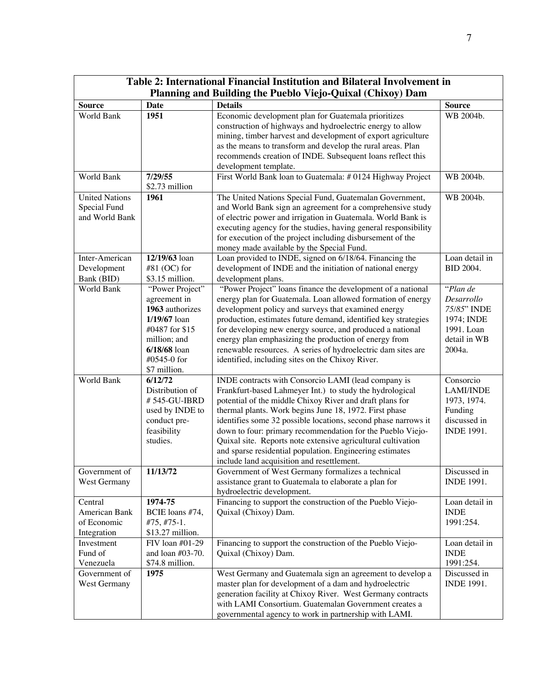| Table 2: International Financial Institution and Bilateral Involvement in |                                                                                                                                                         |                                                                                                                                                                                                                                                                                                                                                                                                                                                                                                                                                 |                                                                                              |  |
|---------------------------------------------------------------------------|---------------------------------------------------------------------------------------------------------------------------------------------------------|-------------------------------------------------------------------------------------------------------------------------------------------------------------------------------------------------------------------------------------------------------------------------------------------------------------------------------------------------------------------------------------------------------------------------------------------------------------------------------------------------------------------------------------------------|----------------------------------------------------------------------------------------------|--|
| Planning and Building the Pueblo Viejo-Quixal (Chixoy) Dam                |                                                                                                                                                         |                                                                                                                                                                                                                                                                                                                                                                                                                                                                                                                                                 |                                                                                              |  |
| <b>Source</b>                                                             | <b>Date</b>                                                                                                                                             | <b>Details</b>                                                                                                                                                                                                                                                                                                                                                                                                                                                                                                                                  | <b>Source</b>                                                                                |  |
| World Bank                                                                | 1951                                                                                                                                                    | Economic development plan for Guatemala prioritizes<br>construction of highways and hydroelectric energy to allow<br>mining, timber harvest and development of export agriculture<br>as the means to transform and develop the rural areas. Plan<br>recommends creation of INDE. Subsequent loans reflect this<br>development template.                                                                                                                                                                                                         | WB 2004b.                                                                                    |  |
| World Bank                                                                | 7/29/55<br>\$2.73 million                                                                                                                               | First World Bank loan to Guatemala: #0124 Highway Project                                                                                                                                                                                                                                                                                                                                                                                                                                                                                       | WB 2004b.                                                                                    |  |
| <b>United Nations</b><br>Special Fund<br>and World Bank                   | 1961                                                                                                                                                    | The United Nations Special Fund, Guatemalan Government,<br>and World Bank sign an agreement for a comprehensive study<br>of electric power and irrigation in Guatemala. World Bank is<br>executing agency for the studies, having general responsibility<br>for execution of the project including disbursement of the<br>money made available by the Special Fund.                                                                                                                                                                             | WB 2004b.                                                                                    |  |
| Inter-American<br>Development<br>Bank (BID)                               | 12/19/63 loan<br>$#81$ (OC) for<br>\$3.15 million.                                                                                                      | Loan provided to INDE, signed on 6/18/64. Financing the<br>development of INDE and the initiation of national energy<br>development plans.                                                                                                                                                                                                                                                                                                                                                                                                      | Loan detail in<br><b>BID 2004.</b>                                                           |  |
| World Bank                                                                | "Power Project"<br>agreement in<br>1963 authorizes<br>$1/19/67$ loan<br>#0487 for \$15<br>million; and<br>$6/18/68$ loan<br>#0545-0 for<br>\$7 million. | "Power Project" loans finance the development of a national<br>energy plan for Guatemala. Loan allowed formation of energy<br>development policy and surveys that examined energy<br>production, estimates future demand, identified key strategies<br>for developing new energy source, and produced a national<br>energy plan emphasizing the production of energy from<br>renewable resources. A series of hydroelectric dam sites are<br>identified, including sites on the Chixoy River.                                                   | "Plan de<br>Desarrollo<br>75/85" INDE<br>1974; INDE<br>1991. Loan<br>detail in WB<br>2004a.  |  |
| World Bank                                                                | 6/12/72<br>Distribution of<br>#545-GU-IBRD<br>used by INDE to<br>conduct pre-<br>feasibility<br>studies.                                                | INDE contracts with Consorcio LAMI (lead company is<br>Frankfurt-based Lahmeyer Int.) to study the hydrological<br>potential of the middle Chixoy River and draft plans for<br>thermal plants. Work begins June 18, 1972. First phase<br>identifies some 32 possible locations, second phase narrows it<br>down to four: primary recommendation for the Pueblo Viejo-<br>Quixal site. Reports note extensive agricultural cultivation<br>and sparse residential population. Engineering estimates<br>include land acquisition and resettlement. | Consorcio<br><b>LAMI/INDE</b><br>1973, 1974.<br>Funding<br>discussed in<br><b>INDE 1991.</b> |  |
| Government of<br>West Germany                                             | 11/13/72                                                                                                                                                | Government of West Germany formalizes a technical<br>assistance grant to Guatemala to elaborate a plan for<br>hydroelectric development.                                                                                                                                                                                                                                                                                                                                                                                                        | Discussed in<br><b>INDE 1991.</b>                                                            |  |
| Central<br>American Bank<br>of Economic<br>Integration                    | 1974-75<br>BCIE loans #74,<br>$#75, #75-1.$<br>\$13.27 million.                                                                                         | Financing to support the construction of the Pueblo Viejo-<br>Quixal (Chixoy) Dam.                                                                                                                                                                                                                                                                                                                                                                                                                                                              | Loan detail in<br><b>INDE</b><br>1991:254.                                                   |  |
| Investment<br>Fund of<br>Venezuela                                        | FIV loan #01-29<br>and loan $#03-70$ .<br>\$74.8 million.                                                                                               | Financing to support the construction of the Pueblo Viejo-<br>Quixal (Chixoy) Dam.                                                                                                                                                                                                                                                                                                                                                                                                                                                              | Loan detail in<br><b>INDE</b><br>1991:254.                                                   |  |
| Government of<br>West Germany                                             | 1975                                                                                                                                                    | West Germany and Guatemala sign an agreement to develop a<br>master plan for development of a dam and hydroelectric<br>generation facility at Chixoy River. West Germany contracts<br>with LAMI Consortium. Guatemalan Government creates a<br>governmental agency to work in partnership with LAMI.                                                                                                                                                                                                                                            | Discussed in<br><b>INDE 1991.</b>                                                            |  |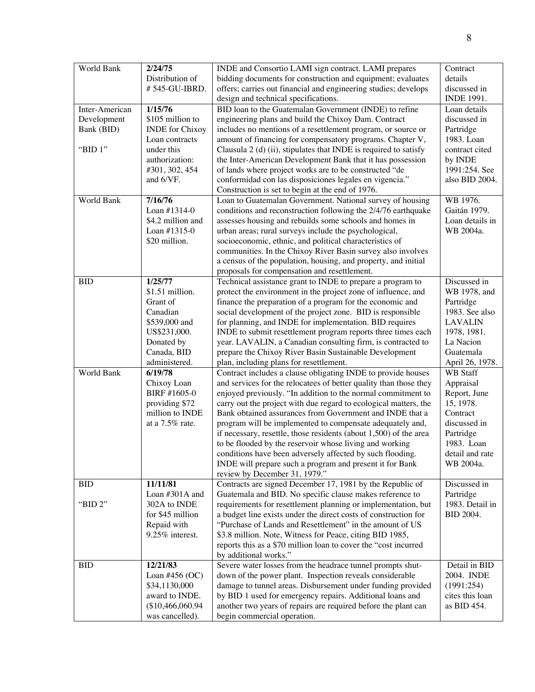| World Bank     | 2/24/75                | INDE and Consortio LAMI sign contract. LAMI prepares              | Contract          |
|----------------|------------------------|-------------------------------------------------------------------|-------------------|
|                | Distribution of        | bidding documents for construction and equipment; evaluates       | details           |
|                | #545-GU-IBRD.          | offers; carries out financial and engineering studies; develops   | discussed in      |
|                |                        | design and technical specifications.                              | <b>INDE 1991.</b> |
| Inter-American | 1/15/76                | BID loan to the Guatemalan Government (INDE) to refine            | Loan details      |
| Development    | \$105 million to       | engineering plans and build the Chixoy Dam. Contract              | discussed in      |
| Bank (BID)     | <b>INDE</b> for Chixoy | includes no mentions of a resettlement program, or source or      | Partridge         |
|                | Loan contracts         | amount of financing for compensatory programs. Chapter V,         | 1983. Loan        |
| "BID $1$ "     | under this             | Clausula 2 (d) (ii), stipulates that INDE is required to satisfy  | contract cited    |
|                | authorization:         | the Inter-American Development Bank that it has possession        | by INDE           |
|                | #301, 302, 454         | of lands where project works are to be constructed "de            | 1991:254. See     |
|                | and 6/VF.              | conformidad con las disposiciones legales en vigencia."           | also BID 2004.    |
|                |                        | Construction is set to begin at the end of 1976.                  |                   |
| World Bank     | 7/16/76                | Loan to Guatemalan Government. National survey of housing         | WB 1976.          |
|                |                        |                                                                   |                   |
|                | Loan #1314-0           | conditions and reconstruction following the 2/4/76 earthquake     | Gaitán 1979.      |
|                | \$4.2 million and      | assesses housing and rebuilds some schools and homes in           | Loan details in   |
|                | Loan #1315-0           | urban areas; rural surveys include the psychological,             | WB 2004a.         |
|                | \$20 million.          | socioeconomic, ethnic, and political characteristics of           |                   |
|                |                        | communities. In the Chixoy River Basin survey also involves       |                   |
|                |                        | a census of the population, housing, and property, and initial    |                   |
|                |                        | proposals for compensation and resettlement.                      |                   |
| <b>BID</b>     | 1/25/77                | Technical assistance grant to INDE to prepare a program to        | Discussed in      |
|                | $$1.51$ million.       | protect the environment in the project zone of influence, and     | WB 1978, and      |
|                | Grant of               | finance the preparation of a program for the economic and         | Partridge         |
|                | Canadian               | social development of the project zone. BID is responsible        | 1983. See also    |
|                | \$539,000 and          | for planning, and INDE for implementation. BID requires           | <b>LAVALIN</b>    |
|                | US\$231,000.           | INDE to submit resettlement program reports three times each      | 1978, 1981.       |
|                | Donated by             | year. LAVALIN, a Canadian consulting firm, is contracted to       | La Nacion         |
|                | Canada, BID            | prepare the Chixoy River Basin Sustainable Development            | Guatemala         |
|                | administered.          | plan, including plans for resettlement.                           | April 26, 1978.   |
| World Bank     | 6/19/78                | Contract includes a clause obligating INDE to provide houses      | <b>WB</b> Staff   |
|                | Chixoy Loan            | and services for the relocatees of better quality than those they | Appraisal         |
|                | BIRF #1605-0           | enjoyed previously. "In addition to the normal commitment to      | Report, June      |
|                | providing \$72         | carry out the project with due regard to ecological matters, the  | 15, 1978.         |
|                | million to INDE        | Bank obtained assurances from Government and INDE that a          | Contract          |
|                | at a $7.5\%$ rate.     | program will be implemented to compensate adequately and,         | discussed in      |
|                |                        | if necessary, resettle, those residents (about 1,500) of the area | Partridge         |
|                |                        | to be flooded by the reservoir whose living and working           | 1983. Loan        |
|                |                        | conditions have been adversely affected by such flooding.         | detail and rate   |
|                |                        | INDE will prepare such a program and present it for Bank          | WB 2004a.         |
|                |                        | review by December 31, 1979."                                     |                   |
| <b>BID</b>     | 11/11/81               | Contracts are signed December 17, 1981 by the Republic of         | Discussed in      |
|                | Loan #301A and         | Guatemala and BID. No specific clause makes reference to          | Partridge         |
| "BID 2"        | 302A to INDE           | requirements for resettlement planning or implementation, but     | 1983. Detail in   |
|                | for \$45 million       | a budget line exists under the direct costs of construction for   | BID 2004.         |
|                | Repaid with            | "Purchase of Lands and Resettlement" in the amount of US          |                   |
|                | 9.25% interest.        | \$3.8 million. Note, Witness for Peace, citing BID 1985,          |                   |
|                |                        | reports this as a \$70 million loan to cover the "cost incurred   |                   |
|                |                        | by additional works."                                             |                   |
| <b>BID</b>     | 12/21/83               | Severe water losses from the headrace tunnel prompts shut-        | Detail in BID     |
|                | Loan #456 $(OC)$       | down of the power plant. Inspection reveals considerable          | 2004. INDE        |
|                | \$34,1130,000          | damage to tunnel areas. Disbursement under funding provided       | (1991:254)        |
|                | award to INDE.         | by BID 1 used for emergency repairs. Additional loans and         | cites this loan   |
|                | (\$10,466,060.94)      | another two years of repairs are required before the plant can    | as BID 454.       |
|                | was cancelled).        | begin commercial operation.                                       |                   |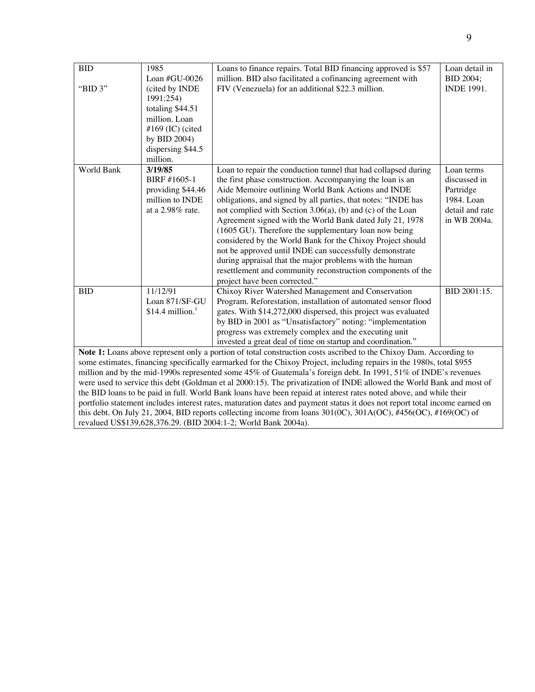| <b>BID</b>                                                                                                                  | 1985                          | Loans to finance repairs. Total BID financing approved is \$57 | Loan detail in    |  |  |
|-----------------------------------------------------------------------------------------------------------------------------|-------------------------------|----------------------------------------------------------------|-------------------|--|--|
|                                                                                                                             | Loan #GU-0026                 | million. BID also facilitated a cofinancing agreement with     | <b>BID 2004;</b>  |  |  |
| "BID 3"                                                                                                                     | (cited by INDE                | FIV (Venezuela) for an additional \$22.3 million.              | <b>INDE 1991.</b> |  |  |
|                                                                                                                             | 1991:254)                     |                                                                |                   |  |  |
|                                                                                                                             | totaling \$44.51              |                                                                |                   |  |  |
|                                                                                                                             | million. Loan                 |                                                                |                   |  |  |
|                                                                                                                             | #169 (IC) (cited              |                                                                |                   |  |  |
|                                                                                                                             | by BID 2004)                  |                                                                |                   |  |  |
|                                                                                                                             | dispersing \$44.5             |                                                                |                   |  |  |
|                                                                                                                             | million.                      |                                                                |                   |  |  |
| World Bank                                                                                                                  | 3/19/85                       | Loan to repair the conduction tunnel that had collapsed during | Loan terms        |  |  |
|                                                                                                                             | BIRF #1605-1                  | the first phase construction. Accompanying the loan is an      | discussed in      |  |  |
|                                                                                                                             | providing \$44.46             | Aide Memoire outlining World Bank Actions and INDE             | Partridge         |  |  |
|                                                                                                                             | million to <b>INDE</b>        | obligations, and signed by all parties, that notes: "INDE has  | 1984. Loan        |  |  |
|                                                                                                                             | at a 2.98% rate.              | not complied with Section 3.06(a), (b) and (c) of the Loan     | detail and rate   |  |  |
|                                                                                                                             |                               | Agreement signed with the World Bank dated July 21, 1978       | in WB 2004a.      |  |  |
|                                                                                                                             |                               | (1605 GU). Therefore the supplementary loan now being          |                   |  |  |
|                                                                                                                             |                               | considered by the World Bank for the Chixoy Project should     |                   |  |  |
|                                                                                                                             |                               | not be approved until INDE can successfully demonstrate        |                   |  |  |
|                                                                                                                             |                               | during appraisal that the major problems with the human        |                   |  |  |
|                                                                                                                             |                               | resettlement and community reconstruction components of the    |                   |  |  |
|                                                                                                                             |                               | project have been corrected."                                  |                   |  |  |
| <b>BID</b>                                                                                                                  | 11/12/91                      | Chixoy River Watershed Management and Conservation             | BID 2001:15.      |  |  |
|                                                                                                                             | Loan 871/SF-GU                | Program. Reforestation, installation of automated sensor flood |                   |  |  |
|                                                                                                                             | $$14.4$ million. <sup>1</sup> | gates. With \$14,272,000 dispersed, this project was evaluated |                   |  |  |
|                                                                                                                             |                               | by BID in 2001 as "Unsatisfactory" noting: "implementation     |                   |  |  |
|                                                                                                                             |                               | progress was extremely complex and the executing unit          |                   |  |  |
|                                                                                                                             |                               | invested a great deal of time on startup and coordination."    |                   |  |  |
| <b>Note 1:</b> Loans above represent only a portion of total construction costs ascribed to the Chixoy Dam. According to    |                               |                                                                |                   |  |  |
| some estimates, financing specifically earmarked for the Chixoy Project, including repairs in the 1980s, total \$955        |                               |                                                                |                   |  |  |
| million and by the mid-1990s represented some 45% of Guatemala's foreign debt. In 1991, 51% of INDE's revenues              |                               |                                                                |                   |  |  |
| were used to service this debt (Goldman et al 2000:15). The privatization of INDE allowed the World Bank and most of        |                               |                                                                |                   |  |  |
| the BID loans to be paid in full. World Bank loans have been repaid at interest rates noted above, and while their          |                               |                                                                |                   |  |  |
| portfolio statement includes interest rates, maturation dates and payment status it does not report total income earned on  |                               |                                                                |                   |  |  |
| this debt. On July 21, 2004, BID reports collecting income from loans $301(0C)$ , $301A(OC)$ , $\#456(OC)$ , $\#169(OC)$ of |                               |                                                                |                   |  |  |
| revalued US\$139,628,376.29. (BID 2004:1-2; World Bank 2004a).                                                              |                               |                                                                |                   |  |  |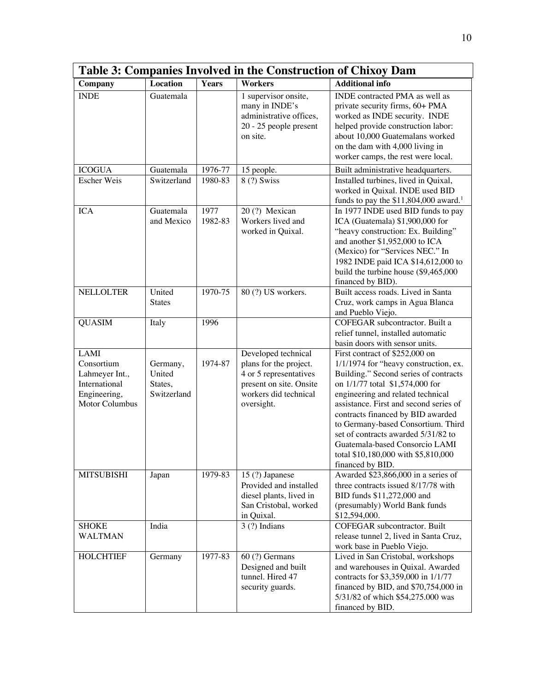| Table 3: Companies Involved in the Construction of Chixoy Dam                                         |                                              |                 |                                                                                                                                           |                                                                                                                                                                                                                                                                                                                                                                                                                                                   |
|-------------------------------------------------------------------------------------------------------|----------------------------------------------|-----------------|-------------------------------------------------------------------------------------------------------------------------------------------|---------------------------------------------------------------------------------------------------------------------------------------------------------------------------------------------------------------------------------------------------------------------------------------------------------------------------------------------------------------------------------------------------------------------------------------------------|
| Company                                                                                               | Location                                     | <b>Years</b>    | <b>Workers</b>                                                                                                                            | <b>Additional info</b>                                                                                                                                                                                                                                                                                                                                                                                                                            |
| <b>INDE</b>                                                                                           | Guatemala                                    |                 | 1 supervisor onsite,<br>many in INDE's<br>administrative offices,<br>20 - 25 people present<br>on site.                                   | INDE contracted PMA as well as<br>private security firms, 60+ PMA<br>worked as INDE security. INDE<br>helped provide construction labor:<br>about 10,000 Guatemalans worked<br>on the dam with 4,000 living in<br>worker camps, the rest were local.                                                                                                                                                                                              |
| <b>ICOGUA</b>                                                                                         | Guatemala                                    | 1976-77         | 15 people.                                                                                                                                | Built administrative headquarters.                                                                                                                                                                                                                                                                                                                                                                                                                |
| <b>Escher Weis</b>                                                                                    | Switzerland                                  | 1980-83         | 8 (?) Swiss                                                                                                                               | Installed turbines, lived in Quixal,<br>worked in Quixal. INDE used BID<br>funds to pay the $$11,804,000$ award. <sup>1</sup>                                                                                                                                                                                                                                                                                                                     |
| <b>ICA</b>                                                                                            | Guatemala<br>and Mexico                      | 1977<br>1982-83 | 20(?) Mexican<br>Workers lived and<br>worked in Quixal.                                                                                   | In 1977 INDE used BID funds to pay<br>ICA (Guatemala) \$1,900,000 for<br>"heavy construction: Ex. Building"<br>and another \$1,952,000 to ICA<br>(Mexico) for "Services NEC." In<br>1982 INDE paid ICA \$14,612,000 to<br>build the turbine house (\$9,465,000<br>financed by BID).                                                                                                                                                               |
| <b>NELLOLTER</b>                                                                                      | United<br><b>States</b>                      | 1970-75         | 80 (?) US workers.                                                                                                                        | Built access roads. Lived in Santa<br>Cruz, work camps in Agua Blanca<br>and Pueblo Viejo.                                                                                                                                                                                                                                                                                                                                                        |
| <b>QUASIM</b>                                                                                         | Italy                                        | 1996            |                                                                                                                                           | COFEGAR subcontractor. Built a<br>relief tunnel, installed automatic<br>basin doors with sensor units.                                                                                                                                                                                                                                                                                                                                            |
| <b>LAMI</b><br>Consortium<br>Lahmeyer Int.,<br>International<br>Engineering,<br><b>Motor Columbus</b> | Germany,<br>United<br>States,<br>Switzerland | 1974-87         | Developed technical<br>plans for the project.<br>4 or 5 representatives<br>present on site. Onsite<br>workers did technical<br>oversight. | First contract of \$252,000 on<br>1/1/1974 for "heavy construction, ex.<br>Building." Second series of contracts<br>on 1/1/77 total \$1,574,000 for<br>engineering and related technical<br>assistance. First and second series of<br>contracts financed by BID awarded<br>to Germany-based Consortium. Third<br>set of contracts awarded 5/31/82 to<br>Guatemala-based Consorcio LAMI<br>total \$10,180,000 with \$5,810,000<br>financed by BID. |
| <b>MITSUBISHI</b>                                                                                     | Japan                                        | 1979-83         | 15 (?) Japanese<br>Provided and installed<br>diesel plants, lived in<br>San Cristobal, worked<br>in Quixal.                               | Awarded \$23,866,000 in a series of<br>three contracts issued 8/17/78 with<br>BID funds \$11,272,000 and<br>(presumably) World Bank funds<br>\$12,594,000.                                                                                                                                                                                                                                                                                        |
| <b>SHOKE</b><br><b>WALTMAN</b>                                                                        | India                                        |                 | $3(?)$ Indians                                                                                                                            | <b>COFEGAR</b> subcontractor. Built<br>release tunnel 2, lived in Santa Cruz,<br>work base in Pueblo Viejo.                                                                                                                                                                                                                                                                                                                                       |
| <b>HOLCHTIEF</b>                                                                                      | Germany                                      | 1977-83         | 60 (?) Germans<br>Designed and built<br>tunnel. Hired 47<br>security guards.                                                              | Lived in San Cristobal, workshops<br>and warehouses in Quixal. Awarded<br>contracts for \$3,359,000 in 1/1/77<br>financed by BID, and \$70,754,000 in<br>5/31/82 of which \$54,275.000 was<br>financed by BID.                                                                                                                                                                                                                                    |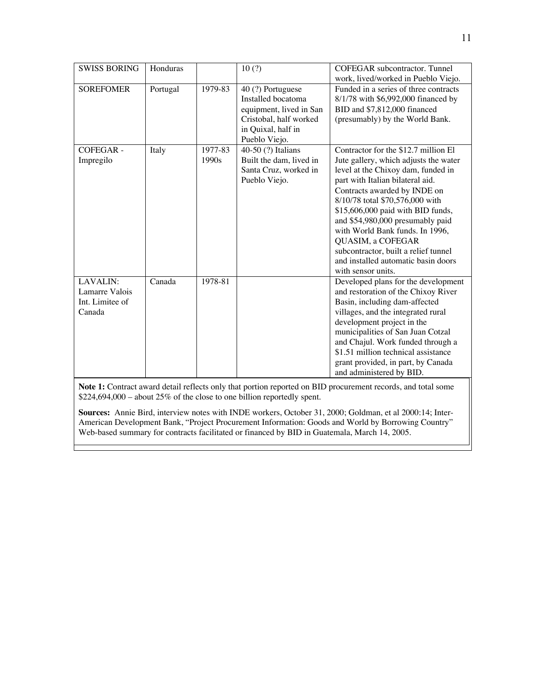| <b>SWISS BORING</b>                                     | Honduras |                  | 10(?)                                                                                                                               | COFEGAR subcontractor. Tunnel<br>work, lived/worked in Pueblo Viejo.                                                                                                                                                                                                                                                                                                                                                                                             |
|---------------------------------------------------------|----------|------------------|-------------------------------------------------------------------------------------------------------------------------------------|------------------------------------------------------------------------------------------------------------------------------------------------------------------------------------------------------------------------------------------------------------------------------------------------------------------------------------------------------------------------------------------------------------------------------------------------------------------|
| <b>SOREFOMER</b>                                        | Portugal | 1979-83          | 40 (?) Portuguese<br>Installed bocatoma<br>equipment, lived in San<br>Cristobal, half worked<br>in Quixal, half in<br>Pueblo Viejo. | Funded in a series of three contracts<br>8/1/78 with \$6,992,000 financed by<br>BID and \$7,812,000 financed<br>(presumably) by the World Bank.                                                                                                                                                                                                                                                                                                                  |
| <b>COFEGAR-</b><br>Impregilo                            | Italy    | 1977-83<br>1990s | $\overline{40}$ -50 $(?)$ Italians<br>Built the dam, lived in<br>Santa Cruz, worked in<br>Pueblo Viejo.                             | Contractor for the \$12.7 million El<br>Jute gallery, which adjusts the water<br>level at the Chixoy dam, funded in<br>part with Italian bilateral aid.<br>Contracts awarded by INDE on<br>8/10/78 total \$70,576,000 with<br>\$15,606,000 paid with BID funds,<br>and \$54,980,000 presumably paid<br>with World Bank funds. In 1996,<br>QUASIM, a COFEGAR<br>subcontractor, built a relief tunnel<br>and installed automatic basin doors<br>with sensor units. |
| LAVALIN:<br>Lamarre Valois<br>Int. Limitee of<br>Canada | Canada   | 1978-81          |                                                                                                                                     | Developed plans for the development<br>and restoration of the Chixoy River<br>Basin, including dam-affected<br>villages, and the integrated rural<br>development project in the<br>municipalities of San Juan Cotzal<br>and Chajul. Work funded through a<br>\$1.51 million technical assistance<br>grant provided, in part, by Canada<br>and administered by BID.                                                                                               |

**Note 1:** Contract award detail reflects only that portion reported on BID procurement records, and total some \$224,694,000 – about 25% of the close to one billion reportedly spent.

**Sources:** Annie Bird, interview notes with INDE workers, October 31, 2000; Goldman, et al 2000:14; Inter-American Development Bank, "Project Procurement Information: Goods and World by Borrowing Country" Web-based summary for contracts facilitated or financed by BID in Guatemala, March 14, 2005.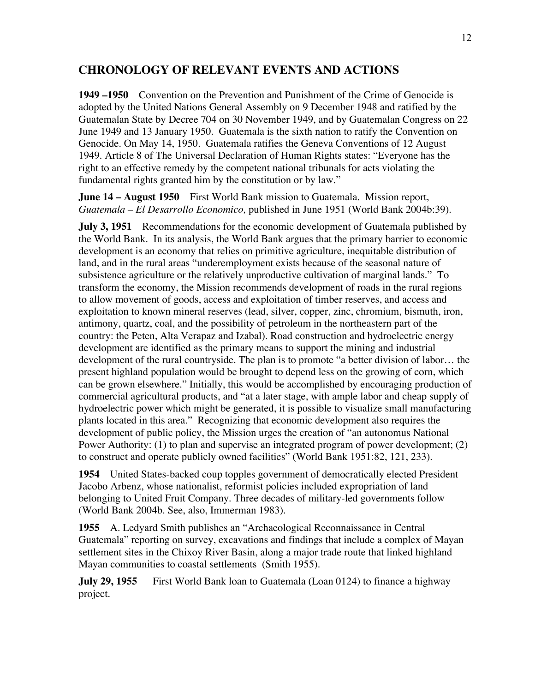### **CHRONOLOGY OF RELEVANT EVENTS AND ACTIONS**

**1949 –1950** Convention on the Prevention and Punishment of the Crime of Genocide is adopted by the United Nations General Assembly on 9 December 1948 and ratified by the Guatemalan State by Decree 704 on 30 November 1949, and by Guatemalan Congress on 22 June 1949 and 13 January 1950. Guatemala is the sixth nation to ratify the Convention on Genocide. On May 14, 1950. Guatemala ratifies the Geneva Conventions of 12 August 1949. Article 8 of The Universal Declaration of Human Rights states: "Everyone has the right to an effective remedy by the competent national tribunals for acts violating the fundamental rights granted him by the constitution or by law."

**June 14 – August 1950** First World Bank mission to Guatemala. Mission report, *Guatemala – El Desarrollo Economico,* published in June 1951 (World Bank 2004b:39).

**July 3, 1951** Recommendations for the economic development of Guatemala published by the World Bank. In its analysis, the World Bank argues that the primary barrier to economic development is an economy that relies on primitive agriculture, inequitable distribution of land, and in the rural areas "underemployment exists because of the seasonal nature of subsistence agriculture or the relatively unproductive cultivation of marginal lands." To transform the economy, the Mission recommends development of roads in the rural regions to allow movement of goods, access and exploitation of timber reserves, and access and exploitation to known mineral reserves (lead, silver, copper, zinc, chromium, bismuth, iron, antimony, quartz, coal, and the possibility of petroleum in the northeastern part of the country: the Peten, Alta Verapaz and Izabal). Road construction and hydroelectric energy development are identified as the primary means to support the mining and industrial development of the rural countryside. The plan is to promote "a better division of labor… the present highland population would be brought to depend less on the growing of corn, which can be grown elsewhere." Initially, this would be accomplished by encouraging production of commercial agricultural products, and "at a later stage, with ample labor and cheap supply of hydroelectric power which might be generated, it is possible to visualize small manufacturing plants located in this area." Recognizing that economic development also requires the development of public policy, the Mission urges the creation of "an autonomus National Power Authority: (1) to plan and supervise an integrated program of power development; (2) to construct and operate publicly owned facilities" (World Bank 1951:82, 121, 233).

**1954** United States-backed coup topples government of democratically elected President Jacobo Arbenz, whose nationalist, reformist policies included expropriation of land belonging to United Fruit Company. Three decades of military-led governments follow (World Bank 2004b. See, also, Immerman 1983).

**1955** A. Ledyard Smith publishes an "Archaeological Reconnaissance in Central Guatemala" reporting on survey, excavations and findings that include a complex of Mayan settlement sites in the Chixoy River Basin, along a major trade route that linked highland Mayan communities to coastal settlements (Smith 1955).

**July 29, 1955** First World Bank loan to Guatemala (Loan 0124) to finance a highway project.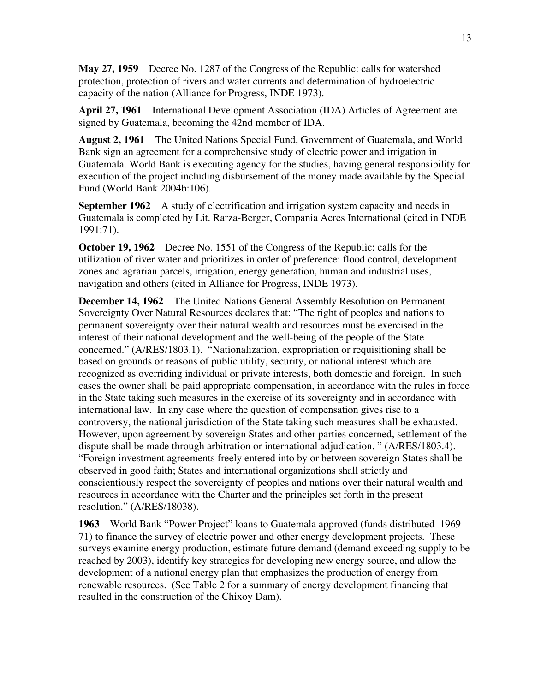**May 27, 1959** Decree No. 1287 of the Congress of the Republic: calls for watershed protection, protection of rivers and water currents and determination of hydroelectric capacity of the nation (Alliance for Progress, INDE 1973).

**April 27, 1961** International Development Association (IDA) Articles of Agreement are signed by Guatemala, becoming the 42nd member of IDA.

**August 2, 1961** The United Nations Special Fund, Government of Guatemala, and World Bank sign an agreement for a comprehensive study of electric power and irrigation in Guatemala. World Bank is executing agency for the studies, having general responsibility for execution of the project including disbursement of the money made available by the Special Fund (World Bank 2004b:106).

**September 1962** A study of electrification and irrigation system capacity and needs in Guatemala is completed by Lit. Rarza-Berger, Compania Acres International (cited in INDE 1991:71).

**October 19, 1962** Decree No. 1551 of the Congress of the Republic: calls for the utilization of river water and prioritizes in order of preference: flood control, development zones and agrarian parcels, irrigation, energy generation, human and industrial uses, navigation and others (cited in Alliance for Progress, INDE 1973).

**December 14, 1962** The United Nations General Assembly Resolution on Permanent Sovereignty Over Natural Resources declares that: "The right of peoples and nations to permanent sovereignty over their natural wealth and resources must be exercised in the interest of their national development and the well-being of the people of the State concerned." (A/RES/1803.1). "Nationalization, expropriation or requisitioning shall be based on grounds or reasons of public utility, security, or national interest which are recognized as overriding individual or private interests, both domestic and foreign. In such cases the owner shall be paid appropriate compensation, in accordance with the rules in force in the State taking such measures in the exercise of its sovereignty and in accordance with international law. In any case where the question of compensation gives rise to a controversy, the national jurisdiction of the State taking such measures shall be exhausted. However, upon agreement by sovereign States and other parties concerned, settlement of the dispute shall be made through arbitration or international adjudication. " (A/RES/1803.4). "Foreign investment agreements freely entered into by or between sovereign States shall be observed in good faith; States and international organizations shall strictly and conscientiously respect the sovereignty of peoples and nations over their natural wealth and resources in accordance with the Charter and the principles set forth in the present resolution." (A/RES/18038).

**1963** World Bank "Power Project" loans to Guatemala approved (funds distributed 1969- 71) to finance the survey of electric power and other energy development projects. These surveys examine energy production, estimate future demand (demand exceeding supply to be reached by 2003), identify key strategies for developing new energy source, and allow the development of a national energy plan that emphasizes the production of energy from renewable resources. (See Table 2 for a summary of energy development financing that resulted in the construction of the Chixoy Dam).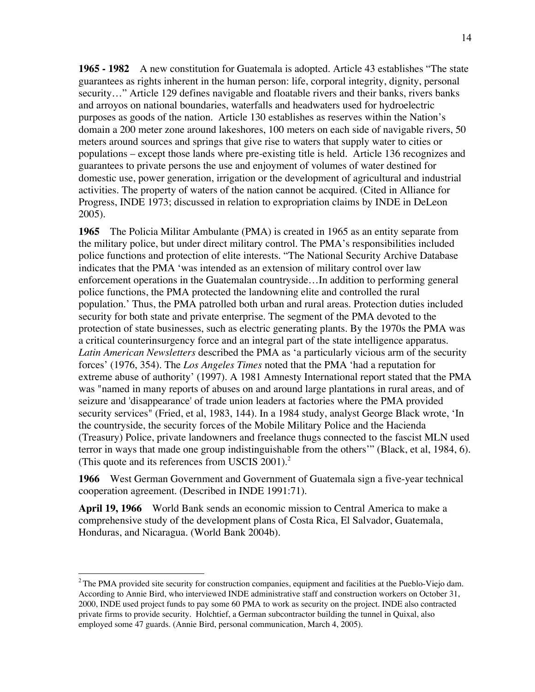**1965 - 1982** A new constitution for Guatemala is adopted. Article 43 establishes "The state guarantees as rights inherent in the human person: life, corporal integrity, dignity, personal security…" Article 129 defines navigable and floatable rivers and their banks, rivers banks and arroyos on national boundaries, waterfalls and headwaters used for hydroelectric purposes as goods of the nation. Article 130 establishes as reserves within the Nation's domain a 200 meter zone around lakeshores, 100 meters on each side of navigable rivers, 50 meters around sources and springs that give rise to waters that supply water to cities or populations – except those lands where pre-existing title is held. Article 136 recognizes and guarantees to private persons the use and enjoyment of volumes of water destined for domestic use, power generation, irrigation or the development of agricultural and industrial activities. The property of waters of the nation cannot be acquired. (Cited in Alliance for Progress, INDE 1973; discussed in relation to expropriation claims by INDE in DeLeon 2005).

**1965** The Policia Militar Ambulante (PMA) is created in 1965 as an entity separate from the military police, but under direct military control. The PMA's responsibilities included police functions and protection of elite interests. "The National Security Archive Database indicates that the PMA 'was intended as an extension of military control over law enforcement operations in the Guatemalan countryside…In addition to performing general police functions, the PMA protected the landowning elite and controlled the rural population.' Thus, the PMA patrolled both urban and rural areas. Protection duties included security for both state and private enterprise. The segment of the PMA devoted to the protection of state businesses, such as electric generating plants. By the 1970s the PMA was a critical counterinsurgency force and an integral part of the state intelligence apparatus. *Latin American Newsletters* described the PMA as 'a particularly vicious arm of the security forces' (1976, 354). The *Los Angeles Times* noted that the PMA 'had a reputation for extreme abuse of authority' (1997). A 1981 Amnesty International report stated that the PMA was "named in many reports of abuses on and around large plantations in rural areas, and of seizure and 'disappearance' of trade union leaders at factories where the PMA provided security services" (Fried, et al, 1983, 144). In a 1984 study, analyst George Black wrote, 'In the countryside, the security forces of the Mobile Military Police and the Hacienda (Treasury) Police, private landowners and freelance thugs connected to the fascist MLN used terror in ways that made one group indistinguishable from the others'" (Black, et al, 1984, 6). (This quote and its references from USCIS  $2001$ ).<sup>2</sup>

**1966** West German Government and Government of Guatemala sign a five-year technical cooperation agreement. (Described in INDE 1991:71).

**April 19, 1966** World Bank sends an economic mission to Central America to make a comprehensive study of the development plans of Costa Rica, El Salvador, Guatemala, Honduras, and Nicaragua. (World Bank 2004b).

<sup>&</sup>lt;sup>2</sup> The PMA provided site security for construction companies, equipment and facilities at the Pueblo-Viejo dam. According to Annie Bird, who interviewed INDE administrative staff and construction workers on October 31, 2000, INDE used project funds to pay some 60 PMA to work as security on the project. INDE also contracted private firms to provide security. Holchtief, a German subcontractor building the tunnel in Quixal, also employed some 47 guards. (Annie Bird, personal communication, March 4, 2005).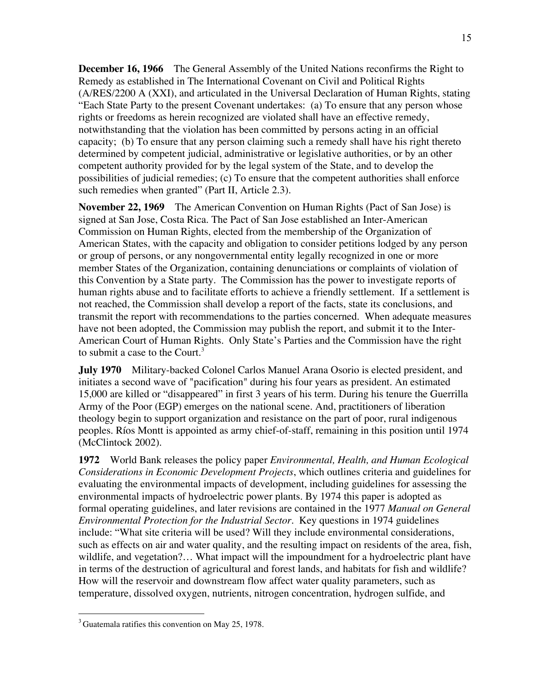**December 16, 1966** The General Assembly of the United Nations reconfirms the Right to Remedy as established in The International Covenant on Civil and Political Rights (A/RES/2200 A (XXI), and articulated in the Universal Declaration of Human Rights, stating "Each State Party to the present Covenant undertakes: (a) To ensure that any person whose rights or freedoms as herein recognized are violated shall have an effective remedy, notwithstanding that the violation has been committed by persons acting in an official capacity; (b) To ensure that any person claiming such a remedy shall have his right thereto determined by competent judicial, administrative or legislative authorities, or by an other competent authority provided for by the legal system of the State, and to develop the possibilities of judicial remedies; (c) To ensure that the competent authorities shall enforce such remedies when granted" (Part II, Article 2.3).

**November 22, 1969** The American Convention on Human Rights (Pact of San Jose) is signed at San Jose, Costa Rica. The Pact of San Jose established an Inter-American Commission on Human Rights, elected from the membership of the Organization of American States, with the capacity and obligation to consider petitions lodged by any person or group of persons, or any nongovernmental entity legally recognized in one or more member States of the Organization, containing denunciations or complaints of violation of this Convention by a State party. The Commission has the power to investigate reports of human rights abuse and to facilitate efforts to achieve a friendly settlement. If a settlement is not reached, the Commission shall develop a report of the facts, state its conclusions, and transmit the report with recommendations to the parties concerned. When adequate measures have not been adopted, the Commission may publish the report, and submit it to the Inter-American Court of Human Rights. Only State's Parties and the Commission have the right to submit a case to the Court. $3$ 

**July 1970** Military-backed Colonel Carlos Manuel Arana Osorio is elected president, and initiates a second wave of "pacification" during his four years as president. An estimated 15,000 are killed or "disappeared" in first 3 years of his term. During his tenure the Guerrilla Army of the Poor (EGP) emerges on the national scene. And, practitioners of liberation theology begin to support organization and resistance on the part of poor, rural indigenous peoples. Ríos Montt is appointed as army chief-of-staff, remaining in this position until 1974 (McClintock 2002).

**1972** World Bank releases the policy paper *Environmental, Health, and Human Ecological Considerations in Economic Development Projects*, which outlines criteria and guidelines for evaluating the environmental impacts of development, including guidelines for assessing the environmental impacts of hydroelectric power plants. By 1974 this paper is adopted as formal operating guidelines, and later revisions are contained in the 1977 *Manual on General Environmental Protection for the Industrial Sector*. Key questions in 1974 guidelines include: "What site criteria will be used? Will they include environmental considerations, such as effects on air and water quality, and the resulting impact on residents of the area, fish, wildlife, and vegetation?... What impact will the impoundment for a hydroelectric plant have in terms of the destruction of agricultural and forest lands, and habitats for fish and wildlife? How will the reservoir and downstream flow affect water quality parameters, such as temperature, dissolved oxygen, nutrients, nitrogen concentration, hydrogen sulfide, and

 $3$  Guatemala ratifies this convention on May 25, 1978.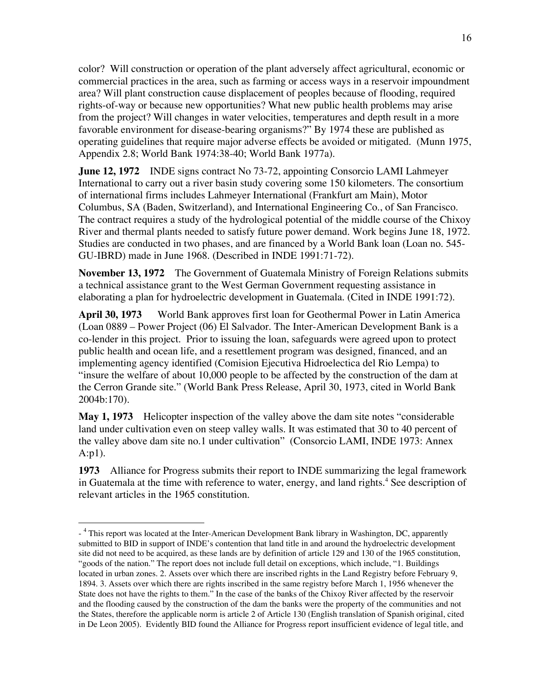color? Will construction or operation of the plant adversely affect agricultural, economic or commercial practices in the area, such as farming or access ways in a reservoir impoundment area? Will plant construction cause displacement of peoples because of flooding, required rights-of-way or because new opportunities? What new public health problems may arise from the project? Will changes in water velocities, temperatures and depth result in a more favorable environment for disease-bearing organisms?" By 1974 these are published as operating guidelines that require major adverse effects be avoided or mitigated. (Munn 1975, Appendix 2.8; World Bank 1974:38-40; World Bank 1977a).

**June 12, 1972** INDE signs contract No 73-72, appointing Consorcio LAMI Lahmeyer International to carry out a river basin study covering some 150 kilometers. The consortium of international firms includes Lahmeyer International (Frankfurt am Main), Motor Columbus, SA (Baden, Switzerland), and International Engineering Co., of San Francisco. The contract requires a study of the hydrological potential of the middle course of the Chixoy River and thermal plants needed to satisfy future power demand. Work begins June 18, 1972. Studies are conducted in two phases, and are financed by a World Bank loan (Loan no. 545- GU-IBRD) made in June 1968. (Described in INDE 1991:71-72).

**November 13, 1972** The Government of Guatemala Ministry of Foreign Relations submits a technical assistance grant to the West German Government requesting assistance in elaborating a plan for hydroelectric development in Guatemala. (Cited in INDE 1991:72).

**April 30, 1973** World Bank approves first loan for Geothermal Power in Latin America (Loan 0889 – Power Project (06) El Salvador. The Inter-American Development Bank is a co-lender in this project. Prior to issuing the loan, safeguards were agreed upon to protect public health and ocean life, and a resettlement program was designed, financed, and an implementing agency identified (Comision Ejecutiva Hidroelectica del Rio Lempa) to "insure the welfare of about 10,000 people to be affected by the construction of the dam at the Cerron Grande site." (World Bank Press Release, April 30, 1973, cited in World Bank 2004b:170).

**May 1, 1973** Helicopter inspection of the valley above the dam site notes "considerable land under cultivation even on steep valley walls. It was estimated that 30 to 40 percent of the valley above dam site no.1 under cultivation" (Consorcio LAMI, INDE 1973: Annex A:p1).

**1973** Alliance for Progress submits their report to INDE summarizing the legal framework in Guatemala at the time with reference to water, energy, and land rights.<sup>4</sup> See description of relevant articles in the 1965 constitution.

 $\overline{a}$ 

<sup>- &</sup>lt;sup>4</sup> This report was located at the Inter-American Development Bank library in Washington, DC, apparently submitted to BID in support of INDE's contention that land title in and around the hydroelectric development site did not need to be acquired, as these lands are by definition of article 129 and 130 of the 1965 constitution, "goods of the nation." The report does not include full detail on exceptions, which include, "1. Buildings located in urban zones. 2. Assets over which there are inscribed rights in the Land Registry before February 9, 1894. 3. Assets over which there are rights inscribed in the same registry before March 1, 1956 whenever the State does not have the rights to them." In the case of the banks of the Chixoy River affected by the reservoir and the flooding caused by the construction of the dam the banks were the property of the communities and not the States, therefore the applicable norm is article 2 of Article 130 (English translation of Spanish original, cited in De Leon 2005). Evidently BID found the Alliance for Progress report insufficient evidence of legal title, and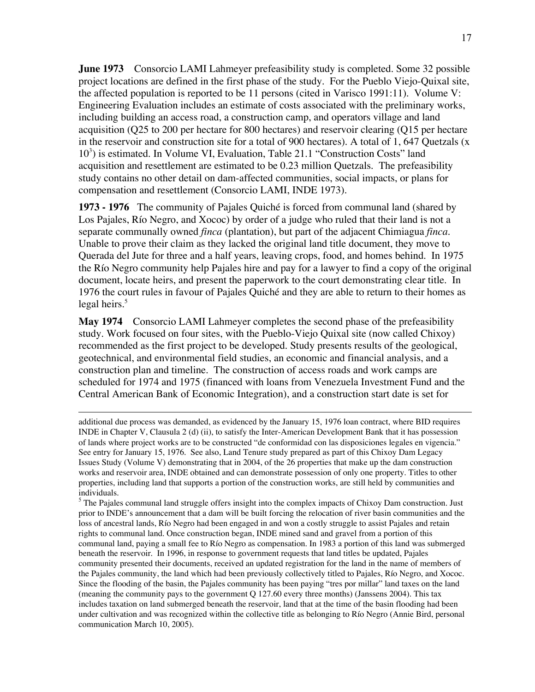**June 1973** Consorcio LAMI Lahmeyer prefeasibility study is completed. Some 32 possible project locations are defined in the first phase of the study. For the Pueblo Viejo-Quixal site, the affected population is reported to be 11 persons (cited in Varisco 1991:11). Volume V: Engineering Evaluation includes an estimate of costs associated with the preliminary works, including building an access road, a construction camp, and operators village and land acquisition (Q25 to 200 per hectare for 800 hectares) and reservoir clearing (Q15 per hectare in the reservoir and construction site for a total of 900 hectares). A total of 1, 647 Quetzals (x 10<sup>3</sup>) is estimated. In Volume VI, Evaluation, Table 21.1 "Construction Costs" land acquisition and resettlement are estimated to be 0.23 million Quetzals. The prefeasibility study contains no other detail on dam-affected communities, social impacts, or plans for compensation and resettlement (Consorcio LAMI, INDE 1973).

**1973 - 1976** The community of Pajales Quiché is forced from communal land (shared by Los Pajales, Río Negro, and Xococ) by order of a judge who ruled that their land is not a separate communally owned *finca* (plantation), but part of the adjacent Chimiagua *finca*. Unable to prove their claim as they lacked the original land title document, they move to Querada del Jute for three and a half years, leaving crops, food, and homes behind. In 1975 the Río Negro community help Pajales hire and pay for a lawyer to find a copy of the original document, locate heirs, and present the paperwork to the court demonstrating clear title. In 1976 the court rules in favour of Pajales Quiché and they are able to return to their homes as legal heirs. $5<sup>5</sup>$ 

**May 1974** Consorcio LAMI Lahmeyer completes the second phase of the prefeasibility study. Work focused on four sites, with the Pueblo-Viejo Quixal site (now called Chixoy) recommended as the first project to be developed. Study presents results of the geological, geotechnical, and environmental field studies, an economic and financial analysis, and a construction plan and timeline. The construction of access roads and work camps are scheduled for 1974 and 1975 (financed with loans from Venezuela Investment Fund and the Central American Bank of Economic Integration), and a construction start date is set for

 $\overline{a}$ 

additional due process was demanded, as evidenced by the January 15, 1976 loan contract, where BID requires INDE in Chapter V, Clausula 2 (d) (ii), to satisfy the Inter-American Development Bank that it has possession of lands where project works are to be constructed "de conformidad con las disposiciones legales en vigencia." See entry for January 15, 1976. See also, Land Tenure study prepared as part of this Chixoy Dam Legacy Issues Study (Volume V) demonstrating that in 2004, of the 26 properties that make up the dam construction works and reservoir area, INDE obtained and can demonstrate possession of only one property. Titles to other properties, including land that supports a portion of the construction works, are still held by communities and individuals.

<sup>&</sup>lt;sup>5</sup> The Pajales communal land struggle offers insight into the complex impacts of Chixoy Dam construction. Just prior to INDE's announcement that a dam will be built forcing the relocation of river basin communities and the loss of ancestral lands, Río Negro had been engaged in and won a costly struggle to assist Pajales and retain rights to communal land. Once construction began, INDE mined sand and gravel from a portion of this communal land, paying a small fee to Río Negro as compensation. In 1983 a portion of this land was submerged beneath the reservoir. In 1996, in response to government requests that land titles be updated, Pajales community presented their documents, received an updated registration for the land in the name of members of the Pajales community, the land which had been previously collectively titled to Pajales, Río Negro, and Xococ. Since the flooding of the basin, the Pajales community has been paying "tres por millar" land taxes on the land (meaning the community pays to the government Q 127.60 every three months) (Janssens 2004). This tax includes taxation on land submerged beneath the reservoir, land that at the time of the basin flooding had been under cultivation and was recognized within the collective title as belonging to Río Negro (Annie Bird, personal communication March 10, 2005).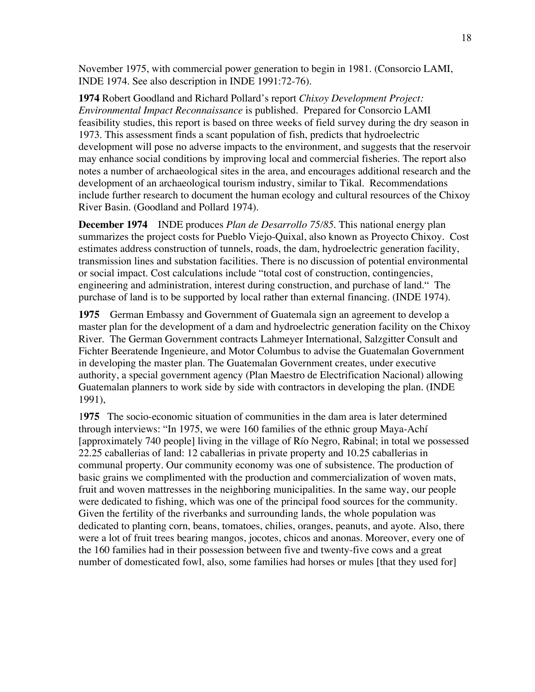November 1975, with commercial power generation to begin in 1981. (Consorcio LAMI, INDE 1974. See also description in INDE 1991:72-76).

**1974** Robert Goodland and Richard Pollard's report *Chixoy Development Project: Environmental Impact Reconnaissance* is published. Prepared for Consorcio LAMI feasibility studies, this report is based on three weeks of field survey during the dry season in 1973. This assessment finds a scant population of fish, predicts that hydroelectric development will pose no adverse impacts to the environment, and suggests that the reservoir may enhance social conditions by improving local and commercial fisheries. The report also notes a number of archaeological sites in the area, and encourages additional research and the development of an archaeological tourism industry, similar to Tikal. Recommendations include further research to document the human ecology and cultural resources of the Chixoy River Basin. (Goodland and Pollard 1974).

**December 1974** INDE produces *Plan de Desarrollo 75/85*. This national energy plan summarizes the project costs for Pueblo Viejo-Quixal, also known as Proyecto Chixoy. Cost estimates address construction of tunnels, roads, the dam, hydroelectric generation facility, transmission lines and substation facilities. There is no discussion of potential environmental or social impact. Cost calculations include "total cost of construction, contingencies, engineering and administration, interest during construction, and purchase of land." The purchase of land is to be supported by local rather than external financing. (INDE 1974).

**1975** German Embassy and Government of Guatemala sign an agreement to develop a master plan for the development of a dam and hydroelectric generation facility on the Chixoy River. The German Government contracts Lahmeyer International, Salzgitter Consult and Fichter Beeratende Ingenieure, and Motor Columbus to advise the Guatemalan Government in developing the master plan. The Guatemalan Government creates, under executive authority, a special government agency (Plan Maestro de Electrification Nacional) allowing Guatemalan planners to work side by side with contractors in developing the plan. (INDE 1991),

1**975** The socio-economic situation of communities in the dam area is later determined through interviews: "In 1975, we were 160 families of the ethnic group Maya-Achí [approximately 740 people] living in the village of Río Negro, Rabinal; in total we possessed 22.25 caballerias of land: 12 caballerias in private property and 10.25 caballerias in communal property. Our community economy was one of subsistence. The production of basic grains we complimented with the production and commercialization of woven mats, fruit and woven mattresses in the neighboring municipalities. In the same way, our people were dedicated to fishing, which was one of the principal food sources for the community. Given the fertility of the riverbanks and surrounding lands, the whole population was dedicated to planting corn, beans, tomatoes, chilies, oranges, peanuts, and ayote. Also, there were a lot of fruit trees bearing mangos, jocotes, chicos and anonas. Moreover, every one of the 160 families had in their possession between five and twenty-five cows and a great number of domesticated fowl, also, some families had horses or mules [that they used for]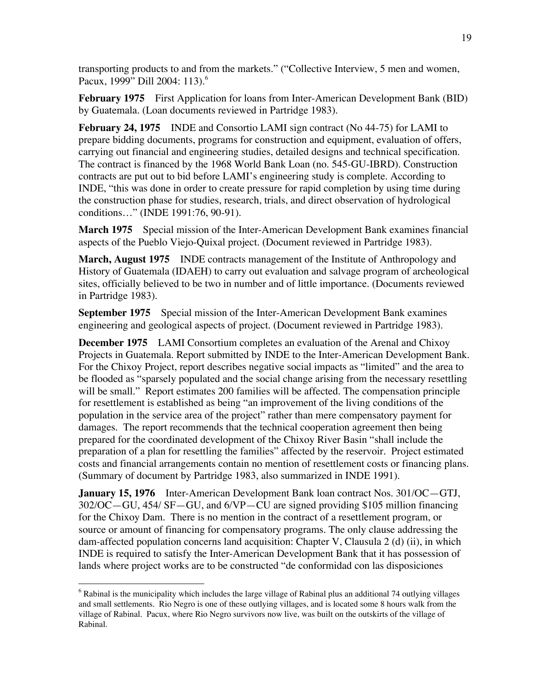transporting products to and from the markets." ("Collective Interview, 5 men and women, Pacux, 1999" Dill 2004: 113).<sup>6</sup>

**February 1975** First Application for loans from Inter-American Development Bank (BID) by Guatemala. (Loan documents reviewed in Partridge 1983).

**February 24, 1975** INDE and Consortio LAMI sign contract (No 44-75) for LAMI to prepare bidding documents, programs for construction and equipment, evaluation of offers, carrying out financial and engineering studies, detailed designs and technical specification. The contract is financed by the 1968 World Bank Loan (no. 545-GU-IBRD). Construction contracts are put out to bid before LAMI's engineering study is complete. According to INDE, "this was done in order to create pressure for rapid completion by using time during the construction phase for studies, research, trials, and direct observation of hydrological conditions…" (INDE 1991:76, 90-91).

**March 1975** Special mission of the Inter-American Development Bank examines financial aspects of the Pueblo Viejo-Quixal project. (Document reviewed in Partridge 1983).

**March, August 1975** INDE contracts management of the Institute of Anthropology and History of Guatemala (IDAEH) to carry out evaluation and salvage program of archeological sites, officially believed to be two in number and of little importance. (Documents reviewed in Partridge 1983).

**September 1975** Special mission of the Inter-American Development Bank examines engineering and geological aspects of project. (Document reviewed in Partridge 1983).

**December 1975** LAMI Consortium completes an evaluation of the Arenal and Chixoy Projects in Guatemala. Report submitted by INDE to the Inter-American Development Bank. For the Chixoy Project, report describes negative social impacts as "limited" and the area to be flooded as "sparsely populated and the social change arising from the necessary resettling will be small." Report estimates 200 families will be affected. The compensation principle for resettlement is established as being "an improvement of the living conditions of the population in the service area of the project" rather than mere compensatory payment for damages. The report recommends that the technical cooperation agreement then being prepared for the coordinated development of the Chixoy River Basin "shall include the preparation of a plan for resettling the families" affected by the reservoir. Project estimated costs and financial arrangements contain no mention of resettlement costs or financing plans. (Summary of document by Partridge 1983, also summarized in INDE 1991).

**January 15, 1976** Inter-American Development Bank loan contract Nos. 301/OC—GTJ, 302/OC—GU, 454/ SF—GU, and 6/VP—CU are signed providing \$105 million financing for the Chixoy Dam. There is no mention in the contract of a resettlement program, or source or amount of financing for compensatory programs. The only clause addressing the dam-affected population concerns land acquisition: Chapter V, Clausula 2 (d) (ii), in which INDE is required to satisfy the Inter-American Development Bank that it has possession of lands where project works are to be constructed "de conformidad con las disposiciones

 $\frac{1}{6}$  $6$  Rabinal is the municipality which includes the large village of Rabinal plus an additional 74 outlying villages and small settlements. Rio Negro is one of these outlying villages, and is located some 8 hours walk from the village of Rabinal. Pacux, where Rio Negro survivors now live, was built on the outskirts of the village of Rabinal.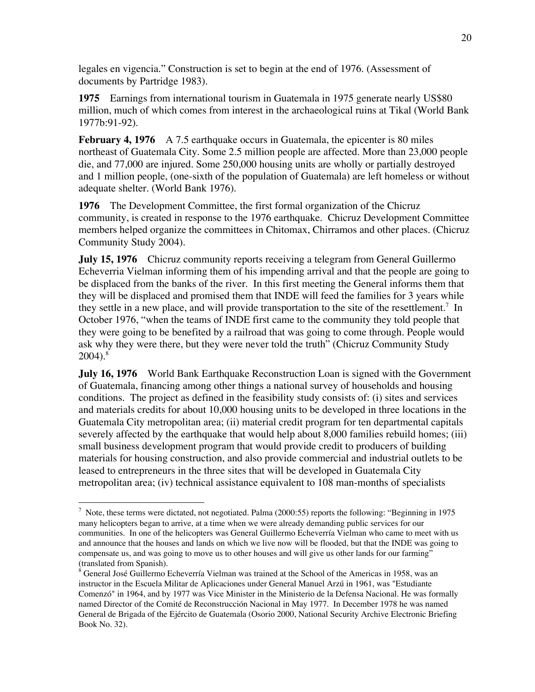legales en vigencia." Construction is set to begin at the end of 1976. (Assessment of documents by Partridge 1983).

**1975** Earnings from international tourism in Guatemala in 1975 generate nearly US\$80 million, much of which comes from interest in the archaeological ruins at Tikal (World Bank 1977b:91-92).

**February 4, 1976** A 7.5 earthquake occurs in Guatemala, the epicenter is 80 miles northeast of Guatemala City. Some 2.5 million people are affected. More than 23,000 people die, and 77,000 are injured. Some 250,000 housing units are wholly or partially destroyed and 1 million people, (one-sixth of the population of Guatemala) are left homeless or without adequate shelter. (World Bank 1976).

**1976** The Development Committee, the first formal organization of the Chicruz community, is created in response to the 1976 earthquake. Chicruz Development Committee members helped organize the committees in Chitomax, Chirramos and other places. (Chicruz Community Study 2004).

**July 15, 1976** Chicruz community reports receiving a telegram from General Guillermo Echeverria Vielman informing them of his impending arrival and that the people are going to be displaced from the banks of the river. In this first meeting the General informs them that they will be displaced and promised them that INDE will feed the families for 3 years while they settle in a new place, and will provide transportation to the site of the resettlement.<sup>7</sup> In October 1976, "when the teams of INDE first came to the community they told people that they were going to be benefited by a railroad that was going to come through. People would ask why they were there, but they were never told the truth" (Chicruz Community Study  $2004$ ).<sup>8</sup>

**July 16, 1976** World Bank Earthquake Reconstruction Loan is signed with the Government of Guatemala, financing among other things a national survey of households and housing conditions. The project as defined in the feasibility study consists of: (i) sites and services and materials credits for about 10,000 housing units to be developed in three locations in the Guatemala City metropolitan area; (ii) material credit program for ten departmental capitals severely affected by the earthquake that would help about 8,000 families rebuild homes; (iii) small business development program that would provide credit to producers of building materials for housing construction, and also provide commercial and industrial outlets to be leased to entrepreneurs in the three sites that will be developed in Guatemala City metropolitan area; (iv) technical assistance equivalent to 108 man-months of specialists

<sup>&</sup>lt;sup>-</sup>  $\frac{7}{1}$  Note, these terms were dictated, not negotiated. Palma (2000:55) reports the following: "Beginning in 1975 many helicopters began to arrive, at a time when we were already demanding public services for our communities. In one of the helicopters was General Guillermo Echeverría Vielman who came to meet with us and announce that the houses and lands on which we live now will be flooded, but that the INDE was going to compensate us, and was going to move us to other houses and will give us other lands for our farming" (translated from Spanish).

<sup>&</sup>lt;sup>8</sup> General José Guillermo Echeverría Vielman was trained at the School of the Americas in 1958, was an instructor in the Escuela Militar de Aplicaciones under General Manuel Arzú in 1961, was "Estudiante Comenzó" in 1964, and by 1977 was Vice Minister in the Ministerio de la Defensa Nacional. He was formally named Director of the Comité de Reconstrucción Nacional in May 1977. In December 1978 he was named General de Brigada of the Ejército de Guatemala (Osorio 2000, National Security Archive Electronic Briefing Book No. 32).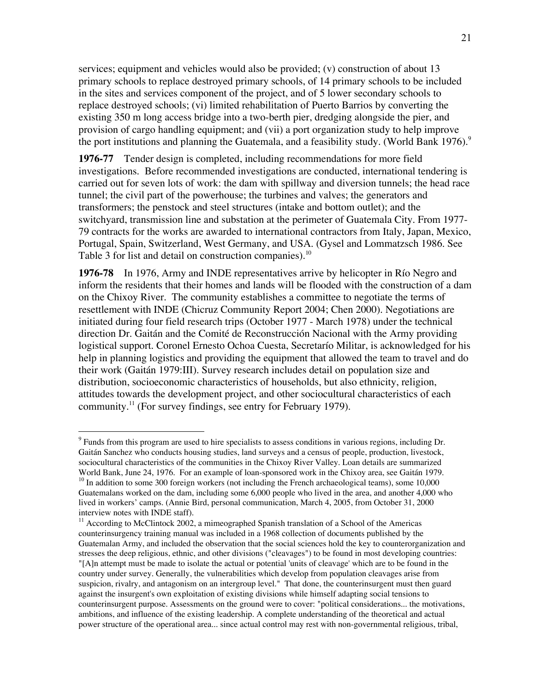services; equipment and vehicles would also be provided; (v) construction of about 13 primary schools to replace destroyed primary schools, of 14 primary schools to be included in the sites and services component of the project, and of 5 lower secondary schools to replace destroyed schools; (vi) limited rehabilitation of Puerto Barrios by converting the existing 350 m long access bridge into a two-berth pier, dredging alongside the pier, and provision of cargo handling equipment; and (vii) a port organization study to help improve the port institutions and planning the Guatemala, and a feasibility study. (World Bank 1976).<sup>9</sup>

**1976-77** Tender design is completed, including recommendations for more field investigations. Before recommended investigations are conducted, international tendering is carried out for seven lots of work: the dam with spillway and diversion tunnels; the head race tunnel; the civil part of the powerhouse; the turbines and valves; the generators and transformers; the penstock and steel structures (intake and bottom outlet); and the switchyard, transmission line and substation at the perimeter of Guatemala City. From 1977- 79 contracts for the works are awarded to international contractors from Italy, Japan, Mexico, Portugal, Spain, Switzerland, West Germany, and USA. (Gysel and Lommatzsch 1986. See Table 3 for list and detail on construction companies).<sup>10</sup>

**1976-78** In 1976, Army and INDE representatives arrive by helicopter in Río Negro and inform the residents that their homes and lands will be flooded with the construction of a dam on the Chixoy River. The community establishes a committee to negotiate the terms of resettlement with INDE (Chicruz Community Report 2004; Chen 2000). Negotiations are initiated during four field research trips (October 1977 - March 1978) under the technical direction Dr. Gaitán and the Comité de Reconstrucción Nacional with the Army providing logistical support. Coronel Ernesto Ochoa Cuesta, Secretarío Militar, is acknowledged for his help in planning logistics and providing the equipment that allowed the team to travel and do their work (Gaitán 1979:III). Survey research includes detail on population size and distribution, socioeconomic characteristics of households, but also ethnicity, religion, attitudes towards the development project, and other sociocultural characteristics of each community.<sup>11</sup> (For survey findings, see entry for February 1979).

<sup>-&</sup>lt;br>9  $\degree$  Funds from this program are used to hire specialists to assess conditions in various regions, including Dr. Gaitán Sanchez who conducts housing studies, land surveys and a census of people, production, livestock, sociocultural characteristics of the communities in the Chixoy River Valley. Loan details are summarized World Bank, June 24, 1976. For an example of loan-sponsored work in the Chixoy area, see Gaitán 1979.

<sup>&</sup>lt;sup>10</sup> In addition to some 300 foreign workers (not including the French archaeological teams), some 10,000 Guatemalans worked on the dam, including some 6,000 people who lived in the area, and another 4,000 who lived in workers' camps. (Annie Bird, personal communication, March 4, 2005, from October 31, 2000 interview notes with INDE staff).

<sup>&</sup>lt;sup>11</sup> According to McClintock 2002, a mimeographed Spanish translation of a School of the Americas counterinsurgency training manual was included in a 1968 collection of documents published by the Guatemalan Army, and included the observation that the social sciences hold the key to counterorganization and stresses the deep religious, ethnic, and other divisions ("cleavages") to be found in most developing countries: "[A]n attempt must be made to isolate the actual or potential 'units of cleavage' which are to be found in the country under survey. Generally, the vulnerabilities which develop from population cleavages arise from suspicion, rivalry, and antagonism on an intergroup level." That done, the counterinsurgent must then guard against the insurgent's own exploitation of existing divisions while himself adapting social tensions to counterinsurgent purpose. Assessments on the ground were to cover: "political considerations... the motivations, ambitions, and influence of the existing leadership. A complete understanding of the theoretical and actual power structure of the operational area... since actual control may rest with non-governmental religious, tribal,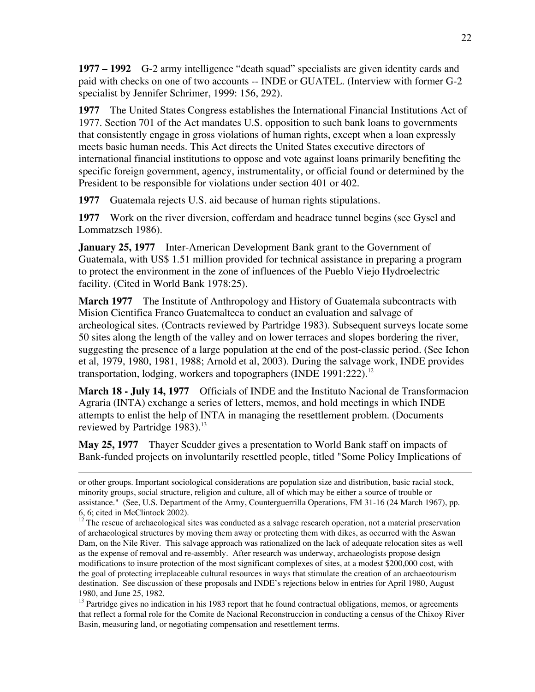**1977 – 1992** G-2 army intelligence "death squad" specialists are given identity cards and paid with checks on one of two accounts -- INDE or GUATEL. (Interview with former G-2 specialist by Jennifer Schrimer, 1999: 156, 292).

**1977** The United States Congress establishes the International Financial Institutions Act of 1977. Section 701 of the Act mandates U.S. opposition to such bank loans to governments that consistently engage in gross violations of human rights, except when a loan expressly meets basic human needs. This Act directs the United States executive directors of international financial institutions to oppose and vote against loans primarily benefiting the specific foreign government, agency, instrumentality, or official found or determined by the President to be responsible for violations under section 401 or 402.

**1977** Guatemala rejects U.S. aid because of human rights stipulations.

**1977** Work on the river diversion, cofferdam and headrace tunnel begins (see Gysel and Lommatzsch 1986).

**January 25, 1977** Inter-American Development Bank grant to the Government of Guatemala, with US\$ 1.51 million provided for technical assistance in preparing a program to protect the environment in the zone of influences of the Pueblo Viejo Hydroelectric facility. (Cited in World Bank 1978:25).

**March 1977** The Institute of Anthropology and History of Guatemala subcontracts with Mision Cientifica Franco Guatemalteca to conduct an evaluation and salvage of archeological sites. (Contracts reviewed by Partridge 1983). Subsequent surveys locate some 50 sites along the length of the valley and on lower terraces and slopes bordering the river, suggesting the presence of a large population at the end of the post-classic period. (See Ichon et al, 1979, 1980, 1981, 1988; Arnold et al, 2003). During the salvage work, INDE provides transportation, lodging, workers and topographers (INDE 1991:222).<sup>12</sup>

**March 18 - July 14, 1977** Officials of INDE and the Instituto Nacional de Transformacion Agraria (INTA) exchange a series of letters, memos, and hold meetings in which INDE attempts to enlist the help of INTA in managing the resettlement problem. (Documents reviewed by Partridge  $1983$ .<sup>13</sup>

**May 25, 1977** Thayer Scudder gives a presentation to World Bank staff on impacts of Bank-funded projects on involuntarily resettled people, titled "Some Policy Implications of

 $\overline{a}$ 

or other groups. Important sociological considerations are population size and distribution, basic racial stock, minority groups, social structure, religion and culture, all of which may be either a source of trouble or assistance." (See, U.S. Department of the Army, Counterguerrilla Operations, FM 31-16 (24 March 1967), pp. 6, 6; cited in McClintock 2002).

<sup>&</sup>lt;sup>12</sup> The rescue of archaeological sites was conducted as a salvage research operation, not a material preservation of archaeological structures by moving them away or protecting them with dikes, as occurred with the Aswan Dam, on the Nile River. This salvage approach was rationalized on the lack of adequate relocation sites as well as the expense of removal and re-assembly. After research was underway, archaeologists propose design modifications to insure protection of the most significant complexes of sites, at a modest \$200,000 cost, with the goal of protecting irreplaceable cultural resources in ways that stimulate the creation of an archaeotourism destination. See discussion of these proposals and INDE's rejections below in entries for April 1980, August 1980, and June 25, 1982.

<sup>&</sup>lt;sup>13</sup> Partridge gives no indication in his 1983 report that he found contractual obligations, memos, or agreements that reflect a formal role for the Comite de Nacional Reconstruccion in conducting a census of the Chixoy River Basin, measuring land, or negotiating compensation and resettlement terms.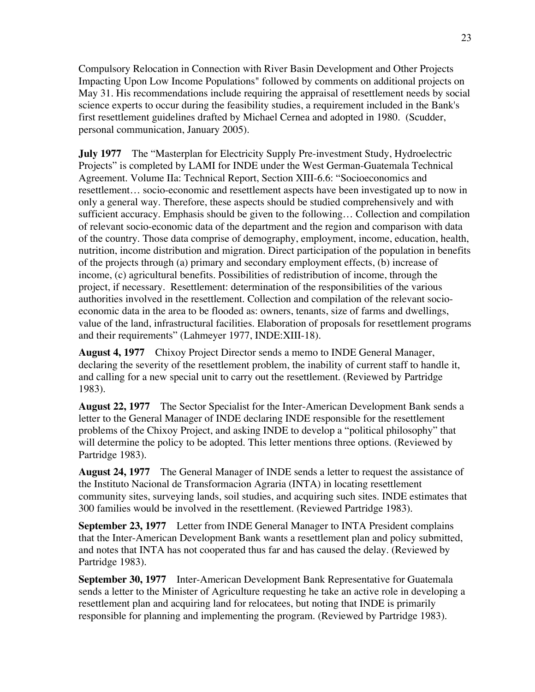Compulsory Relocation in Connection with River Basin Development and Other Projects Impacting Upon Low Income Populations" followed by comments on additional projects on May 31. His recommendations include requiring the appraisal of resettlement needs by social science experts to occur during the feasibility studies, a requirement included in the Bank's first resettlement guidelines drafted by Michael Cernea and adopted in 1980. (Scudder, personal communication, January 2005).

**July 1977** The "Masterplan for Electricity Supply Pre-investment Study, Hydroelectric Projects" is completed by LAMI for INDE under the West German-Guatemala Technical Agreement. Volume IIa: Technical Report, Section XIII-6.6: "Socioeconomics and resettlement… socio-economic and resettlement aspects have been investigated up to now in only a general way. Therefore, these aspects should be studied comprehensively and with sufficient accuracy. Emphasis should be given to the following… Collection and compilation of relevant socio-economic data of the department and the region and comparison with data of the country. Those data comprise of demography, employment, income, education, health, nutrition, income distribution and migration. Direct participation of the population in benefits of the projects through (a) primary and secondary employment effects, (b) increase of income, (c) agricultural benefits. Possibilities of redistribution of income, through the project, if necessary. Resettlement: determination of the responsibilities of the various authorities involved in the resettlement. Collection and compilation of the relevant socioeconomic data in the area to be flooded as: owners, tenants, size of farms and dwellings, value of the land, infrastructural facilities. Elaboration of proposals for resettlement programs and their requirements" (Lahmeyer 1977, INDE:XIII-18).

**August 4, 1977** Chixoy Project Director sends a memo to INDE General Manager, declaring the severity of the resettlement problem, the inability of current staff to handle it, and calling for a new special unit to carry out the resettlement. (Reviewed by Partridge 1983).

**August 22, 1977** The Sector Specialist for the Inter-American Development Bank sends a letter to the General Manager of INDE declaring INDE responsible for the resettlement problems of the Chixoy Project, and asking INDE to develop a "political philosophy" that will determine the policy to be adopted. This letter mentions three options. (Reviewed by Partridge 1983).

**August 24, 1977** The General Manager of INDE sends a letter to request the assistance of the Instituto Nacional de Transformacion Agraria (INTA) in locating resettlement community sites, surveying lands, soil studies, and acquiring such sites. INDE estimates that 300 families would be involved in the resettlement. (Reviewed Partridge 1983).

**September 23, 1977** Letter from INDE General Manager to INTA President complains that the Inter-American Development Bank wants a resettlement plan and policy submitted, and notes that INTA has not cooperated thus far and has caused the delay. (Reviewed by Partridge 1983).

**September 30, 1977** Inter-American Development Bank Representative for Guatemala sends a letter to the Minister of Agriculture requesting he take an active role in developing a resettlement plan and acquiring land for relocatees, but noting that INDE is primarily responsible for planning and implementing the program. (Reviewed by Partridge 1983).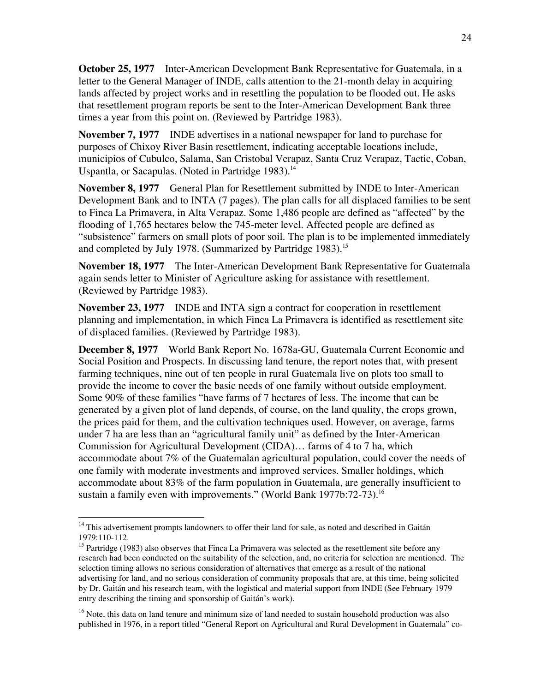**October 25, 1977** Inter-American Development Bank Representative for Guatemala, in a letter to the General Manager of INDE, calls attention to the 21-month delay in acquiring lands affected by project works and in resettling the population to be flooded out. He asks that resettlement program reports be sent to the Inter-American Development Bank three times a year from this point on. (Reviewed by Partridge 1983).

**November 7, 1977** INDE advertises in a national newspaper for land to purchase for purposes of Chixoy River Basin resettlement, indicating acceptable locations include, municipios of Cubulco, Salama, San Cristobal Verapaz, Santa Cruz Verapaz, Tactic, Coban, Uspantla, or Sacapulas. (Noted in Partridge 1983).<sup>14</sup>

**November 8, 1977** General Plan for Resettlement submitted by INDE to Inter-American Development Bank and to INTA (7 pages). The plan calls for all displaced families to be sent to Finca La Primavera, in Alta Verapaz. Some 1,486 people are defined as "affected" by the flooding of 1,765 hectares below the 745-meter level. Affected people are defined as "subsistence" farmers on small plots of poor soil. The plan is to be implemented immediately and completed by July 1978. (Summarized by Partridge 1983).<sup>15</sup>

**November 18, 1977** The Inter-American Development Bank Representative for Guatemala again sends letter to Minister of Agriculture asking for assistance with resettlement. (Reviewed by Partridge 1983).

**November 23, 1977** INDE and INTA sign a contract for cooperation in resettlement planning and implementation, in which Finca La Primavera is identified as resettlement site of displaced families. (Reviewed by Partridge 1983).

**December 8, 1977** World Bank Report No. 1678a-GU, Guatemala Current Economic and Social Position and Prospects. In discussing land tenure, the report notes that, with present farming techniques, nine out of ten people in rural Guatemala live on plots too small to provide the income to cover the basic needs of one family without outside employment. Some 90% of these families "have farms of 7 hectares of less. The income that can be generated by a given plot of land depends, of course, on the land quality, the crops grown, the prices paid for them, and the cultivation techniques used. However, on average, farms under 7 ha are less than an "agricultural family unit" as defined by the Inter-American Commission for Agricultural Development (CIDA)… farms of 4 to 7 ha, which accommodate about 7% of the Guatemalan agricultural population, could cover the needs of one family with moderate investments and improved services. Smaller holdings, which accommodate about 83% of the farm population in Guatemala, are generally insufficient to sustain a family even with improvements." (World Bank 1977b:72-73).<sup>16</sup>

 <sup>14</sup> This advertisement prompts landowners to offer their land for sale, as noted and described in Gaitán 1979:110-112.

<sup>&</sup>lt;sup>15</sup> Partridge (1983) also observes that Finca La Primavera was selected as the resettlement site before any research had been conducted on the suitability of the selection, and, no criteria for selection are mentioned. The selection timing allows no serious consideration of alternatives that emerge as a result of the national advertising for land, and no serious consideration of community proposals that are, at this time, being solicited by Dr. Gaitán and his research team, with the logistical and material support from INDE (See February 1979 entry describing the timing and sponsorship of Gaitán's work).

<sup>&</sup>lt;sup>16</sup> Note, this data on land tenure and minimum size of land needed to sustain household production was also published in 1976, in a report titled "General Report on Agricultural and Rural Development in Guatemala" co-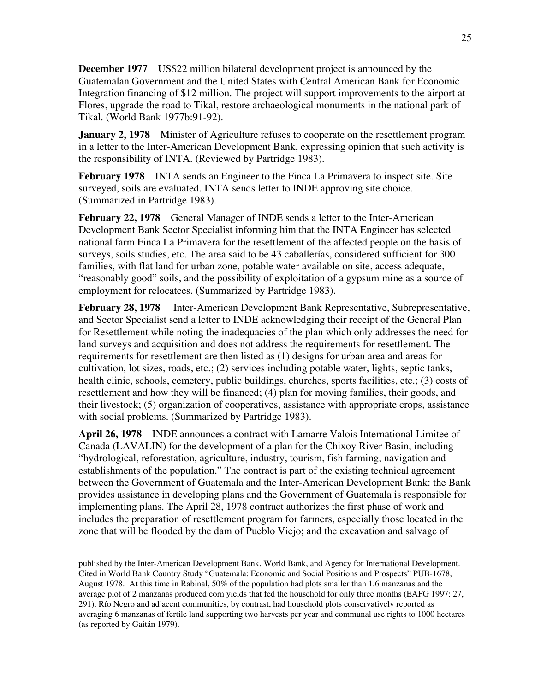**December 1977** US\$22 million bilateral development project is announced by the Guatemalan Government and the United States with Central American Bank for Economic Integration financing of \$12 million. The project will support improvements to the airport at Flores, upgrade the road to Tikal, restore archaeological monuments in the national park of Tikal. (World Bank 1977b:91-92).

**January 2, 1978** Minister of Agriculture refuses to cooperate on the resettlement program in a letter to the Inter-American Development Bank, expressing opinion that such activity is the responsibility of INTA. (Reviewed by Partridge 1983).

**February 1978** INTA sends an Engineer to the Finca La Primavera to inspect site. Site surveyed, soils are evaluated. INTA sends letter to INDE approving site choice. (Summarized in Partridge 1983).

**February 22, 1978** General Manager of INDE sends a letter to the Inter-American Development Bank Sector Specialist informing him that the INTA Engineer has selected national farm Finca La Primavera for the resettlement of the affected people on the basis of surveys, soils studies, etc. The area said to be 43 caballerías, considered sufficient for 300 families, with flat land for urban zone, potable water available on site, access adequate, "reasonably good" soils, and the possibility of exploitation of a gypsum mine as a source of employment for relocatees. (Summarized by Partridge 1983).

**February 28, 1978** Inter-American Development Bank Representative, Subrepresentative, and Sector Specialist send a letter to INDE acknowledging their receipt of the General Plan for Resettlement while noting the inadequacies of the plan which only addresses the need for land surveys and acquisition and does not address the requirements for resettlement. The requirements for resettlement are then listed as (1) designs for urban area and areas for cultivation, lot sizes, roads, etc.; (2) services including potable water, lights, septic tanks, health clinic, schools, cemetery, public buildings, churches, sports facilities, etc.; (3) costs of resettlement and how they will be financed; (4) plan for moving families, their goods, and their livestock; (5) organization of cooperatives, assistance with appropriate crops, assistance with social problems. (Summarized by Partridge 1983).

**April 26, 1978** INDE announces a contract with Lamarre Valois International Limitee of Canada (LAVALIN) for the development of a plan for the Chixoy River Basin, including "hydrological, reforestation, agriculture, industry, tourism, fish farming, navigation and establishments of the population." The contract is part of the existing technical agreement between the Government of Guatemala and the Inter-American Development Bank: the Bank provides assistance in developing plans and the Government of Guatemala is responsible for implementing plans. The April 28, 1978 contract authorizes the first phase of work and includes the preparation of resettlement program for farmers, especially those located in the zone that will be flooded by the dam of Pueblo Viejo; and the excavation and salvage of

 $\overline{a}$ 

published by the Inter-American Development Bank, World Bank, and Agency for International Development. Cited in World Bank Country Study "Guatemala: Economic and Social Positions and Prospects" PUB-1678, August 1978. At this time in Rabinal, 50% of the population had plots smaller than 1.6 manzanas and the average plot of 2 manzanas produced corn yields that fed the household for only three months (EAFG 1997: 27, 291). Río Negro and adjacent communities, by contrast, had household plots conservatively reported as averaging 6 manzanas of fertile land supporting two harvests per year and communal use rights to 1000 hectares (as reported by Gaitán 1979).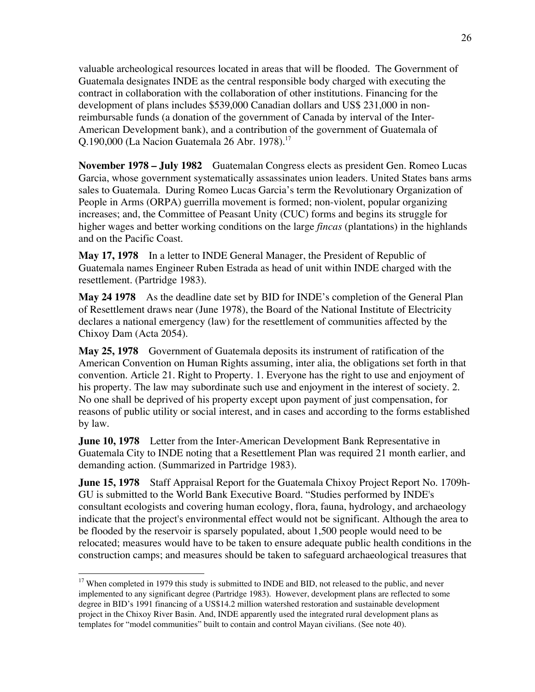valuable archeological resources located in areas that will be flooded. The Government of Guatemala designates INDE as the central responsible body charged with executing the contract in collaboration with the collaboration of other institutions. Financing for the development of plans includes \$539,000 Canadian dollars and US\$ 231,000 in nonreimbursable funds (a donation of the government of Canada by interval of the Inter-American Development bank), and a contribution of the government of Guatemala of Q.190,000 (La Nacion Guatemala 26 Abr. 1978).17

**November 1978 – July 1982** Guatemalan Congress elects as president Gen. Romeo Lucas Garcia, whose government systematically assassinates union leaders. United States bans arms sales to Guatemala. During Romeo Lucas Garcia's term the Revolutionary Organization of People in Arms (ORPA) guerrilla movement is formed; non-violent, popular organizing increases; and, the Committee of Peasant Unity (CUC) forms and begins its struggle for higher wages and better working conditions on the large *fincas* (plantations) in the highlands and on the Pacific Coast.

**May 17, 1978** In a letter to INDE General Manager, the President of Republic of Guatemala names Engineer Ruben Estrada as head of unit within INDE charged with the resettlement. (Partridge 1983).

**May 24 1978** As the deadline date set by BID for INDE's completion of the General Plan of Resettlement draws near (June 1978), the Board of the National Institute of Electricity declares a national emergency (law) for the resettlement of communities affected by the Chixoy Dam (Acta 2054).

**May 25, 1978** Government of Guatemala deposits its instrument of ratification of the American Convention on Human Rights assuming, inter alia, the obligations set forth in that convention. Article 21. Right to Property. 1. Everyone has the right to use and enjoyment of his property. The law may subordinate such use and enjoyment in the interest of society. 2. No one shall be deprived of his property except upon payment of just compensation, for reasons of public utility or social interest, and in cases and according to the forms established by law.

**June 10, 1978** Letter from the Inter-American Development Bank Representative in Guatemala City to INDE noting that a Resettlement Plan was required 21 month earlier, and demanding action. (Summarized in Partridge 1983).

**June 15, 1978** Staff Appraisal Report for the Guatemala Chixoy Project Report No. 1709h-GU is submitted to the World Bank Executive Board. "Studies performed by INDE's consultant ecologists and covering human ecology, flora, fauna, hydrology, and archaeology indicate that the project's environmental effect would not be significant. Although the area to be flooded by the reservoir is sparsely populated, about 1,500 people would need to be relocated; measures would have to be taken to ensure adequate public health conditions in the construction camps; and measures should be taken to safeguard archaeological treasures that

<sup>&</sup>lt;sup>17</sup> When completed in 1979 this study is submitted to INDE and BID, not released to the public, and never implemented to any significant degree (Partridge 1983). However, development plans are reflected to some degree in BID's 1991 financing of a US\$14.2 million watershed restoration and sustainable development project in the Chixoy River Basin. And, INDE apparently used the integrated rural development plans as templates for "model communities" built to contain and control Mayan civilians. (See note 40).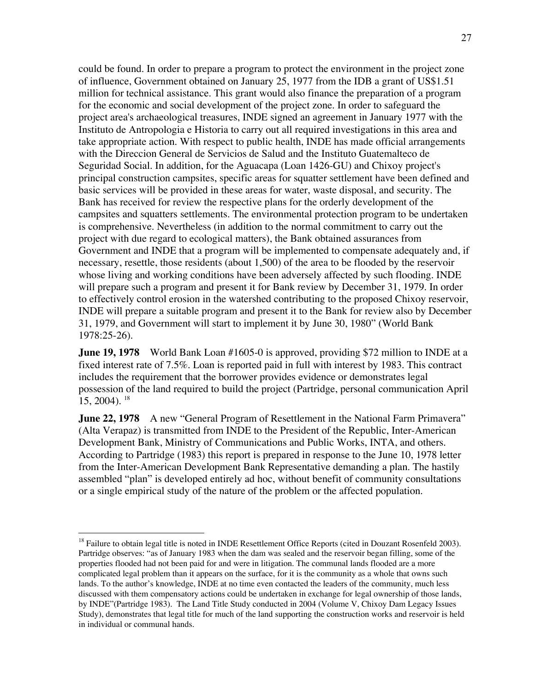could be found. In order to prepare a program to protect the environment in the project zone of influence, Government obtained on January 25, 1977 from the IDB a grant of US\$1.51 million for technical assistance. This grant would also finance the preparation of a program for the economic and social development of the project zone. In order to safeguard the project area's archaeological treasures, INDE signed an agreement in January 1977 with the Instituto de Antropologia e Historia to carry out all required investigations in this area and take appropriate action. With respect to public health, INDE has made official arrangements with the Direccion General de Servicios de Salud and the Instituto Guatemalteco de Seguridad Social. In addition, for the Aguacapa (Loan 1426-GU) and Chixoy project's principal construction campsites, specific areas for squatter settlement have been defined and basic services will be provided in these areas for water, waste disposal, and security. The Bank has received for review the respective plans for the orderly development of the campsites and squatters settlements. The environmental protection program to be undertaken is comprehensive. Nevertheless (in addition to the normal commitment to carry out the project with due regard to ecological matters), the Bank obtained assurances from Government and INDE that a program will be implemented to compensate adequately and, if necessary, resettle, those residents (about 1,500) of the area to be flooded by the reservoir whose living and working conditions have been adversely affected by such flooding. INDE will prepare such a program and present it for Bank review by December 31, 1979. In order to effectively control erosion in the watershed contributing to the proposed Chixoy reservoir, INDE will prepare a suitable program and present it to the Bank for review also by December 31, 1979, and Government will start to implement it by June 30, 1980" (World Bank 1978:25-26).

**June 19, 1978** World Bank Loan #1605-0 is approved, providing \$72 million to INDE at a fixed interest rate of 7.5%. Loan is reported paid in full with interest by 1983. This contract includes the requirement that the borrower provides evidence or demonstrates legal possession of the land required to build the project (Partridge, personal communication April  $15, 2004$ ). <sup>18</sup>

**June 22, 1978** A new "General Program of Resettlement in the National Farm Primavera" (Alta Verapaz) is transmitted from INDE to the President of the Republic, Inter-American Development Bank, Ministry of Communications and Public Works, INTA, and others. According to Partridge (1983) this report is prepared in response to the June 10, 1978 letter from the Inter-American Development Bank Representative demanding a plan. The hastily assembled "plan" is developed entirely ad hoc, without benefit of community consultations or a single empirical study of the nature of the problem or the affected population.

<sup>&</sup>lt;sup>18</sup> Failure to obtain legal title is noted in INDE Resettlement Office Reports (cited in Douzant Rosenfeld 2003). Partridge observes: "as of January 1983 when the dam was sealed and the reservoir began filling, some of the properties flooded had not been paid for and were in litigation. The communal lands flooded are a more complicated legal problem than it appears on the surface, for it is the community as a whole that owns such lands. To the author's knowledge, INDE at no time even contacted the leaders of the community, much less discussed with them compensatory actions could be undertaken in exchange for legal ownership of those lands, by INDE"(Partridge 1983). The Land Title Study conducted in 2004 (Volume V, Chixoy Dam Legacy Issues Study), demonstrates that legal title for much of the land supporting the construction works and reservoir is held in individual or communal hands.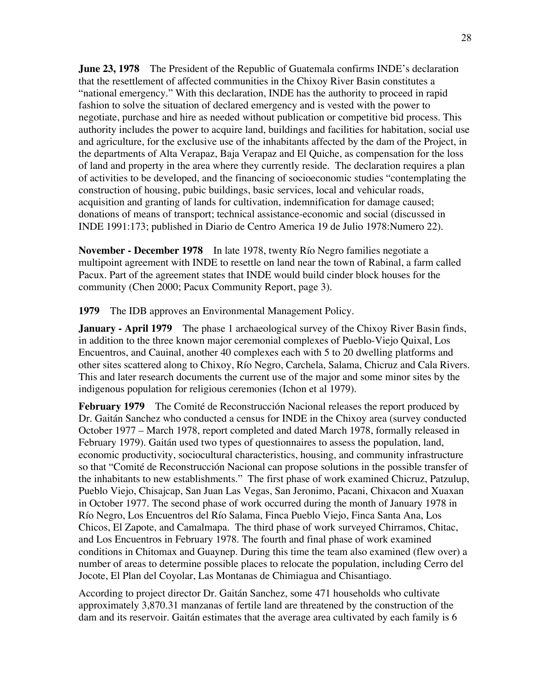**June 23, 1978** The President of the Republic of Guatemala confirms INDE's declaration that the resettlement of affected communities in the Chixoy River Basin constitutes a "national emergency." With this declaration, INDE has the authority to proceed in rapid fashion to solve the situation of declared emergency and is vested with the power to negotiate, purchase and hire as needed without publication or competitive bid process. This authority includes the power to acquire land, buildings and facilities for habitation, social use and agriculture, for the exclusive use of the inhabitants affected by the dam of the Project, in the departments of Alta Verapaz, Baja Verapaz and El Quiche, as compensation for the loss of land and property in the area where they currently reside. The declaration requires a plan of activities to be developed, and the financing of socioeconomic studies "contemplating the construction of housing, pubic buildings, basic services, local and vehicular roads, acquisition and granting of lands for cultivation, indemnification for damage caused; donations of means of transport; technical assistance-economic and social (discussed in INDE 1991:173; published in Diario de Centro America 19 de Julio 1978:Numero 22).

**November - December 1978** In late 1978, twenty Río Negro families negotiate a multipoint agreement with INDE to resettle on land near the town of Rabinal, a farm called Pacux. Part of the agreement states that INDE would build cinder block houses for the community (Chen 2000; Pacux Community Report, page 3).

**1979** The IDB approves an Environmental Management Policy.

**January - April 1979** The phase 1 archaeological survey of the Chixoy River Basin finds, in addition to the three known major ceremonial complexes of Pueblo-Viejo Quixal, Los Encuentros, and Cauinal, another 40 complexes each with 5 to 20 dwelling platforms and other sites scattered along to Chixoy, Río Negro, Carchela, Salama, Chicruz and Cala Rivers. This and later research documents the current use of the major and some minor sites by the indigenous population for religious ceremonies (Ichon et al 1979).

**February 1979** The Comité de Reconstrucción Nacional releases the report produced by Dr. Gaitán Sanchez who conducted a census for INDE in the Chixoy area (survey conducted October 1977 – March 1978, report completed and dated March 1978, formally released in February 1979). Gaitán used two types of questionnaires to assess the population, land, economic productivity, sociocultural characteristics, housing, and community infrastructure so that "Comité de Reconstrucción Nacional can propose solutions in the possible transfer of the inhabitants to new establishments." The first phase of work examined Chicruz, Patzulup, Pueblo Viejo, Chisajcap, San Juan Las Vegas, San Jeronimo, Pacani, Chixacon and Xuaxan in October 1977. The second phase of work occurred during the month of January 1978 in Río Negro, Los Encuentros del Río Salama, Finca Pueblo Viejo, Finca Santa Ana, Los Chicos, El Zapote, and Camalmapa. The third phase of work surveyed Chirramos, Chitac, and Los Encuentros in February 1978. The fourth and final phase of work examined conditions in Chitomax and Guaynep. During this time the team also examined (flew over) a number of areas to determine possible places to relocate the population, including Cerro del Jocote, El Plan del Coyolar, Las Montanas de Chimiagua and Chisantiago.

According to project director Dr. Gaitán Sanchez, some 471 households who cultivate approximately 3,870.31 manzanas of fertile land are threatened by the construction of the dam and its reservoir. Gaitán estimates that the average area cultivated by each family is 6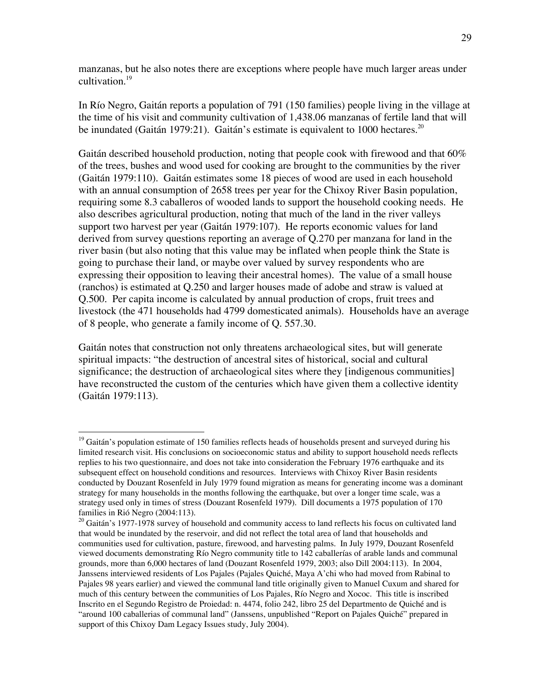manzanas, but he also notes there are exceptions where people have much larger areas under cultivation.<sup>19</sup>

In Río Negro, Gaitán reports a population of 791 (150 families) people living in the village at the time of his visit and community cultivation of 1,438.06 manzanas of fertile land that will be inundated (Gaitán 1979:21). Gaitán's estimate is equivalent to 1000 hectares.<sup>20</sup>

Gaitán described household production, noting that people cook with firewood and that 60% of the trees, bushes and wood used for cooking are brought to the communities by the river (Gaitán 1979:110). Gaitán estimates some 18 pieces of wood are used in each household with an annual consumption of 2658 trees per year for the Chixoy River Basin population, requiring some 8.3 caballeros of wooded lands to support the household cooking needs. He also describes agricultural production, noting that much of the land in the river valleys support two harvest per year (Gaitán 1979:107). He reports economic values for land derived from survey questions reporting an average of Q.270 per manzana for land in the river basin (but also noting that this value may be inflated when people think the State is going to purchase their land, or maybe over valued by survey respondents who are expressing their opposition to leaving their ancestral homes). The value of a small house (ranchos) is estimated at Q.250 and larger houses made of adobe and straw is valued at Q.500. Per capita income is calculated by annual production of crops, fruit trees and livestock (the 471 households had 4799 domesticated animals). Households have an average of 8 people, who generate a family income of Q. 557.30.

Gaitán notes that construction not only threatens archaeological sites, but will generate spiritual impacts: "the destruction of ancestral sites of historical, social and cultural significance; the destruction of archaeological sites where they [indigenous communities] have reconstructed the custom of the centuries which have given them a collective identity (Gaitán 1979:113).

<sup>&</sup>lt;sup>19</sup> Gaitán's population estimate of 150 families reflects heads of households present and surveyed during his limited research visit. His conclusions on socioeconomic status and ability to support household needs reflects replies to his two questionnaire, and does not take into consideration the February 1976 earthquake and its subsequent effect on household conditions and resources. Interviews with Chixoy River Basin residents conducted by Douzant Rosenfeld in July 1979 found migration as means for generating income was a dominant strategy for many households in the months following the earthquake, but over a longer time scale, was a strategy used only in times of stress (Douzant Rosenfeld 1979). Dill documents a 1975 population of 170 families in Rió Negro (2004:113).

<sup>&</sup>lt;sup>20</sup> Gaitán's 1977-1978 survey of household and community access to land reflects his focus on cultivated land that would be inundated by the reservoir, and did not reflect the total area of land that households and communities used for cultivation, pasture, firewood, and harvesting palms. In July 1979, Douzant Rosenfeld viewed documents demonstrating Río Negro community title to 142 caballerías of arable lands and communal grounds, more than 6,000 hectares of land (Douzant Rosenfeld 1979, 2003; also Dill 2004:113). In 2004, Janssens interviewed residents of Los Pajales (Pajales Quiché, Maya A'chi who had moved from Rabinal to Pajales 98 years earlier) and viewed the communal land title originally given to Manuel Cuxum and shared for much of this century between the communities of Los Pajales, Río Negro and Xococ. This title is inscribed Inscrito en el Segundo Registro de Proiedad: n. 4474, folio 242, libro 25 del Departmento de Quiché and is "around 100 caballerias of communal land" (Janssens, unpublished "Report on Pajales Quiché" prepared in support of this Chixoy Dam Legacy Issues study, July 2004).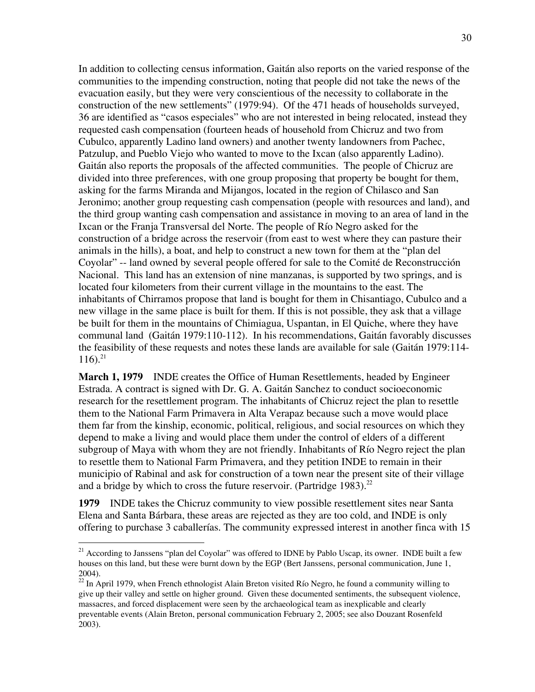In addition to collecting census information, Gaitán also reports on the varied response of the communities to the impending construction, noting that people did not take the news of the evacuation easily, but they were very conscientious of the necessity to collaborate in the construction of the new settlements" (1979:94). Of the 471 heads of households surveyed, 36 are identified as "casos especiales" who are not interested in being relocated, instead they requested cash compensation (fourteen heads of household from Chicruz and two from Cubulco, apparently Ladino land owners) and another twenty landowners from Pachec, Patzulup, and Pueblo Viejo who wanted to move to the Ixcan (also apparently Ladino). Gaitán also reports the proposals of the affected communities. The people of Chicruz are divided into three preferences, with one group proposing that property be bought for them, asking for the farms Miranda and Mijangos, located in the region of Chilasco and San Jeronimo; another group requesting cash compensation (people with resources and land), and the third group wanting cash compensation and assistance in moving to an area of land in the Ixcan or the Franja Transversal del Norte. The people of Río Negro asked for the construction of a bridge across the reservoir (from east to west where they can pasture their animals in the hills), a boat, and help to construct a new town for them at the "plan del Coyolar" -- land owned by several people offered for sale to the Comité de Reconstrucción Nacional. This land has an extension of nine manzanas, is supported by two springs, and is located four kilometers from their current village in the mountains to the east. The inhabitants of Chirramos propose that land is bought for them in Chisantiago, Cubulco and a new village in the same place is built for them. If this is not possible, they ask that a village be built for them in the mountains of Chimiagua, Uspantan, in El Quiche, where they have communal land (Gaitán 1979:110-112). In his recommendations, Gaitán favorably discusses the feasibility of these requests and notes these lands are available for sale (Gaitán 1979:114-  $116$ ).<sup>21</sup>

**March 1, 1979** INDE creates the Office of Human Resettlements, headed by Engineer Estrada. A contract is signed with Dr. G. A. Gaitán Sanchez to conduct socioeconomic research for the resettlement program. The inhabitants of Chicruz reject the plan to resettle them to the National Farm Primavera in Alta Verapaz because such a move would place them far from the kinship, economic, political, religious, and social resources on which they depend to make a living and would place them under the control of elders of a different subgroup of Maya with whom they are not friendly. Inhabitants of Río Negro reject the plan to resettle them to National Farm Primavera, and they petition INDE to remain in their municipio of Rabinal and ask for construction of a town near the present site of their village and a bridge by which to cross the future reservoir. (Partridge 1983).<sup>22</sup>

**1979** INDE takes the Chicruz community to view possible resettlement sites near Santa Elena and Santa Bárbara, these areas are rejected as they are too cold, and INDE is only offering to purchase 3 caballerías. The community expressed interest in another finca with 15

<sup>&</sup>lt;sup>21</sup> According to Janssens "plan del Coyolar" was offered to IDNE by Pablo Uscap, its owner. INDE built a few houses on this land, but these were burnt down by the EGP (Bert Janssens, personal communication, June 1, 2004).

 $22$  In April 1979, when French ethnologist Alain Breton visited Río Negro, he found a community willing to give up their valley and settle on higher ground. Given these documented sentiments, the subsequent violence, massacres, and forced displacement were seen by the archaeological team as inexplicable and clearly preventable events (Alain Breton, personal communication February 2, 2005; see also Douzant Rosenfeld 2003).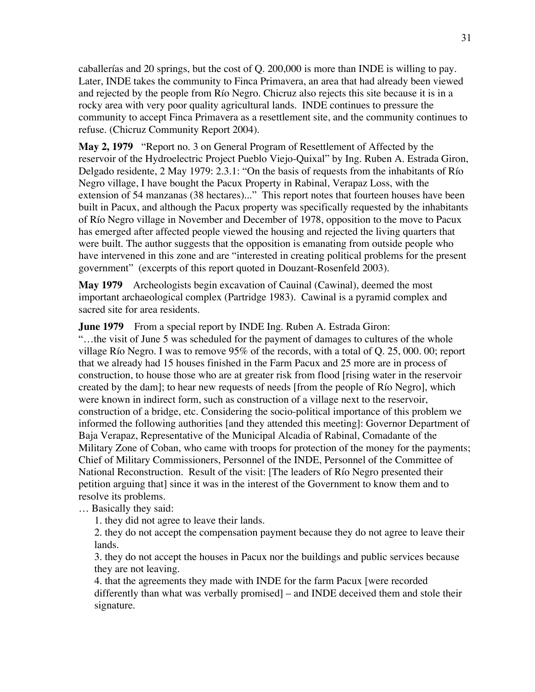caballerías and 20 springs, but the cost of Q. 200,000 is more than INDE is willing to pay. Later, INDE takes the community to Finca Primavera, an area that had already been viewed and rejected by the people from Río Negro. Chicruz also rejects this site because it is in a rocky area with very poor quality agricultural lands. INDE continues to pressure the community to accept Finca Primavera as a resettlement site, and the community continues to refuse. (Chicruz Community Report 2004).

**May 2, 1979** "Report no. 3 on General Program of Resettlement of Affected by the reservoir of the Hydroelectric Project Pueblo Viejo-Quixal" by Ing. Ruben A. Estrada Giron, Delgado residente, 2 May 1979: 2.3.1: "On the basis of requests from the inhabitants of Río Negro village, I have bought the Pacux Property in Rabinal, Verapaz Loss, with the extension of 54 manzanas (38 hectares)..." This report notes that fourteen houses have been built in Pacux, and although the Pacux property was specifically requested by the inhabitants of Río Negro village in November and December of 1978, opposition to the move to Pacux has emerged after affected people viewed the housing and rejected the living quarters that were built. The author suggests that the opposition is emanating from outside people who have intervened in this zone and are "interested in creating political problems for the present government" (excerpts of this report quoted in Douzant-Rosenfeld 2003).

**May 1979** Archeologists begin excavation of Cauinal (Cawinal), deemed the most important archaeological complex (Partridge 1983). Cawinal is a pyramid complex and sacred site for area residents.

**June 1979** From a special report by INDE Ing. Ruben A. Estrada Giron:

"…the visit of June 5 was scheduled for the payment of damages to cultures of the whole village Río Negro. I was to remove 95% of the records, with a total of Q. 25, 000. 00; report that we already had 15 houses finished in the Farm Pacux and 25 more are in process of construction, to house those who are at greater risk from flood [rising water in the reservoir created by the dam]; to hear new requests of needs [from the people of Río Negro], which were known in indirect form, such as construction of a village next to the reservoir, construction of a bridge, etc. Considering the socio-political importance of this problem we informed the following authorities [and they attended this meeting]: Governor Department of Baja Verapaz, Representative of the Municipal Alcadia of Rabinal, Comadante of the Military Zone of Coban, who came with troops for protection of the money for the payments; Chief of Military Commissioners, Personnel of the INDE, Personnel of the Committee of National Reconstruction. Result of the visit: [The leaders of Río Negro presented their petition arguing that] since it was in the interest of the Government to know them and to resolve its problems.

… Basically they said:

1. they did not agree to leave their lands.

2. they do not accept the compensation payment because they do not agree to leave their lands.

3. they do not accept the houses in Pacux nor the buildings and public services because they are not leaving.

4. that the agreements they made with INDE for the farm Pacux [were recorded differently than what was verbally promised] – and INDE deceived them and stole their signature.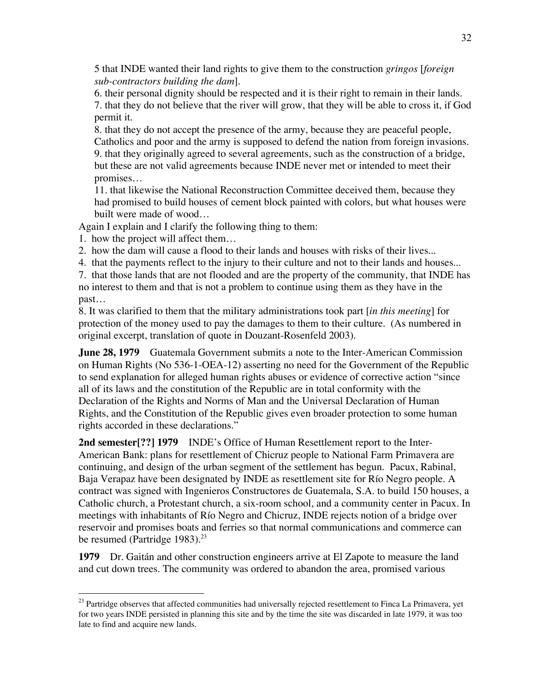5 that INDE wanted their land rights to give them to the construction *gringos* [*foreign sub-contractors building the dam*].

6. their personal dignity should be respected and it is their right to remain in their lands. 7. that they do not believe that the river will grow, that they will be able to cross it, if God permit it.

8. that they do not accept the presence of the army, because they are peaceful people, Catholics and poor and the army is supposed to defend the nation from foreign invasions. 9. that they originally agreed to several agreements, such as the construction of a bridge, but these are not valid agreements because INDE never met or intended to meet their promises…

11. that likewise the National Reconstruction Committee deceived them, because they had promised to build houses of cement block painted with colors, but what houses were built were made of wood…

Again I explain and I clarify the following thing to them:

1. how the project will affect them…

2. how the dam will cause a flood to their lands and houses with risks of their lives...

4. that the payments reflect to the injury to their culture and not to their lands and houses...

7. that those lands that are not flooded and are the property of the community, that INDE has no interest to them and that is not a problem to continue using them as they have in the past…

8. It was clarified to them that the military administrations took part [*in this meeting*] for protection of the money used to pay the damages to them to their culture. (As numbered in original excerpt, translation of quote in Douzant-Rosenfeld 2003).

**June 28, 1979** Guatemala Government submits a note to the Inter-American Commission on Human Rights (No 536-1-OEA-12) asserting no need for the Government of the Republic to send explanation for alleged human rights abuses or evidence of corrective action "since all of its laws and the constitution of the Republic are in total conformity with the Declaration of the Rights and Norms of Man and the Universal Declaration of Human Rights, and the Constitution of the Republic gives even broader protection to some human rights accorded in these declarations."

**2nd semester[??] 1979** INDE's Office of Human Resettlement report to the Inter-American Bank: plans for resettlement of Chicruz people to National Farm Primavera are continuing, and design of the urban segment of the settlement has begun. Pacux, Rabinal, Baja Verapaz have been designated by INDE as resettlement site for Río Negro people. A contract was signed with Ingenieros Constructores de Guatemala, S.A. to build 150 houses, a Catholic church, a Protestant church, a six-room school, and a community center in Pacux. In meetings with inhabitants of Río Negro and Chicruz, INDE rejects notion of a bridge over reservoir and promises boats and ferries so that normal communications and commerce can be resumed (Partridge 1983). $^{23}$ 

**1979** Dr. Gaitán and other construction engineers arrive at El Zapote to measure the land and cut down trees. The community was ordered to abandon the area, promised various

<sup>&</sup>lt;sup>23</sup> Partridge observes that affected communities had universally rejected resettlement to Finca La Primavera, yet for two years INDE persisted in planning this site and by the time the site was discarded in late 1979, it was too late to find and acquire new lands.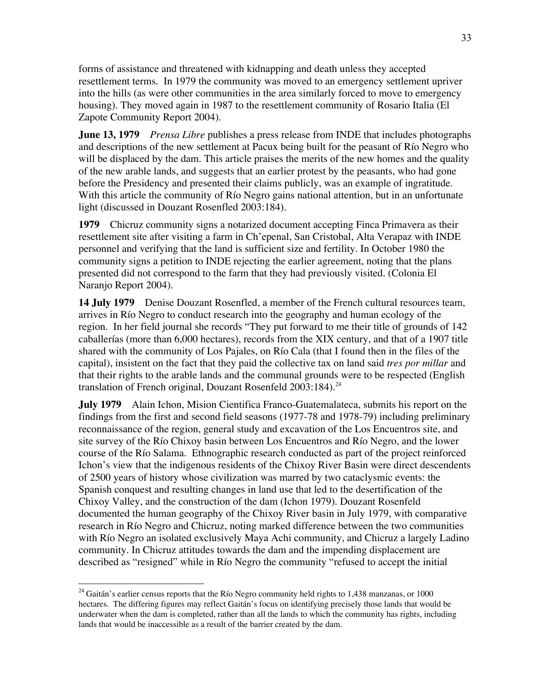forms of assistance and threatened with kidnapping and death unless they accepted resettlement terms. In 1979 the community was moved to an emergency settlement upriver into the hills (as were other communities in the area similarly forced to move to emergency housing). They moved again in 1987 to the resettlement community of Rosario Italia (El Zapote Community Report 2004).

**June 13, 1979** *Prensa Libre* publishes a press release from INDE that includes photographs and descriptions of the new settlement at Pacux being built for the peasant of Río Negro who will be displaced by the dam. This article praises the merits of the new homes and the quality of the new arable lands, and suggests that an earlier protest by the peasants, who had gone before the Presidency and presented their claims publicly, was an example of ingratitude. With this article the community of Río Negro gains national attention, but in an unfortunate light (discussed in Douzant Rosenfled 2003:184).

**1979** Chicruz community signs a notarized document accepting Finca Primavera as their resettlement site after visiting a farm in Ch'epenal, San Cristobal, Alta Verapaz with INDE personnel and verifying that the land is sufficient size and fertility. In October 1980 the community signs a petition to INDE rejecting the earlier agreement, noting that the plans presented did not correspond to the farm that they had previously visited. (Colonia El Naranjo Report 2004).

**14 July 1979** Denise Douzant Rosenfled, a member of the French cultural resources team, arrives in Río Negro to conduct research into the geography and human ecology of the region. In her field journal she records "They put forward to me their title of grounds of 142 caballerías (more than 6,000 hectares), records from the XIX century, and that of a 1907 title shared with the community of Los Pajales, on Río Cala (that I found then in the files of the capital), insistent on the fact that they paid the collective tax on land said *tres por millar* and that their rights to the arable lands and the communal grounds were to be respected (English translation of French original, Douzant Rosenfeld 2003:184).<sup>24</sup>

**July 1979** Alain Ichon, Mision Cientifica Franco-Guatemalateca, submits his report on the findings from the first and second field seasons (1977-78 and 1978-79) including preliminary reconnaissance of the region, general study and excavation of the Los Encuentros site, and site survey of the Río Chixoy basin between Los Encuentros and Río Negro, and the lower course of the Río Salama. Ethnographic research conducted as part of the project reinforced Ichon's view that the indigenous residents of the Chixoy River Basin were direct descendents of 2500 years of history whose civilization was marred by two cataclysmic events: the Spanish conquest and resulting changes in land use that led to the desertification of the Chixoy Valley, and the construction of the dam (Ichon 1979). Douzant Rosenfeld documented the human geography of the Chixoy River basin in July 1979, with comparative research in Río Negro and Chicruz, noting marked difference between the two communities with Río Negro an isolated exclusively Maya Achi community, and Chicruz a largely Ladino community. In Chicruz attitudes towards the dam and the impending displacement are described as "resigned" while in Río Negro the community "refused to accept the initial

<sup>&</sup>lt;sup>24</sup> Gaitán's earlier census reports that the Río Negro community held rights to 1,438 manzanas, or 1000 hectares. The differing figures may reflect Gaitán's focus on identifying precisely those lands that would be underwater when the dam is completed, rather than all the lands to which the community has rights, including lands that would be inaccessible as a result of the barrier created by the dam.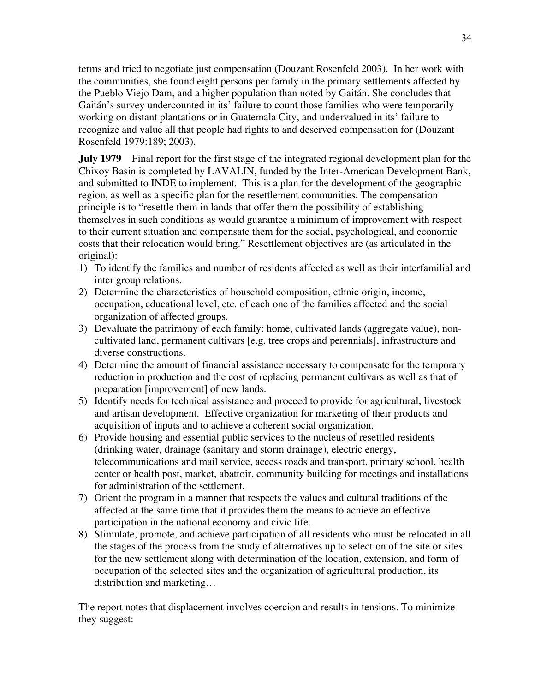terms and tried to negotiate just compensation (Douzant Rosenfeld 2003). In her work with the communities, she found eight persons per family in the primary settlements affected by the Pueblo Viejo Dam, and a higher population than noted by Gaitán. She concludes that Gaitán's survey undercounted in its' failure to count those families who were temporarily working on distant plantations or in Guatemala City, and undervalued in its' failure to recognize and value all that people had rights to and deserved compensation for (Douzant Rosenfeld 1979:189; 2003).

**July 1979** Final report for the first stage of the integrated regional development plan for the Chixoy Basin is completed by LAVALIN, funded by the Inter-American Development Bank, and submitted to INDE to implement. This is a plan for the development of the geographic region, as well as a specific plan for the resettlement communities. The compensation principle is to "resettle them in lands that offer them the possibility of establishing themselves in such conditions as would guarantee a minimum of improvement with respect to their current situation and compensate them for the social, psychological, and economic costs that their relocation would bring." Resettlement objectives are (as articulated in the original):

- 1) To identify the families and number of residents affected as well as their interfamilial and inter group relations.
- 2) Determine the characteristics of household composition, ethnic origin, income, occupation, educational level, etc. of each one of the families affected and the social organization of affected groups.
- 3) Devaluate the patrimony of each family: home, cultivated lands (aggregate value), noncultivated land, permanent cultivars [e.g. tree crops and perennials], infrastructure and diverse constructions.
- 4) Determine the amount of financial assistance necessary to compensate for the temporary reduction in production and the cost of replacing permanent cultivars as well as that of preparation [improvement] of new lands.
- 5) Identify needs for technical assistance and proceed to provide for agricultural, livestock and artisan development. Effective organization for marketing of their products and acquisition of inputs and to achieve a coherent social organization.
- 6) Provide housing and essential public services to the nucleus of resettled residents (drinking water, drainage (sanitary and storm drainage), electric energy, telecommunications and mail service, access roads and transport, primary school, health center or health post, market, abattoir, community building for meetings and installations for administration of the settlement.
- 7) Orient the program in a manner that respects the values and cultural traditions of the affected at the same time that it provides them the means to achieve an effective participation in the national economy and civic life.
- 8) Stimulate, promote, and achieve participation of all residents who must be relocated in all the stages of the process from the study of alternatives up to selection of the site or sites for the new settlement along with determination of the location, extension, and form of occupation of the selected sites and the organization of agricultural production, its distribution and marketing…

The report notes that displacement involves coercion and results in tensions. To minimize they suggest: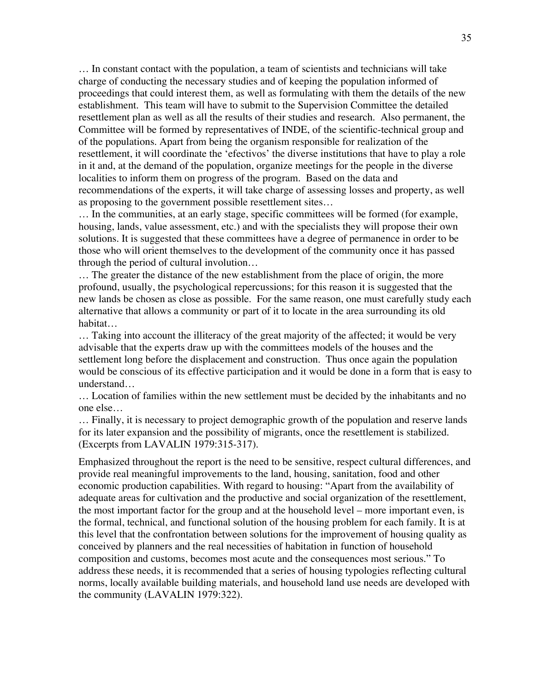… In constant contact with the population, a team of scientists and technicians will take charge of conducting the necessary studies and of keeping the population informed of proceedings that could interest them, as well as formulating with them the details of the new establishment. This team will have to submit to the Supervision Committee the detailed resettlement plan as well as all the results of their studies and research. Also permanent, the Committee will be formed by representatives of INDE, of the scientific-technical group and of the populations. Apart from being the organism responsible for realization of the resettlement, it will coordinate the 'efectivos' the diverse institutions that have to play a role in it and, at the demand of the population, organize meetings for the people in the diverse localities to inform them on progress of the program. Based on the data and recommendations of the experts, it will take charge of assessing losses and property, as well as proposing to the government possible resettlement sites…

… In the communities, at an early stage, specific committees will be formed (for example, housing, lands, value assessment, etc.) and with the specialists they will propose their own solutions. It is suggested that these committees have a degree of permanence in order to be those who will orient themselves to the development of the community once it has passed through the period of cultural involution…

… The greater the distance of the new establishment from the place of origin, the more profound, usually, the psychological repercussions; for this reason it is suggested that the new lands be chosen as close as possible. For the same reason, one must carefully study each alternative that allows a community or part of it to locate in the area surrounding its old habitat…

… Taking into account the illiteracy of the great majority of the affected; it would be very advisable that the experts draw up with the committees models of the houses and the settlement long before the displacement and construction. Thus once again the population would be conscious of its effective participation and it would be done in a form that is easy to understand…

… Location of families within the new settlement must be decided by the inhabitants and no one else…

… Finally, it is necessary to project demographic growth of the population and reserve lands for its later expansion and the possibility of migrants, once the resettlement is stabilized. (Excerpts from LAVALIN 1979:315-317).

Emphasized throughout the report is the need to be sensitive, respect cultural differences, and provide real meaningful improvements to the land, housing, sanitation, food and other economic production capabilities. With regard to housing: "Apart from the availability of adequate areas for cultivation and the productive and social organization of the resettlement, the most important factor for the group and at the household level – more important even, is the formal, technical, and functional solution of the housing problem for each family. It is at this level that the confrontation between solutions for the improvement of housing quality as conceived by planners and the real necessities of habitation in function of household composition and customs, becomes most acute and the consequences most serious." To address these needs, it is recommended that a series of housing typologies reflecting cultural norms, locally available building materials, and household land use needs are developed with the community (LAVALIN 1979:322).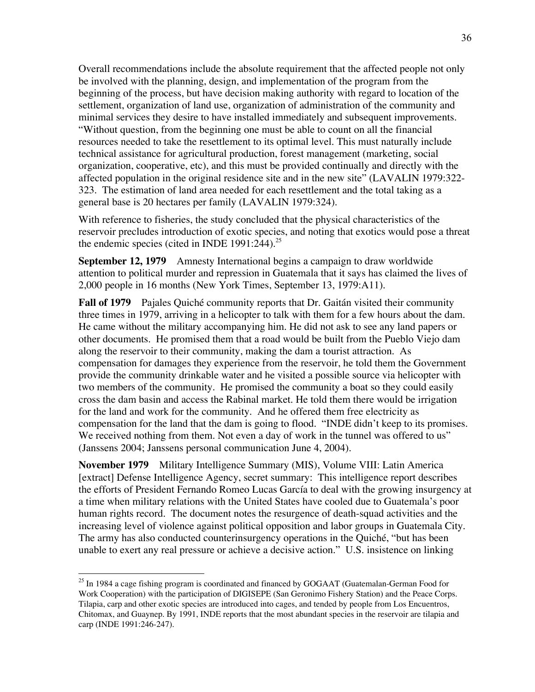Overall recommendations include the absolute requirement that the affected people not only be involved with the planning, design, and implementation of the program from the beginning of the process, but have decision making authority with regard to location of the settlement, organization of land use, organization of administration of the community and minimal services they desire to have installed immediately and subsequent improvements. "Without question, from the beginning one must be able to count on all the financial resources needed to take the resettlement to its optimal level. This must naturally include technical assistance for agricultural production, forest management (marketing, social organization, cooperative, etc), and this must be provided continually and directly with the affected population in the original residence site and in the new site" (LAVALIN 1979:322- 323. The estimation of land area needed for each resettlement and the total taking as a general base is 20 hectares per family (LAVALIN 1979:324).

With reference to fisheries, the study concluded that the physical characteristics of the reservoir precludes introduction of exotic species, and noting that exotics would pose a threat the endemic species (cited in INDE 1991:244).<sup>25</sup>

**September 12, 1979** Amnesty International begins a campaign to draw worldwide attention to political murder and repression in Guatemala that it says has claimed the lives of 2,000 people in 16 months (New York Times, September 13, 1979:A11).

**Fall of 1979** Pajales Quiché community reports that Dr. Gaitán visited their community three times in 1979, arriving in a helicopter to talk with them for a few hours about the dam. He came without the military accompanying him. He did not ask to see any land papers or other documents. He promised them that a road would be built from the Pueblo Viejo dam along the reservoir to their community, making the dam a tourist attraction. As compensation for damages they experience from the reservoir, he told them the Government provide the community drinkable water and he visited a possible source via helicopter with two members of the community. He promised the community a boat so they could easily cross the dam basin and access the Rabinal market. He told them there would be irrigation for the land and work for the community. And he offered them free electricity as compensation for the land that the dam is going to flood. "INDE didn't keep to its promises. We received nothing from them. Not even a day of work in the tunnel was offered to us" (Janssens 2004; Janssens personal communication June 4, 2004).

**November 1979** Military Intelligence Summary (MIS), Volume VIII: Latin America [extract] Defense Intelligence Agency, secret summary: This intelligence report describes the efforts of President Fernando Romeo Lucas García to deal with the growing insurgency at a time when military relations with the United States have cooled due to Guatemala's poor human rights record. The document notes the resurgence of death-squad activities and the increasing level of violence against political opposition and labor groups in Guatemala City. The army has also conducted counterinsurgency operations in the Quiché, "but has been unable to exert any real pressure or achieve a decisive action." U.S. insistence on linking

<sup>&</sup>lt;sup>25</sup> In 1984 a cage fishing program is coordinated and financed by GOGAAT (Guatemalan-German Food for Work Cooperation) with the participation of DIGISEPE (San Geronimo Fishery Station) and the Peace Corps. Tilapia, carp and other exotic species are introduced into cages, and tended by people from Los Encuentros, Chitomax, and Guaynep. By 1991, INDE reports that the most abundant species in the reservoir are tilapia and carp (INDE 1991:246-247).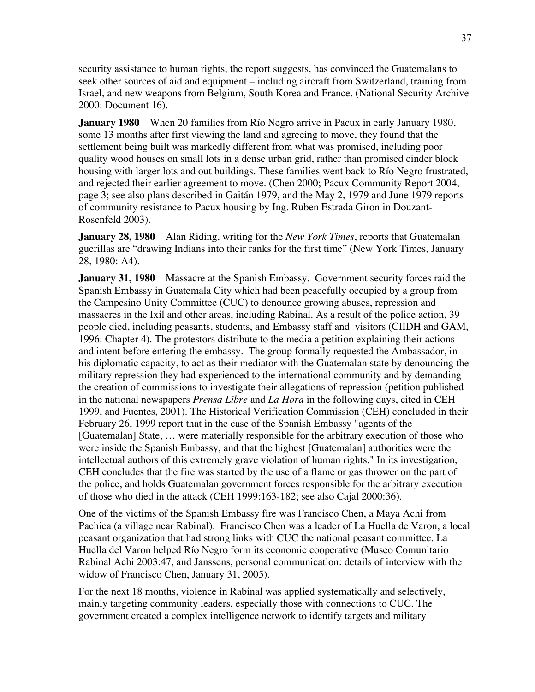security assistance to human rights, the report suggests, has convinced the Guatemalans to seek other sources of aid and equipment – including aircraft from Switzerland, training from Israel, and new weapons from Belgium, South Korea and France. (National Security Archive 2000: Document 16).

**January 1980** When 20 families from Río Negro arrive in Pacux in early January 1980, some 13 months after first viewing the land and agreeing to move, they found that the settlement being built was markedly different from what was promised, including poor quality wood houses on small lots in a dense urban grid, rather than promised cinder block housing with larger lots and out buildings. These families went back to Río Negro frustrated, and rejected their earlier agreement to move. (Chen 2000; Pacux Community Report 2004, page 3; see also plans described in Gaitán 1979, and the May 2, 1979 and June 1979 reports of community resistance to Pacux housing by Ing. Ruben Estrada Giron in Douzant-Rosenfeld 2003).

**January 28, 1980** Alan Riding, writing for the *New York Times*, reports that Guatemalan guerillas are "drawing Indians into their ranks for the first time" (New York Times, January 28, 1980: A4).

**January 31, 1980** Massacre at the Spanish Embassy. Government security forces raid the Spanish Embassy in Guatemala City which had been peacefully occupied by a group from the Campesino Unity Committee (CUC) to denounce growing abuses, repression and massacres in the Ixil and other areas, including Rabinal. As a result of the police action, 39 people died, including peasants, students, and Embassy staff and visitors (CIIDH and GAM, 1996: Chapter 4). The protestors distribute to the media a petition explaining their actions and intent before entering the embassy. The group formally requested the Ambassador, in his diplomatic capacity, to act as their mediator with the Guatemalan state by denouncing the military repression they had experienced to the international community and by demanding the creation of commissions to investigate their allegations of repression (petition published in the national newspapers *Prensa Libre* and *La Hora* in the following days, cited in CEH 1999, and Fuentes, 2001). The Historical Verification Commission (CEH) concluded in their February 26, 1999 report that in the case of the Spanish Embassy "agents of the [Guatemalan] State, … were materially responsible for the arbitrary execution of those who were inside the Spanish Embassy, and that the highest [Guatemalan] authorities were the intellectual authors of this extremely grave violation of human rights." In its investigation, CEH concludes that the fire was started by the use of a flame or gas thrower on the part of the police, and holds Guatemalan government forces responsible for the arbitrary execution of those who died in the attack (CEH 1999:163-182; see also Cajal 2000:36).

One of the victims of the Spanish Embassy fire was Francisco Chen, a Maya Achi from Pachica (a village near Rabinal). Francisco Chen was a leader of La Huella de Varon, a local peasant organization that had strong links with CUC the national peasant committee. La Huella del Varon helped Río Negro form its economic cooperative (Museo Comunitario Rabinal Achi 2003:47, and Janssens, personal communication: details of interview with the widow of Francisco Chen, January 31, 2005).

For the next 18 months, violence in Rabinal was applied systematically and selectively, mainly targeting community leaders, especially those with connections to CUC. The government created a complex intelligence network to identify targets and military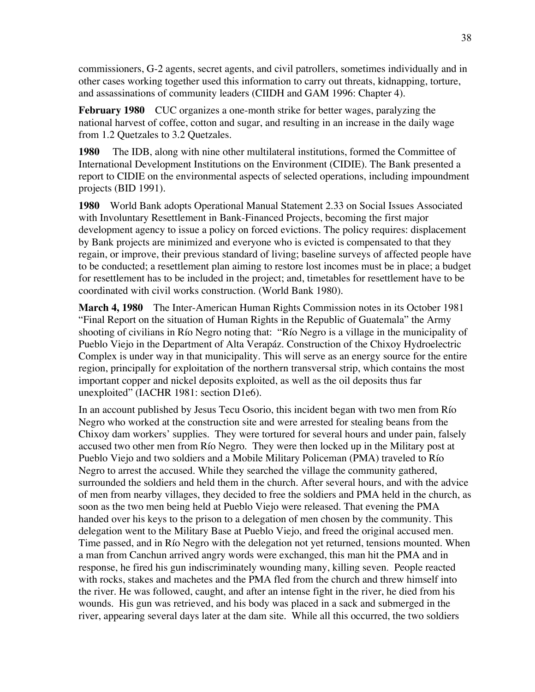commissioners, G-2 agents, secret agents, and civil patrollers, sometimes individually and in other cases working together used this information to carry out threats, kidnapping, torture, and assassinations of community leaders (CIIDH and GAM 1996: Chapter 4).

**February 1980** CUC organizes a one-month strike for better wages, paralyzing the national harvest of coffee, cotton and sugar, and resulting in an increase in the daily wage from 1.2 Quetzales to 3.2 Quetzales.

**1980** The IDB, along with nine other multilateral institutions, formed the Committee of International Development Institutions on the Environment (CIDIE). The Bank presented a report to CIDIE on the environmental aspects of selected operations, including impoundment projects (BID 1991).

**1980** World Bank adopts Operational Manual Statement 2.33 on Social Issues Associated with Involuntary Resettlement in Bank-Financed Projects, becoming the first major development agency to issue a policy on forced evictions. The policy requires: displacement by Bank projects are minimized and everyone who is evicted is compensated to that they regain, or improve, their previous standard of living; baseline surveys of affected people have to be conducted; a resettlement plan aiming to restore lost incomes must be in place; a budget for resettlement has to be included in the project; and, timetables for resettlement have to be coordinated with civil works construction. (World Bank 1980).

**March 4, 1980** The Inter-American Human Rights Commission notes in its October 1981 "Final Report on the situation of Human Rights in the Republic of Guatemala" the Army shooting of civilians in Río Negro noting that: "Río Negro is a village in the municipality of Pueblo Viejo in the Department of Alta Verapáz. Construction of the Chixoy Hydroelectric Complex is under way in that municipality. This will serve as an energy source for the entire region, principally for exploitation of the northern transversal strip, which contains the most important copper and nickel deposits exploited, as well as the oil deposits thus far unexploited" (IACHR 1981: section D1e6).

In an account published by Jesus Tecu Osorio, this incident began with two men from Río Negro who worked at the construction site and were arrested for stealing beans from the Chixoy dam workers' supplies. They were tortured for several hours and under pain, falsely accused two other men from Río Negro. They were then locked up in the Military post at Pueblo Viejo and two soldiers and a Mobile Military Policeman (PMA) traveled to Río Negro to arrest the accused. While they searched the village the community gathered, surrounded the soldiers and held them in the church. After several hours, and with the advice of men from nearby villages, they decided to free the soldiers and PMA held in the church, as soon as the two men being held at Pueblo Viejo were released. That evening the PMA handed over his keys to the prison to a delegation of men chosen by the community. This delegation went to the Military Base at Pueblo Viejo, and freed the original accused men. Time passed, and in Río Negro with the delegation not yet returned, tensions mounted. When a man from Canchun arrived angry words were exchanged, this man hit the PMA and in response, he fired his gun indiscriminately wounding many, killing seven. People reacted with rocks, stakes and machetes and the PMA fled from the church and threw himself into the river. He was followed, caught, and after an intense fight in the river, he died from his wounds. His gun was retrieved, and his body was placed in a sack and submerged in the river, appearing several days later at the dam site. While all this occurred, the two soldiers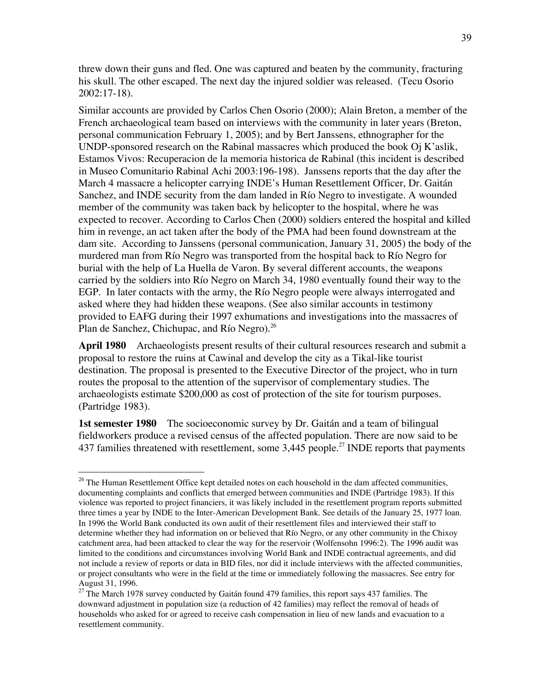threw down their guns and fled. One was captured and beaten by the community, fracturing his skull. The other escaped. The next day the injured soldier was released. (Tecu Osorio 2002:17-18).

Similar accounts are provided by Carlos Chen Osorio (2000); Alain Breton, a member of the French archaeological team based on interviews with the community in later years (Breton, personal communication February 1, 2005); and by Bert Janssens, ethnographer for the UNDP-sponsored research on the Rabinal massacres which produced the book Oj K'aslik, Estamos Vivos: Recuperacion de la memoria historica de Rabinal (this incident is described in Museo Comunitario Rabinal Achi 2003:196-198). Janssens reports that the day after the March 4 massacre a helicopter carrying INDE's Human Resettlement Officer, Dr. Gaitán Sanchez, and INDE security from the dam landed in Río Negro to investigate. A wounded member of the community was taken back by helicopter to the hospital, where he was expected to recover. According to Carlos Chen (2000) soldiers entered the hospital and killed him in revenge, an act taken after the body of the PMA had been found downstream at the dam site. According to Janssens (personal communication, January 31, 2005) the body of the murdered man from Río Negro was transported from the hospital back to Río Negro for burial with the help of La Huella de Varon. By several different accounts, the weapons carried by the soldiers into Río Negro on March 34, 1980 eventually found their way to the EGP. In later contacts with the army, the Río Negro people were always interrogated and asked where they had hidden these weapons. (See also similar accounts in testimony provided to EAFG during their 1997 exhumations and investigations into the massacres of Plan de Sanchez, Chichupac, and Río Negro). $^{26}$ 

**April 1980** Archaeologists present results of their cultural resources research and submit a proposal to restore the ruins at Cawinal and develop the city as a Tikal-like tourist destination. The proposal is presented to the Executive Director of the project, who in turn routes the proposal to the attention of the supervisor of complementary studies. The archaeologists estimate \$200,000 as cost of protection of the site for tourism purposes. (Partridge 1983).

**1st semester 1980** The socioeconomic survey by Dr. Gaitán and a team of bilingual fieldworkers produce a revised census of the affected population. There are now said to be 437 families threatened with resettlement, some  $3,445$  people.<sup>27</sup> INDE reports that payments

<sup>&</sup>lt;sup>26</sup> The Human Resettlement Office kept detailed notes on each household in the dam affected communities, documenting complaints and conflicts that emerged between communities and INDE (Partridge 1983). If this violence was reported to project financiers, it was likely included in the resettlement program reports submitted three times a year by INDE to the Inter-American Development Bank. See details of the January 25, 1977 loan. In 1996 the World Bank conducted its own audit of their resettlement files and interviewed their staff to determine whether they had information on or believed that Río Negro, or any other community in the Chixoy catchment area, had been attacked to clear the way for the reservoir (Wolfensohn 1996:2). The 1996 audit was limited to the conditions and circumstances involving World Bank and INDE contractual agreements, and did not include a review of reports or data in BID files, nor did it include interviews with the affected communities, or project consultants who were in the field at the time or immediately following the massacres. See entry for August 31, 1996.

<sup>&</sup>lt;sup>27</sup> The March 1978 survey conducted by Gaitán found 479 families, this report says 437 families. The downward adjustment in population size (a reduction of 42 families) may reflect the removal of heads of households who asked for or agreed to receive cash compensation in lieu of new lands and evacuation to a resettlement community.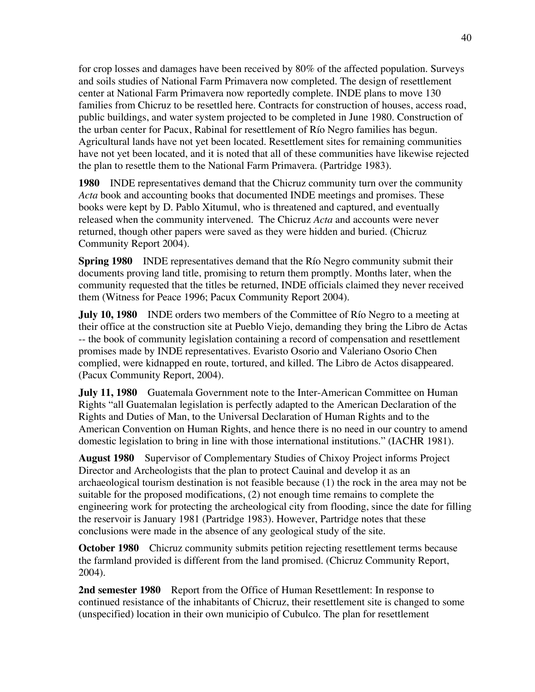for crop losses and damages have been received by 80% of the affected population. Surveys and soils studies of National Farm Primavera now completed. The design of resettlement center at National Farm Primavera now reportedly complete. INDE plans to move 130 families from Chicruz to be resettled here. Contracts for construction of houses, access road, public buildings, and water system projected to be completed in June 1980. Construction of the urban center for Pacux, Rabinal for resettlement of Río Negro families has begun. Agricultural lands have not yet been located. Resettlement sites for remaining communities have not yet been located, and it is noted that all of these communities have likewise rejected the plan to resettle them to the National Farm Primavera. (Partridge 1983).

**1980** INDE representatives demand that the Chicruz community turn over the community *Acta* book and accounting books that documented INDE meetings and promises. These books were kept by D. Pablo Xitumul, who is threatened and captured, and eventually released when the community intervened. The Chicruz *Acta* and accounts were never returned, though other papers were saved as they were hidden and buried. (Chicruz Community Report 2004).

**Spring 1980** INDE representatives demand that the Río Negro community submit their documents proving land title, promising to return them promptly. Months later, when the community requested that the titles be returned, INDE officials claimed they never received them (Witness for Peace 1996; Pacux Community Report 2004).

**July 10, 1980** INDE orders two members of the Committee of Río Negro to a meeting at their office at the construction site at Pueblo Viejo, demanding they bring the Libro de Actas -- the book of community legislation containing a record of compensation and resettlement promises made by INDE representatives. Evaristo Osorio and Valeriano Osorio Chen complied, were kidnapped en route, tortured, and killed. The Libro de Actos disappeared. (Pacux Community Report, 2004).

**July 11, 1980** Guatemala Government note to the Inter-American Committee on Human Rights "all Guatemalan legislation is perfectly adapted to the American Declaration of the Rights and Duties of Man, to the Universal Declaration of Human Rights and to the American Convention on Human Rights, and hence there is no need in our country to amend domestic legislation to bring in line with those international institutions." (IACHR 1981).

**August 1980** Supervisor of Complementary Studies of Chixoy Project informs Project Director and Archeologists that the plan to protect Cauinal and develop it as an archaeological tourism destination is not feasible because (1) the rock in the area may not be suitable for the proposed modifications, (2) not enough time remains to complete the engineering work for protecting the archeological city from flooding, since the date for filling the reservoir is January 1981 (Partridge 1983). However, Partridge notes that these conclusions were made in the absence of any geological study of the site.

**October 1980** Chicruz community submits petition rejecting resettlement terms because the farmland provided is different from the land promised. (Chicruz Community Report, 2004).

**2nd semester 1980** Report from the Office of Human Resettlement: In response to continued resistance of the inhabitants of Chicruz, their resettlement site is changed to some (unspecified) location in their own municipio of Cubulco. The plan for resettlement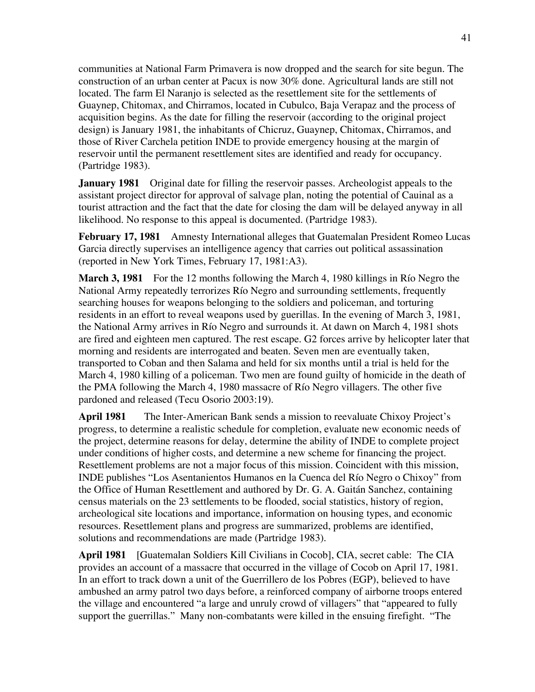communities at National Farm Primavera is now dropped and the search for site begun. The construction of an urban center at Pacux is now 30% done. Agricultural lands are still not located. The farm El Naranjo is selected as the resettlement site for the settlements of Guaynep, Chitomax, and Chirramos, located in Cubulco, Baja Verapaz and the process of acquisition begins. As the date for filling the reservoir (according to the original project design) is January 1981, the inhabitants of Chicruz, Guaynep, Chitomax, Chirramos, and those of River Carchela petition INDE to provide emergency housing at the margin of reservoir until the permanent resettlement sites are identified and ready for occupancy. (Partridge 1983).

**January 1981** Original date for filling the reservoir passes. Archeologist appeals to the assistant project director for approval of salvage plan, noting the potential of Cauinal as a tourist attraction and the fact that the date for closing the dam will be delayed anyway in all likelihood. No response to this appeal is documented. (Partridge 1983).

**February 17, 1981** Amnesty International alleges that Guatemalan President Romeo Lucas Garcia directly supervises an intelligence agency that carries out political assassination (reported in New York Times, February 17, 1981:A3).

**March 3, 1981** For the 12 months following the March 4, 1980 killings in Río Negro the National Army repeatedly terrorizes Río Negro and surrounding settlements, frequently searching houses for weapons belonging to the soldiers and policeman, and torturing residents in an effort to reveal weapons used by guerillas. In the evening of March 3, 1981, the National Army arrives in Río Negro and surrounds it. At dawn on March 4, 1981 shots are fired and eighteen men captured. The rest escape. G2 forces arrive by helicopter later that morning and residents are interrogated and beaten. Seven men are eventually taken, transported to Coban and then Salama and held for six months until a trial is held for the March 4, 1980 killing of a policeman. Two men are found guilty of homicide in the death of the PMA following the March 4, 1980 massacre of Río Negro villagers. The other five pardoned and released (Tecu Osorio 2003:19).

**April 1981** The Inter-American Bank sends a mission to reevaluate Chixoy Project's progress, to determine a realistic schedule for completion, evaluate new economic needs of the project, determine reasons for delay, determine the ability of INDE to complete project under conditions of higher costs, and determine a new scheme for financing the project. Resettlement problems are not a major focus of this mission. Coincident with this mission, INDE publishes "Los Asentanientos Humanos en la Cuenca del Río Negro o Chixoy" from the Office of Human Resettlement and authored by Dr. G. A. Gaitán Sanchez, containing census materials on the 23 settlements to be flooded, social statistics, history of region, archeological site locations and importance, information on housing types, and economic resources. Resettlement plans and progress are summarized, problems are identified, solutions and recommendations are made (Partridge 1983).

**April 1981** [Guatemalan Soldiers Kill Civilians in Cocob], CIA, secret cable: The CIA provides an account of a massacre that occurred in the village of Cocob on April 17, 1981. In an effort to track down a unit of the Guerrillero de los Pobres (EGP), believed to have ambushed an army patrol two days before, a reinforced company of airborne troops entered the village and encountered "a large and unruly crowd of villagers" that "appeared to fully support the guerrillas." Many non-combatants were killed in the ensuing firefight. "The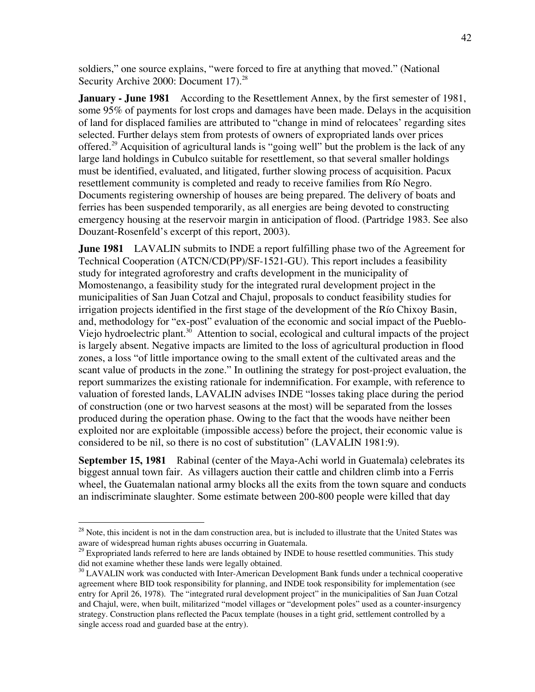soldiers," one source explains, "were forced to fire at anything that moved." (National Security Archive 2000: Document 17.<sup>28</sup>

**January - June 1981** According to the Resettlement Annex, by the first semester of 1981, some 95% of payments for lost crops and damages have been made. Delays in the acquisition of land for displaced families are attributed to "change in mind of relocatees' regarding sites selected. Further delays stem from protests of owners of expropriated lands over prices offered.<sup>29</sup> Acquisition of agricultural lands is "going well" but the problem is the lack of any large land holdings in Cubulco suitable for resettlement, so that several smaller holdings must be identified, evaluated, and litigated, further slowing process of acquisition. Pacux resettlement community is completed and ready to receive families from Río Negro. Documents registering ownership of houses are being prepared. The delivery of boats and ferries has been suspended temporarily, as all energies are being devoted to constructing emergency housing at the reservoir margin in anticipation of flood. (Partridge 1983. See also Douzant-Rosenfeld's excerpt of this report, 2003).

**June 1981** LAVALIN submits to INDE a report fulfilling phase two of the Agreement for Technical Cooperation (ATCN/CD(PP)/SF-1521-GU). This report includes a feasibility study for integrated agroforestry and crafts development in the municipality of Momostenango, a feasibility study for the integrated rural development project in the municipalities of San Juan Cotzal and Chajul, proposals to conduct feasibility studies for irrigation projects identified in the first stage of the development of the Río Chixoy Basin, and, methodology for "ex-post" evaluation of the economic and social impact of the Pueblo-Viejo hydroelectric plant.<sup>30</sup> Attention to social, ecological and cultural impacts of the project is largely absent. Negative impacts are limited to the loss of agricultural production in flood zones, a loss "of little importance owing to the small extent of the cultivated areas and the scant value of products in the zone." In outlining the strategy for post-project evaluation, the report summarizes the existing rationale for indemnification. For example, with reference to valuation of forested lands, LAVALIN advises INDE "losses taking place during the period of construction (one or two harvest seasons at the most) will be separated from the losses produced during the operation phase. Owing to the fact that the woods have neither been exploited nor are exploitable (impossible access) before the project, their economic value is considered to be nil, so there is no cost of substitution" (LAVALIN 1981:9).

**September 15, 1981** Rabinal (center of the Maya-Achi world in Guatemala) celebrates its biggest annual town fair. As villagers auction their cattle and children climb into a Ferris wheel, the Guatemalan national army blocks all the exits from the town square and conducts an indiscriminate slaughter. Some estimate between 200-800 people were killed that day

<sup>&</sup>lt;sup>28</sup> Note, this incident is not in the dam construction area, but is included to illustrate that the United States was aware of widespread human rights abuses occurring in Guatemala.

<sup>&</sup>lt;sup>29</sup> Expropriated lands referred to here are lands obtained by INDE to house resettled communities. This study did not examine whether these lands were legally obtained.

<sup>&</sup>lt;sup>30</sup> LAVALIN work was conducted with Inter-American Development Bank funds under a technical cooperative agreement where BID took responsibility for planning, and INDE took responsibility for implementation (see entry for April 26, 1978). The "integrated rural development project" in the municipalities of San Juan Cotzal and Chajul, were, when built, militarized "model villages or "development poles" used as a counter-insurgency strategy. Construction plans reflected the Pacux template (houses in a tight grid, settlement controlled by a single access road and guarded base at the entry).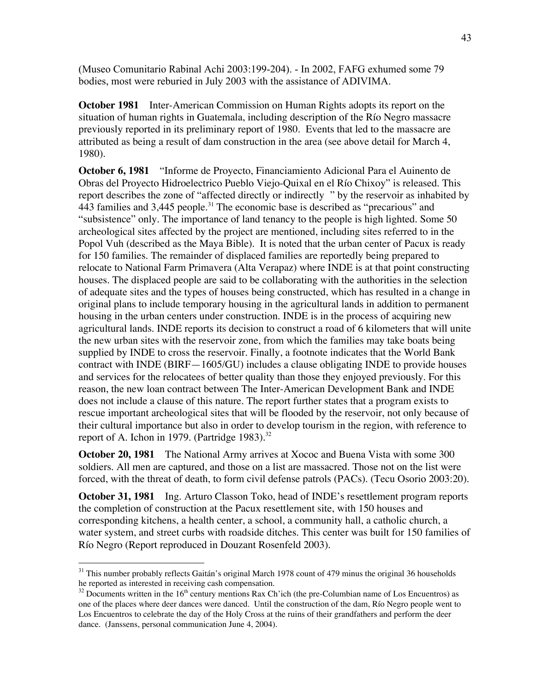(Museo Comunitario Rabinal Achi 2003:199-204). - In 2002, FAFG exhumed some 79 bodies, most were reburied in July 2003 with the assistance of ADIVIMA.

**October 1981** Inter-American Commission on Human Rights adopts its report on the situation of human rights in Guatemala, including description of the Río Negro massacre previously reported in its preliminary report of 1980. Events that led to the massacre are attributed as being a result of dam construction in the area (see above detail for March 4, 1980).

**October 6, 1981** "Informe de Proyecto, Financiamiento Adicional Para el Auinento de Obras del Proyecto Hidroelectrico Pueblo Viejo-Quixal en el Río Chixoy" is released. This report describes the zone of "affected directly or indirectly " by the reservoir as inhabited by 443 families and 3,445 people.<sup>31</sup> The economic base is described as "precarious" and "subsistence" only. The importance of land tenancy to the people is high lighted. Some 50 archeological sites affected by the project are mentioned, including sites referred to in the Popol Vuh (described as the Maya Bible). It is noted that the urban center of Pacux is ready for 150 families. The remainder of displaced families are reportedly being prepared to relocate to National Farm Primavera (Alta Verapaz) where INDE is at that point constructing houses. The displaced people are said to be collaborating with the authorities in the selection of adequate sites and the types of houses being constructed, which has resulted in a change in original plans to include temporary housing in the agricultural lands in addition to permanent housing in the urban centers under construction. INDE is in the process of acquiring new agricultural lands. INDE reports its decision to construct a road of 6 kilometers that will unite the new urban sites with the reservoir zone, from which the families may take boats being supplied by INDE to cross the reservoir. Finally, a footnote indicates that the World Bank contract with INDE (BIRF—1605/GU) includes a clause obligating INDE to provide houses and services for the relocatees of better quality than those they enjoyed previously. For this reason, the new loan contract between The Inter-American Development Bank and INDE does not include a clause of this nature. The report further states that a program exists to rescue important archeological sites that will be flooded by the reservoir, not only because of their cultural importance but also in order to develop tourism in the region, with reference to report of A. Ichon in 1979. (Partridge 1983). $32$ 

**October 20, 1981** The National Army arrives at Xococ and Buena Vista with some 300 soldiers. All men are captured, and those on a list are massacred. Those not on the list were forced, with the threat of death, to form civil defense patrols (PACs). (Tecu Osorio 2003:20).

**October 31, 1981** Ing. Arturo Classon Toko, head of INDE's resettlement program reports the completion of construction at the Pacux resettlement site, with 150 houses and corresponding kitchens, a health center, a school, a community hall, a catholic church, a water system, and street curbs with roadside ditches. This center was built for 150 families of Río Negro (Report reproduced in Douzant Rosenfeld 2003).

<sup>&</sup>lt;sup>31</sup> This number probably reflects Gaitán's original March 1978 count of 479 minus the original 36 households he reported as interested in receiving cash compensation.

 $32$  Documents written in the 16<sup>th</sup> century mentions Rax Ch'ich (the pre-Columbian name of Los Encuentros) as one of the places where deer dances were danced. Until the construction of the dam, Río Negro people went to Los Encuentros to celebrate the day of the Holy Cross at the ruins of their grandfathers and perform the deer dance. (Janssens, personal communication June 4, 2004).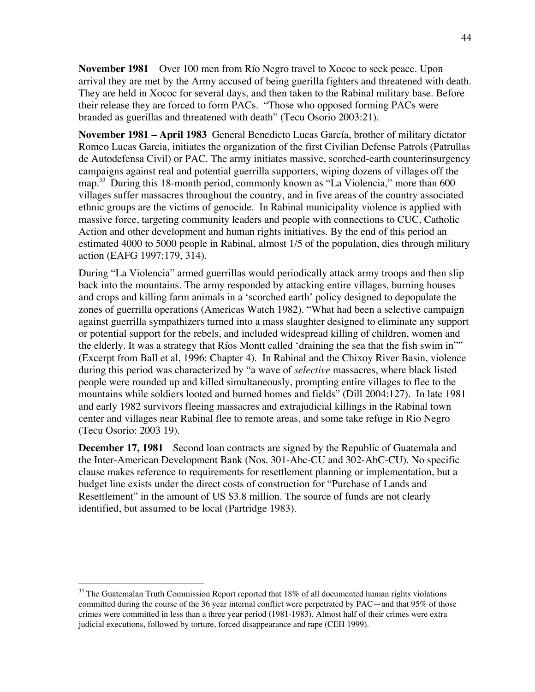**November 1981** Over 100 men from Río Negro travel to Xococ to seek peace. Upon arrival they are met by the Army accused of being guerilla fighters and threatened with death. They are held in Xococ for several days, and then taken to the Rabinal military base. Before their release they are forced to form PACs. "Those who opposed forming PACs were branded as guerillas and threatened with death" (Tecu Osorio 2003:21).

**November 1981 – April 1983** General Benedicto Lucas García, brother of military dictator Romeo Lucas Garcia, initiates the organization of the first Civilian Defense Patrols (Patrullas de Autodefensa Civil) or PAC. The army initiates massive, scorched-earth counterinsurgency campaigns against real and potential guerrilla supporters, wiping dozens of villages off the map.<sup>33</sup> During this 18-month period, commonly known as "La Violencia," more than 600 villages suffer massacres throughout the country, and in five areas of the country associated ethnic groups are the victims of genocide. In Rabinal municipality violence is applied with massive force, targeting community leaders and people with connections to CUC, Catholic Action and other development and human rights initiatives. By the end of this period an estimated 4000 to 5000 people in Rabinal, almost 1/5 of the population, dies through military action (EAFG 1997:179, 314).

During "La Violencia" armed guerrillas would periodically attack army troops and then slip back into the mountains. The army responded by attacking entire villages, burning houses and crops and killing farm animals in a 'scorched earth' policy designed to depopulate the zones of guerrilla operations (Americas Watch 1982). "What had been a selective campaign against guerrilla sympathizers turned into a mass slaughter designed to eliminate any support or potential support for the rebels, and included widespread killing of children, women and the elderly. It was a strategy that Ríos Montt called 'draining the sea that the fish swim in"" (Excerpt from Ball et al, 1996: Chapter 4). In Rabinal and the Chixoy River Basin, violence during this period was characterized by "a wave of *selective* massacres, where black listed people were rounded up and killed simultaneously, prompting entire villages to flee to the mountains while soldiers looted and burned homes and fields" (Dill 2004:127). In late 1981 and early 1982 survivors fleeing massacres and extrajudicial killings in the Rabinal town center and villages near Rabinal flee to remote areas, and some take refuge in Rio Negro (Tecu Osorio: 2003 19).

**December 17, 1981** Second loan contracts are signed by the Republic of Guatemala and the Inter-American Development Bank (Nos. 301-Abc-CU and 302-AbC-CU). No specific clause makes reference to requirements for resettlement planning or implementation, but a budget line exists under the direct costs of construction for "Purchase of Lands and Resettlement" in the amount of US \$3.8 million. The source of funds are not clearly identified, but assumed to be local (Partridge 1983).

<sup>&</sup>lt;sup>33</sup> The Guatemalan Truth Commission Report reported that 18% of all documented human rights violations committed during the course of the 36 year internal conflict were perpetrated by PAC—and that 95% of those crimes were committed in less than a three year period (1981-1983). Almost half of their crimes were extra judicial executions, followed by torture, forced disappearance and rape (CEH 1999).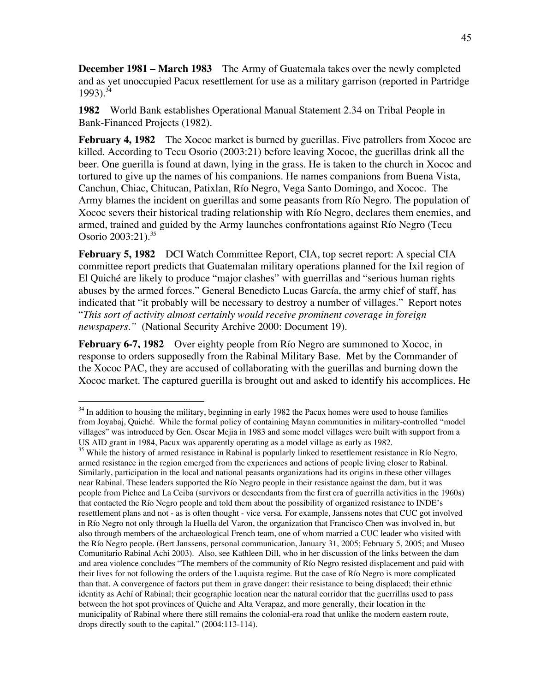**December 1981 – March 1983** The Army of Guatemala takes over the newly completed and as yet unoccupied Pacux resettlement for use as a military garrison (reported in Partridge  $1993$ .<sup>34</sup>

**1982** World Bank establishes Operational Manual Statement 2.34 on Tribal People in Bank-Financed Projects (1982).

**February 4, 1982** The Xococ market is burned by guerillas. Five patrollers from Xococ are killed. According to Tecu Osorio (2003:21) before leaving Xococ, the guerillas drink all the beer. One guerilla is found at dawn, lying in the grass. He is taken to the church in Xococ and tortured to give up the names of his companions. He names companions from Buena Vista, Canchun, Chiac, Chitucan, Patixlan, Río Negro, Vega Santo Domingo, and Xococ. The Army blames the incident on guerillas and some peasants from Río Negro. The population of Xococ severs their historical trading relationship with Río Negro, declares them enemies, and armed, trained and guided by the Army launches confrontations against Río Negro (Tecu Osorio 2003:21).<sup>35</sup>

**February 5, 1982** DCI Watch Committee Report, CIA, top secret report: A special CIA committee report predicts that Guatemalan military operations planned for the Ixil region of El Quiché are likely to produce "major clashes" with guerrillas and "serious human rights abuses by the armed forces." General Benedicto Lucas García, the army chief of staff, has indicated that "it probably will be necessary to destroy a number of villages." Report notes "*This sort of activity almost certainly would receive prominent coverage in foreign newspapers."* (National Security Archive 2000: Document 19).

**February 6-7, 1982** Over eighty people from Río Negro are summoned to Xococ, in response to orders supposedly from the Rabinal Military Base. Met by the Commander of the Xococ PAC, they are accused of collaborating with the guerillas and burning down the Xococ market. The captured guerilla is brought out and asked to identify his accomplices. He

<sup>&</sup>lt;sup>34</sup> In addition to housing the military, beginning in early 1982 the Pacux homes were used to house families from Joyabaj, Quiché. While the formal policy of containing Mayan communities in military-controlled "model villages" was introduced by Gen. Oscar Mejia in 1983 and some model villages were built with support from a US AID grant in 1984, Pacux was apparently operating as a model village as early as 1982.

<sup>&</sup>lt;sup>35</sup> While the history of armed resistance in Rabinal is popularly linked to resettlement resistance in Río Negro, armed resistance in the region emerged from the experiences and actions of people living closer to Rabinal. Similarly, participation in the local and national peasants organizations had its origins in these other villages near Rabinal. These leaders supported the Río Negro people in their resistance against the dam, but it was people from Pichec and La Ceiba (survivors or descendants from the first era of guerrilla activities in the 1960s) that contacted the Río Negro people and told them about the possibility of organized resistance to INDE's resettlement plans and not - as is often thought - vice versa. For example, Janssens notes that CUC got involved in Río Negro not only through la Huella del Varon, the organization that Francisco Chen was involved in, but also through members of the archaeological French team, one of whom married a CUC leader who visited with the Río Negro people. (Bert Janssens, personal communication, January 31, 2005; February 5, 2005; and Museo Comunitario Rabinal Achi 2003). Also, see Kathleen Dill, who in her discussion of the links between the dam and area violence concludes "The members of the community of Río Negro resisted displacement and paid with their lives for not following the orders of the Luquista regime. But the case of Río Negro is more complicated than that. A convergence of factors put them in grave danger: their resistance to being displaced; their ethnic identity as Achí of Rabinal; their geographic location near the natural corridor that the guerrillas used to pass between the hot spot provinces of Quiche and Alta Verapaz, and more generally, their location in the municipality of Rabinal where there still remains the colonial-era road that unlike the modern eastern route, drops directly south to the capital." (2004:113-114).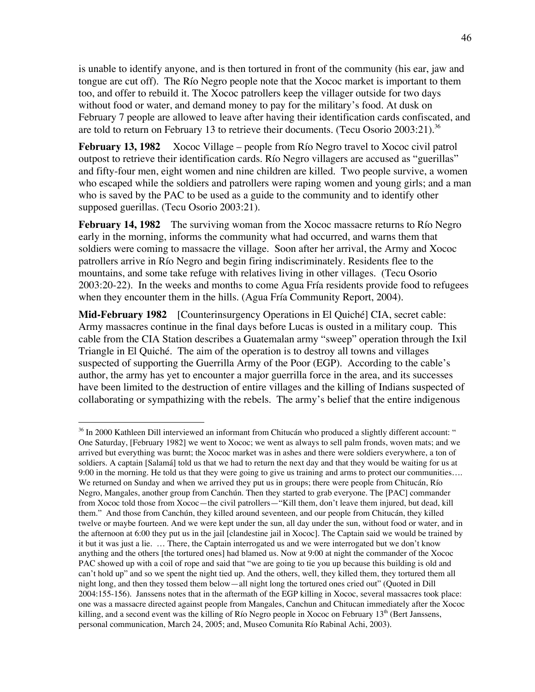is unable to identify anyone, and is then tortured in front of the community (his ear, jaw and tongue are cut off). The Río Negro people note that the Xococ market is important to them too, and offer to rebuild it. The Xococ patrollers keep the villager outside for two days without food or water, and demand money to pay for the military's food. At dusk on February 7 people are allowed to leave after having their identification cards confiscated, and are told to return on February 13 to retrieve their documents. (Tecu Osorio 2003:21).<sup>36</sup>

**February 13, 1982** Xococ Village – people from Río Negro travel to Xococ civil patrol outpost to retrieve their identification cards. Río Negro villagers are accused as "guerillas" and fifty-four men, eight women and nine children are killed. Two people survive, a women who escaped while the soldiers and patrollers were raping women and young girls; and a man who is saved by the PAC to be used as a guide to the community and to identify other supposed guerillas. (Tecu Osorio 2003:21).

**February 14, 1982** The surviving woman from the Xococ massacre returns to Río Negro early in the morning, informs the community what had occurred, and warns them that soldiers were coming to massacre the village. Soon after her arrival, the Army and Xococ patrollers arrive in Río Negro and begin firing indiscriminately. Residents flee to the mountains, and some take refuge with relatives living in other villages. (Tecu Osorio 2003:20-22). In the weeks and months to come Agua Fría residents provide food to refugees when they encounter them in the hills. (Agua Fría Community Report, 2004).

**Mid-February 1982** [Counterinsurgency Operations in El Quiché] CIA, secret cable: Army massacres continue in the final days before Lucas is ousted in a military coup. This cable from the CIA Station describes a Guatemalan army "sweep" operation through the Ixil Triangle in El Quiché. The aim of the operation is to destroy all towns and villages suspected of supporting the Guerrilla Army of the Poor (EGP). According to the cable's author, the army has yet to encounter a major guerrilla force in the area, and its successes have been limited to the destruction of entire villages and the killing of Indians suspected of collaborating or sympathizing with the rebels. The army's belief that the entire indigenous

 $\overline{a}$ 

<sup>&</sup>lt;sup>36</sup> In 2000 Kathleen Dill interviewed an informant from Chitucán who produced a slightly different account: " One Saturday, [February 1982] we went to Xococ; we went as always to sell palm fronds, woven mats; and we arrived but everything was burnt; the Xococ market was in ashes and there were soldiers everywhere, a ton of soldiers. A captain [Salamá] told us that we had to return the next day and that they would be waiting for us at 9:00 in the morning. He told us that they were going to give us training and arms to protect our communities…. We returned on Sunday and when we arrived they put us in groups; there were people from Chitucán, Río Negro, Mangales, another group from Canchún. Then they started to grab everyone. The [PAC] commander from Xococ told those from Xococ—the civil patrollers—"Kill them, don't leave them injured, but dead, kill them." And those from Canchún, they killed around seventeen, and our people from Chitucán, they killed twelve or maybe fourteen. And we were kept under the sun, all day under the sun, without food or water, and in the afternoon at 6:00 they put us in the jail [clandestine jail in Xococ]. The Captain said we would be trained by it but it was just a lie. … There, the Captain interrogated us and we were interrogated but we don't know anything and the others [the tortured ones] had blamed us. Now at 9:00 at night the commander of the Xococ PAC showed up with a coil of rope and said that "we are going to tie you up because this building is old and can't hold up" and so we spent the night tied up. And the others, well, they killed them, they tortured them all night long, and then they tossed them below—all night long the tortured ones cried out" (Quoted in Dill 2004:155-156). Janssens notes that in the aftermath of the EGP killing in Xococ, several massacres took place: one was a massacre directed against people from Mangales, Canchun and Chitucan immediately after the Xococ killing, and a second event was the killing of Río Negro people in Xococ on February  $13<sup>th</sup>$  (Bert Janssens, personal communication, March 24, 2005; and, Museo Comunita Río Rabinal Achi, 2003).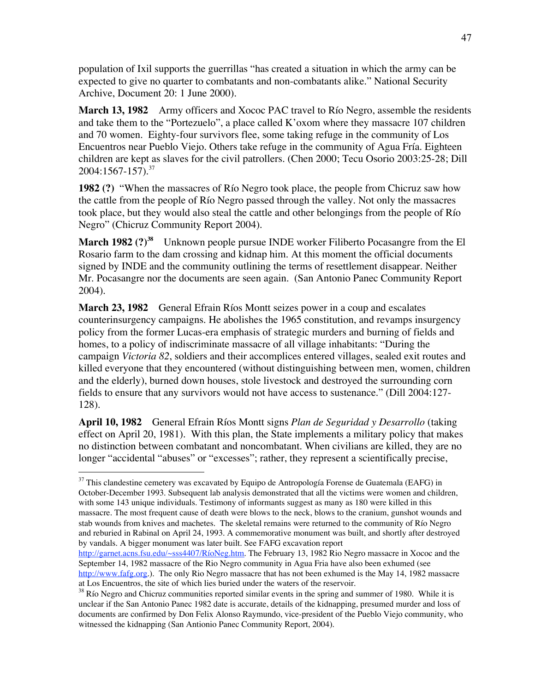population of Ixil supports the guerrillas "has created a situation in which the army can be expected to give no quarter to combatants and non-combatants alike." National Security Archive, Document 20: 1 June 2000).

**March 13, 1982** Army officers and Xococ PAC travel to Río Negro, assemble the residents and take them to the "Portezuelo", a place called K'oxom where they massacre 107 children and 70 women. Eighty-four survivors flee, some taking refuge in the community of Los Encuentros near Pueblo Viejo. Others take refuge in the community of Agua Fría. Eighteen children are kept as slaves for the civil patrollers. (Chen 2000; Tecu Osorio 2003:25-28; Dill  $2004:1567-157$ ).<sup>37</sup>

**1982 (?)** "When the massacres of Río Negro took place, the people from Chicruz saw how the cattle from the people of Río Negro passed through the valley. Not only the massacres took place, but they would also steal the cattle and other belongings from the people of Río Negro" (Chicruz Community Report 2004).

**March 1982 (?)<sup>38</sup>** Unknown people pursue INDE worker Filiberto Pocasangre from the El Rosario farm to the dam crossing and kidnap him. At this moment the official documents signed by INDE and the community outlining the terms of resettlement disappear. Neither Mr. Pocasangre nor the documents are seen again. (San Antonio Panec Community Report 2004).

**March 23, 1982** General Efrain Ríos Montt seizes power in a coup and escalates counterinsurgency campaigns. He abolishes the 1965 constitution, and revamps insurgency policy from the former Lucas-era emphasis of strategic murders and burning of fields and homes, to a policy of indiscriminate massacre of all village inhabitants: "During the campaign *Victoria 82*, soldiers and their accomplices entered villages, sealed exit routes and killed everyone that they encountered (without distinguishing between men, women, children and the elderly), burned down houses, stole livestock and destroyed the surrounding corn fields to ensure that any survivors would not have access to sustenance." (Dill 2004:127- 128).

**April 10, 1982** General Efrain Ríos Montt signs *Plan de Seguridad y Desarrollo* (taking effect on April 20, 1981). With this plan, the State implements a military policy that makes no distinction between combatant and noncombatant. When civilians are killed, they are no longer "accidental "abuses" or "excesses"; rather, they represent a scientifically precise,

<sup>&</sup>lt;sup>37</sup> This clandestine cemetery was excavated by Equipo de Antropología Forense de Guatemala (EAFG) in October-December 1993. Subsequent lab analysis demonstrated that all the victims were women and children, with some 143 unique individuals. Testimony of informants suggest as many as 180 were killed in this massacre. The most frequent cause of death were blows to the neck, blows to the cranium, gunshot wounds and stab wounds from knives and machetes. The skeletal remains were returned to the community of Río Negro and reburied in Rabinal on April 24, 1993. A commemorative monument was built, and shortly after destroyed by vandals. A bigger monument was later built. See FAFG excavation report

http://garnet.acns.fsu.edu/~sss4407/RíoNeg.htm. The February 13, 1982 Rio Negro massacre in Xococ and the September 14, 1982 massacre of the Rio Negro community in Agua Fria have also been exhumed (see http://www.fafg.org.). The only Rio Negro massacre that has not been exhumed is the May 14, 1982 massacre at Los Encuentros, the site of which lies buried under the waters of the reservoir.

<sup>&</sup>lt;sup>38</sup> Río Negro and Chicruz communities reported similar events in the spring and summer of 1980. While it is unclear if the San Antonio Panec 1982 date is accurate, details of the kidnapping, presumed murder and loss of documents are confirmed by Don Felix Alonso Raymundo, vice-president of the Pueblo Viejo community, who witnessed the kidnapping (San Antionio Panec Community Report, 2004).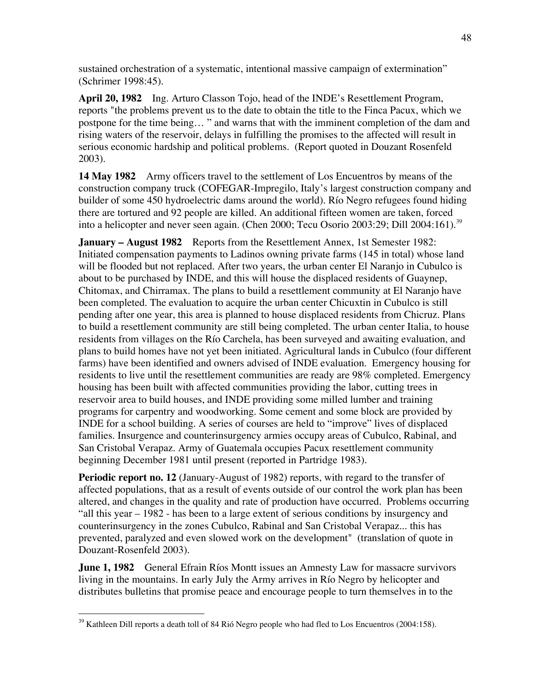sustained orchestration of a systematic, intentional massive campaign of extermination" (Schrimer 1998:45).

**April 20, 1982** Ing. Arturo Classon Tojo, head of the INDE's Resettlement Program, reports "the problems prevent us to the date to obtain the title to the Finca Pacux, which we postpone for the time being… " and warns that with the imminent completion of the dam and rising waters of the reservoir, delays in fulfilling the promises to the affected will result in serious economic hardship and political problems. (Report quoted in Douzant Rosenfeld 2003).

**14 May 1982** Army officers travel to the settlement of Los Encuentros by means of the construction company truck (COFEGAR-Impregilo, Italy's largest construction company and builder of some 450 hydroelectric dams around the world). Río Negro refugees found hiding there are tortured and 92 people are killed. An additional fifteen women are taken, forced into a helicopter and never seen again. (Chen 2000; Tecu Osorio 2003:29; Dill 2004:161).<sup>39</sup>

**January – August 1982** Reports from the Resettlement Annex, 1st Semester 1982: Initiated compensation payments to Ladinos owning private farms (145 in total) whose land will be flooded but not replaced. After two years, the urban center El Naranjo in Cubulco is about to be purchased by INDE, and this will house the displaced residents of Guaynep, Chitomax, and Chirramax. The plans to build a resettlement community at El Naranjo have been completed. The evaluation to acquire the urban center Chicuxtin in Cubulco is still pending after one year, this area is planned to house displaced residents from Chicruz. Plans to build a resettlement community are still being completed. The urban center Italia, to house residents from villages on the Río Carchela, has been surveyed and awaiting evaluation, and plans to build homes have not yet been initiated. Agricultural lands in Cubulco (four different farms) have been identified and owners advised of INDE evaluation. Emergency housing for residents to live until the resettlement communities are ready are 98% completed. Emergency housing has been built with affected communities providing the labor, cutting trees in reservoir area to build houses, and INDE providing some milled lumber and training programs for carpentry and woodworking. Some cement and some block are provided by INDE for a school building. A series of courses are held to "improve" lives of displaced families. Insurgence and counterinsurgency armies occupy areas of Cubulco, Rabinal, and San Cristobal Verapaz. Army of Guatemala occupies Pacux resettlement community beginning December 1981 until present (reported in Partridge 1983).

**Periodic report no. 12** (January-August of 1982) reports, with regard to the transfer of affected populations, that as a result of events outside of our control the work plan has been altered, and changes in the quality and rate of production have occurred. Problems occurring "all this year – 1982 - has been to a large extent of serious conditions by insurgency and counterinsurgency in the zones Cubulco, Rabinal and San Cristobal Verapaz... this has prevented, paralyzed and even slowed work on the development" (translation of quote in Douzant-Rosenfeld 2003).

**June 1, 1982** General Efrain Ríos Montt issues an Amnesty Law for massacre survivors living in the mountains. In early July the Army arrives in Río Negro by helicopter and distributes bulletins that promise peace and encourage people to turn themselves in to the

 <sup>39</sup> Kathleen Dill reports a death toll of 84 Rió Negro people who had fled to Los Encuentros (2004:158).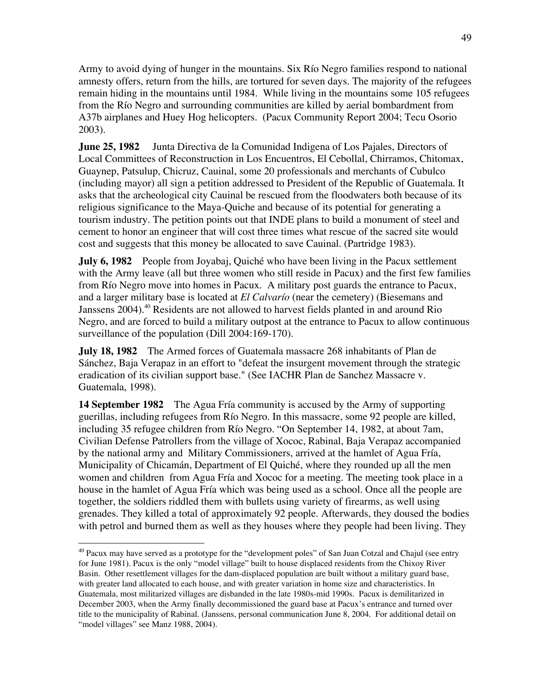Army to avoid dying of hunger in the mountains. Six Río Negro families respond to national amnesty offers, return from the hills, are tortured for seven days. The majority of the refugees remain hiding in the mountains until 1984. While living in the mountains some 105 refugees from the Río Negro and surrounding communities are killed by aerial bombardment from A37b airplanes and Huey Hog helicopters. (Pacux Community Report 2004; Tecu Osorio 2003).

**June 25, 1982** Junta Directiva de la Comunidad Indigena of Los Pajales, Directors of Local Committees of Reconstruction in Los Encuentros, El Cebollal, Chirramos, Chitomax, Guaynep, Patsulup, Chicruz, Cauinal, some 20 professionals and merchants of Cubulco (including mayor) all sign a petition addressed to President of the Republic of Guatemala. It asks that the archeological city Cauinal be rescued from the floodwaters both because of its religious significance to the Maya-Quiche and because of its potential for generating a tourism industry. The petition points out that INDE plans to build a monument of steel and cement to honor an engineer that will cost three times what rescue of the sacred site would cost and suggests that this money be allocated to save Cauinal. (Partridge 1983).

**July 6, 1982** People from Joyabaj, Quiché who have been living in the Pacux settlement with the Army leave (all but three women who still reside in Pacux) and the first few families from Río Negro move into homes in Pacux. A military post guards the entrance to Pacux, and a larger military base is located at *El Calvarío* (near the cemetery) (Biesemans and Janssens 2004).<sup>40</sup> Residents are not allowed to harvest fields planted in and around Rio Negro, and are forced to build a military outpost at the entrance to Pacux to allow continuous surveillance of the population (Dill 2004:169-170).

**July 18, 1982** The Armed forces of Guatemala massacre 268 inhabitants of Plan de Sánchez, Baja Verapaz in an effort to "defeat the insurgent movement through the strategic eradication of its civilian support base." (See IACHR Plan de Sanchez Massacre v. Guatemala, 1998).

**14 September 1982** The Agua Fría community is accused by the Army of supporting guerillas, including refugees from Río Negro. In this massacre, some 92 people are killed, including 35 refugee children from Río Negro. "On September 14, 1982, at about 7am, Civilian Defense Patrollers from the village of Xococ, Rabinal, Baja Verapaz accompanied by the national army and Military Commissioners, arrived at the hamlet of Agua Fría, Municipality of Chicamán, Department of El Quiché, where they rounded up all the men women and children from Agua Fría and Xococ for a meeting. The meeting took place in a house in the hamlet of Agua Fría which was being used as a school. Once all the people are together, the soldiers riddled them with bullets using variety of firearms, as well using grenades. They killed a total of approximately 92 people. Afterwards, they doused the bodies with petrol and burned them as well as they houses where they people had been living. They

<sup>&</sup>lt;sup>40</sup> Pacux may have served as a prototype for the "development poles" of San Juan Cotzal and Chajul (see entry for June 1981). Pacux is the only "model village" built to house displaced residents from the Chixoy River Basin. Other resettlement villages for the dam-displaced population are built without a military guard base, with greater land allocated to each house, and with greater variation in home size and characteristics. In Guatemala, most militarized villages are disbanded in the late 1980s-mid 1990s. Pacux is demilitarized in December 2003, when the Army finally decommissioned the guard base at Pacux's entrance and turned over title to the municipality of Rabinal. (Janssens, personal communication June 8, 2004. For additional detail on "model villages" see Manz 1988, 2004).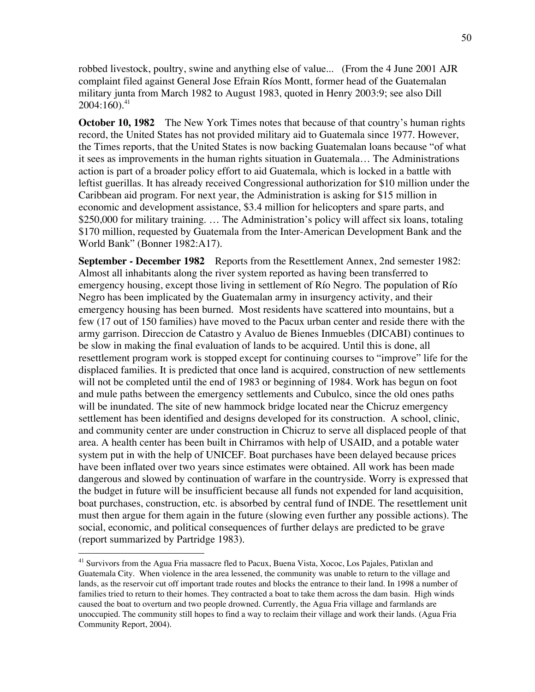robbed livestock, poultry, swine and anything else of value... (From the 4 June 2001 AJR complaint filed against General Jose Efrain Ríos Montt, former head of the Guatemalan military junta from March 1982 to August 1983, quoted in Henry 2003:9; see also Dill  $2004:160$ <sup>41</sup>

**October 10, 1982** The New York Times notes that because of that country's human rights record, the United States has not provided military aid to Guatemala since 1977. However, the Times reports, that the United States is now backing Guatemalan loans because "of what it sees as improvements in the human rights situation in Guatemala… The Administrations action is part of a broader policy effort to aid Guatemala, which is locked in a battle with leftist guerillas. It has already received Congressional authorization for \$10 million under the Caribbean aid program. For next year, the Administration is asking for \$15 million in economic and development assistance, \$3.4 million for helicopters and spare parts, and \$250,000 for military training. ... The Administration's policy will affect six loans, totaling \$170 million, requested by Guatemala from the Inter-American Development Bank and the World Bank" (Bonner 1982:A17).

**September - December 1982** Reports from the Resettlement Annex, 2nd semester 1982: Almost all inhabitants along the river system reported as having been transferred to emergency housing, except those living in settlement of Río Negro. The population of Río Negro has been implicated by the Guatemalan army in insurgency activity, and their emergency housing has been burned. Most residents have scattered into mountains, but a few (17 out of 150 families) have moved to the Pacux urban center and reside there with the army garrison. Direccion de Catastro y Avaluo de Bienes Inmuebles (DICABI) continues to be slow in making the final evaluation of lands to be acquired. Until this is done, all resettlement program work is stopped except for continuing courses to "improve" life for the displaced families. It is predicted that once land is acquired, construction of new settlements will not be completed until the end of 1983 or beginning of 1984. Work has begun on foot and mule paths between the emergency settlements and Cubulco, since the old ones paths will be inundated. The site of new hammock bridge located near the Chicruz emergency settlement has been identified and designs developed for its construction. A school, clinic, and community center are under construction in Chicruz to serve all displaced people of that area. A health center has been built in Chirramos with help of USAID, and a potable water system put in with the help of UNICEF. Boat purchases have been delayed because prices have been inflated over two years since estimates were obtained. All work has been made dangerous and slowed by continuation of warfare in the countryside. Worry is expressed that the budget in future will be insufficient because all funds not expended for land acquisition, boat purchases, construction, etc. is absorbed by central fund of INDE. The resettlement unit must then argue for them again in the future (slowing even further any possible actions). The social, economic, and political consequences of further delays are predicted to be grave (report summarized by Partridge 1983).

 <sup>41</sup> Survivors from the Agua Fria massacre fled to Pacux, Buena Vista, Xococ, Los Pajales, Patixlan and Guatemala City. When violence in the area lessened, the community was unable to return to the village and lands, as the reservoir cut off important trade routes and blocks the entrance to their land. In 1998 a number of families tried to return to their homes. They contracted a boat to take them across the dam basin. High winds caused the boat to overturn and two people drowned. Currently, the Agua Fria village and farmlands are unoccupied. The community still hopes to find a way to reclaim their village and work their lands. (Agua Fria Community Report, 2004).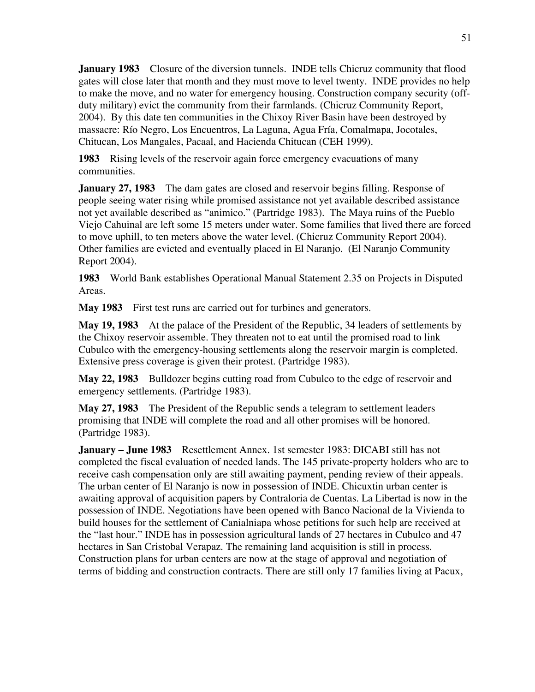**January 1983** Closure of the diversion tunnels. INDE tells Chicruz community that flood gates will close later that month and they must move to level twenty. INDE provides no help to make the move, and no water for emergency housing. Construction company security (offduty military) evict the community from their farmlands. (Chicruz Community Report, 2004). By this date ten communities in the Chixoy River Basin have been destroyed by massacre: Río Negro, Los Encuentros, La Laguna, Agua Fría, Comalmapa, Jocotales, Chitucan, Los Mangales, Pacaal, and Hacienda Chitucan (CEH 1999).

**1983** Rising levels of the reservoir again force emergency evacuations of many communities.

**January 27, 1983** The dam gates are closed and reservoir begins filling. Response of people seeing water rising while promised assistance not yet available described assistance not yet available described as "animico." (Partridge 1983). The Maya ruins of the Pueblo Viejo Cahuinal are left some 15 meters under water. Some families that lived there are forced to move uphill, to ten meters above the water level. (Chicruz Community Report 2004). Other families are evicted and eventually placed in El Naranjo. (El Naranjo Community Report 2004).

**1983** World Bank establishes Operational Manual Statement 2.35 on Projects in Disputed Areas.

**May 1983** First test runs are carried out for turbines and generators.

**May 19, 1983** At the palace of the President of the Republic, 34 leaders of settlements by the Chixoy reservoir assemble. They threaten not to eat until the promised road to link Cubulco with the emergency-housing settlements along the reservoir margin is completed. Extensive press coverage is given their protest. (Partridge 1983).

**May 22, 1983** Bulldozer begins cutting road from Cubulco to the edge of reservoir and emergency settlements. (Partridge 1983).

**May 27, 1983** The President of the Republic sends a telegram to settlement leaders promising that INDE will complete the road and all other promises will be honored. (Partridge 1983).

**January – June 1983** Resettlement Annex. 1st semester 1983: DICABI still has not completed the fiscal evaluation of needed lands. The 145 private-property holders who are to receive cash compensation only are still awaiting payment, pending review of their appeals. The urban center of El Naranjo is now in possession of INDE. Chicuxtin urban center is awaiting approval of acquisition papers by Contraloria de Cuentas. La Libertad is now in the possession of INDE. Negotiations have been opened with Banco Nacional de la Vivienda to build houses for the settlement of Canialniapa whose petitions for such help are received at the "last hour." INDE has in possession agricultural lands of 27 hectares in Cubulco and 47 hectares in San Cristobal Verapaz. The remaining land acquisition is still in process. Construction plans for urban centers are now at the stage of approval and negotiation of terms of bidding and construction contracts. There are still only 17 families living at Pacux,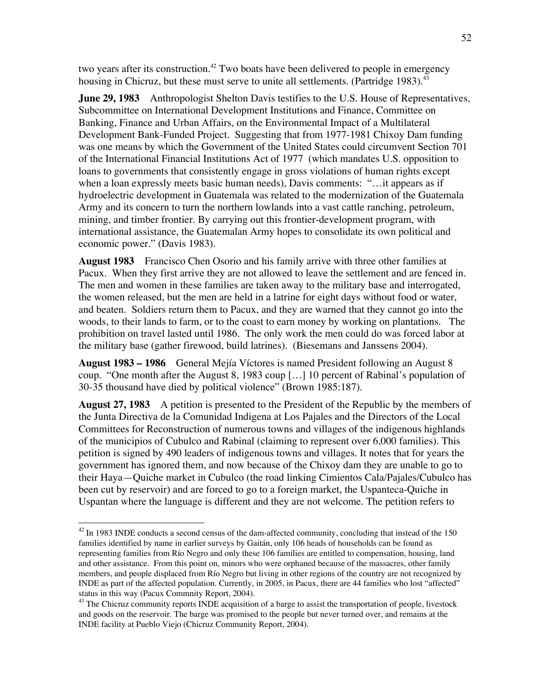two years after its construction.<sup>42</sup> Two boats have been delivered to people in emergency housing in Chicruz, but these must serve to unite all settlements. (Partridge 1983). $43$ 

**June 29, 1983** Anthropologist Shelton Davis testifies to the U.S. House of Representatives, Subcommittee on International Development Institutions and Finance, Committee on Banking, Finance and Urban Affairs, on the Environmental Impact of a Multilateral Development Bank-Funded Project. Suggesting that from 1977-1981 Chixoy Dam funding was one means by which the Government of the United States could circumvent Section 701 of the International Financial Institutions Act of 1977 (which mandates U.S. opposition to loans to governments that consistently engage in gross violations of human rights except when a loan expressly meets basic human needs), Davis comments: "…it appears as if hydroelectric development in Guatemala was related to the modernization of the Guatemala Army and its concern to turn the northern lowlands into a vast cattle ranching, petroleum, mining, and timber frontier. By carrying out this frontier-development program, with international assistance, the Guatemalan Army hopes to consolidate its own political and economic power." (Davis 1983).

**August 1983** Francisco Chen Osorio and his family arrive with three other families at Pacux. When they first arrive they are not allowed to leave the settlement and are fenced in. The men and women in these families are taken away to the military base and interrogated, the women released, but the men are held in a latrine for eight days without food or water, and beaten. Soldiers return them to Pacux, and they are warned that they cannot go into the woods, to their lands to farm, or to the coast to earn money by working on plantations. The prohibition on travel lasted until 1986. The only work the men could do was forced labor at the military base (gather firewood, build latrines). (Biesemans and Janssens 2004).

**August 1983 – 1986** General Mejía Víctores is named President following an August 8 coup. "One month after the August 8, 1983 coup […] 10 percent of Rabinal's population of 30-35 thousand have died by political violence" (Brown 1985:187).

**August 27, 1983** A petition is presented to the President of the Republic by the members of the Junta Directiva de la Comunidad Indigena at Los Pajales and the Directors of the Local Committees for Reconstruction of numerous towns and villages of the indigenous highlands of the municipios of Cubulco and Rabinal (claiming to represent over 6,000 families). This petition is signed by 490 leaders of indigenous towns and villages. It notes that for years the government has ignored them, and now because of the Chixoy dam they are unable to go to their Haya—Quiche market in Cubulco (the road linking Cimientos Cala/Pajales/Cubulco has been cut by reservoir) and are forced to go to a foreign market, the Uspanteca-Quiche in Uspantan where the language is different and they are not welcome. The petition refers to

<sup>&</sup>lt;sup>42</sup> In 1983 INDE conducts a second census of the dam-affected community, concluding that instead of the 150 families identified by name in earlier surveys by Gaitán, only 106 heads of households can be found as representing families from Río Negro and only these 106 families are entitled to compensation, housing, land and other assistance. From this point on, minors who were orphaned because of the massacres, other family members, and people displaced from Río Negro but living in other regions of the country are not recognized by INDE as part of the affected population. Currently, in 2005, in Pacux, there are 44 families who lost "affected" status in this way (Pacux Commnity Report, 2004).

<sup>&</sup>lt;sup>43</sup> The Chicruz community reports INDE acquisition of a barge to assist the transportation of people, livestock and goods on the reservoir. The barge was promised to the people but never turned over, and remains at the INDE facility at Pueblo Viejo (Chicruz Community Report, 2004).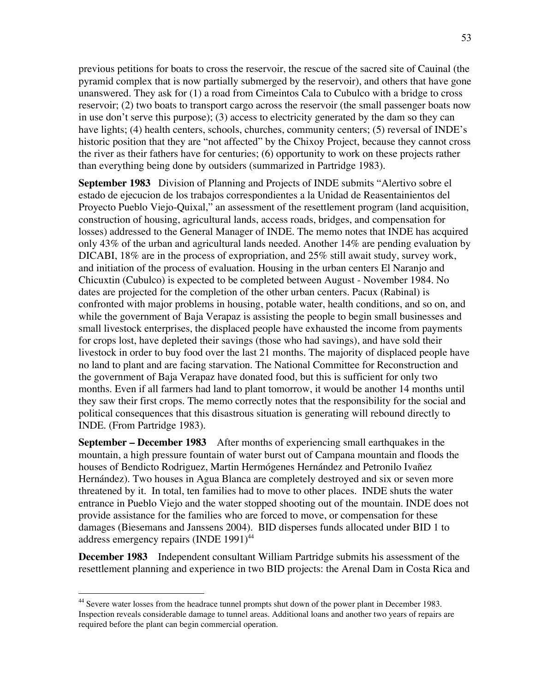previous petitions for boats to cross the reservoir, the rescue of the sacred site of Cauinal (the pyramid complex that is now partially submerged by the reservoir), and others that have gone unanswered. They ask for (1) a road from Cimeintos Cala to Cubulco with a bridge to cross reservoir; (2) two boats to transport cargo across the reservoir (the small passenger boats now in use don't serve this purpose); (3) access to electricity generated by the dam so they can have lights; (4) health centers, schools, churches, community centers; (5) reversal of INDE's historic position that they are "not affected" by the Chixoy Project, because they cannot cross the river as their fathers have for centuries; (6) opportunity to work on these projects rather than everything being done by outsiders (summarized in Partridge 1983).

**September 1983** Division of Planning and Projects of INDE submits "Alertivo sobre el estado de ejecucion de los trabajos correspondientes a la Unidad de Reasentainientos del Proyecto Pueblo Viejo-Quixal," an assessment of the resettlement program (land acquisition, construction of housing, agricultural lands, access roads, bridges, and compensation for losses) addressed to the General Manager of INDE. The memo notes that INDE has acquired only 43% of the urban and agricultural lands needed. Another 14% are pending evaluation by DICABI, 18% are in the process of expropriation, and 25% still await study, survey work, and initiation of the process of evaluation. Housing in the urban centers El Naranjo and Chicuxtin (Cubulco) is expected to be completed between August - November 1984. No dates are projected for the completion of the other urban centers. Pacux (Rabinal) is confronted with major problems in housing, potable water, health conditions, and so on, and while the government of Baja Verapaz is assisting the people to begin small businesses and small livestock enterprises, the displaced people have exhausted the income from payments for crops lost, have depleted their savings (those who had savings), and have sold their livestock in order to buy food over the last 21 months. The majority of displaced people have no land to plant and are facing starvation. The National Committee for Reconstruction and the government of Baja Verapaz have donated food, but this is sufficient for only two months. Even if all farmers had land to plant tomorrow, it would be another 14 months until they saw their first crops. The memo correctly notes that the responsibility for the social and political consequences that this disastrous situation is generating will rebound directly to INDE. (From Partridge 1983).

**September – December 1983** After months of experiencing small earthquakes in the mountain, a high pressure fountain of water burst out of Campana mountain and floods the houses of Bendicto Rodriguez, Martin Hermógenes Hernández and Petronilo Ivañez Hernández). Two houses in Agua Blanca are completely destroyed and six or seven more threatened by it. In total, ten families had to move to other places. INDE shuts the water entrance in Pueblo Viejo and the water stopped shooting out of the mountain. INDE does not provide assistance for the families who are forced to move, or compensation for these damages (Biesemans and Janssens 2004). BID disperses funds allocated under BID 1 to address emergency repairs (INDE 1991)<sup>44</sup>

**December 1983** Independent consultant William Partridge submits his assessment of the resettlement planning and experience in two BID projects: the Arenal Dam in Costa Rica and

 <sup>44</sup> Severe water losses from the headrace tunnel prompts shut down of the power plant in December 1983. Inspection reveals considerable damage to tunnel areas. Additional loans and another two years of repairs are required before the plant can begin commercial operation.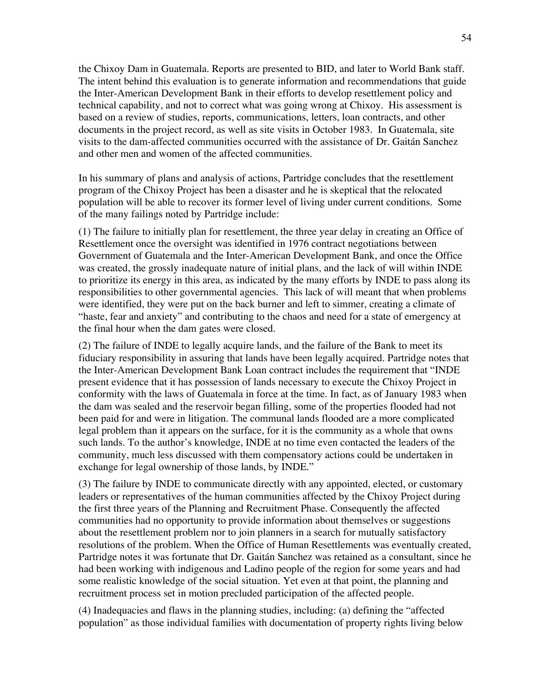the Chixoy Dam in Guatemala. Reports are presented to BID, and later to World Bank staff. The intent behind this evaluation is to generate information and recommendations that guide the Inter-American Development Bank in their efforts to develop resettlement policy and technical capability, and not to correct what was going wrong at Chixoy. His assessment is based on a review of studies, reports, communications, letters, loan contracts, and other documents in the project record, as well as site visits in October 1983. In Guatemala, site visits to the dam-affected communities occurred with the assistance of Dr. Gaitán Sanchez and other men and women of the affected communities.

In his summary of plans and analysis of actions, Partridge concludes that the resettlement program of the Chixoy Project has been a disaster and he is skeptical that the relocated population will be able to recover its former level of living under current conditions. Some of the many failings noted by Partridge include:

(1) The failure to initially plan for resettlement, the three year delay in creating an Office of Resettlement once the oversight was identified in 1976 contract negotiations between Government of Guatemala and the Inter-American Development Bank, and once the Office was created, the grossly inadequate nature of initial plans, and the lack of will within INDE to prioritize its energy in this area, as indicated by the many efforts by INDE to pass along its responsibilities to other governmental agencies. This lack of will meant that when problems were identified, they were put on the back burner and left to simmer, creating a climate of "haste, fear and anxiety" and contributing to the chaos and need for a state of emergency at the final hour when the dam gates were closed.

(2) The failure of INDE to legally acquire lands, and the failure of the Bank to meet its fiduciary responsibility in assuring that lands have been legally acquired. Partridge notes that the Inter-American Development Bank Loan contract includes the requirement that "INDE present evidence that it has possession of lands necessary to execute the Chixoy Project in conformity with the laws of Guatemala in force at the time. In fact, as of January 1983 when the dam was sealed and the reservoir began filling, some of the properties flooded had not been paid for and were in litigation. The communal lands flooded are a more complicated legal problem than it appears on the surface, for it is the community as a whole that owns such lands. To the author's knowledge, INDE at no time even contacted the leaders of the community, much less discussed with them compensatory actions could be undertaken in exchange for legal ownership of those lands, by INDE."

(3) The failure by INDE to communicate directly with any appointed, elected, or customary leaders or representatives of the human communities affected by the Chixoy Project during the first three years of the Planning and Recruitment Phase. Consequently the affected communities had no opportunity to provide information about themselves or suggestions about the resettlement problem nor to join planners in a search for mutually satisfactory resolutions of the problem. When the Office of Human Resettlements was eventually created, Partridge notes it was fortunate that Dr. Gaitán Sanchez was retained as a consultant, since he had been working with indigenous and Ladino people of the region for some years and had some realistic knowledge of the social situation. Yet even at that point, the planning and recruitment process set in motion precluded participation of the affected people.

(4) Inadequacies and flaws in the planning studies, including: (a) defining the "affected population" as those individual families with documentation of property rights living below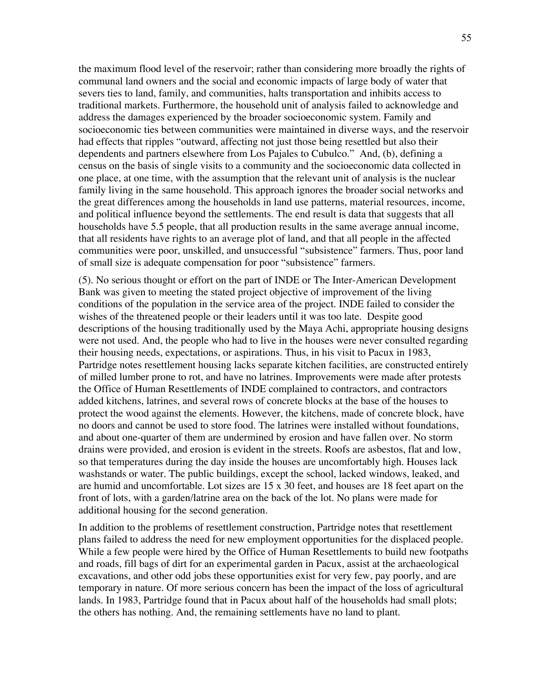the maximum flood level of the reservoir; rather than considering more broadly the rights of communal land owners and the social and economic impacts of large body of water that severs ties to land, family, and communities, halts transportation and inhibits access to traditional markets. Furthermore, the household unit of analysis failed to acknowledge and address the damages experienced by the broader socioeconomic system. Family and socioeconomic ties between communities were maintained in diverse ways, and the reservoir had effects that ripples "outward, affecting not just those being resettled but also their dependents and partners elsewhere from Los Pajales to Cubulco." And, (b), defining a census on the basis of single visits to a community and the socioeconomic data collected in one place, at one time, with the assumption that the relevant unit of analysis is the nuclear family living in the same household. This approach ignores the broader social networks and the great differences among the households in land use patterns, material resources, income, and political influence beyond the settlements. The end result is data that suggests that all households have 5.5 people, that all production results in the same average annual income, that all residents have rights to an average plot of land, and that all people in the affected communities were poor, unskilled, and unsuccessful "subsistence" farmers. Thus, poor land of small size is adequate compensation for poor "subsistence" farmers.

(5). No serious thought or effort on the part of INDE or The Inter-American Development Bank was given to meeting the stated project objective of improvement of the living conditions of the population in the service area of the project. INDE failed to consider the wishes of the threatened people or their leaders until it was too late. Despite good descriptions of the housing traditionally used by the Maya Achi, appropriate housing designs were not used. And, the people who had to live in the houses were never consulted regarding their housing needs, expectations, or aspirations. Thus, in his visit to Pacux in 1983, Partridge notes resettlement housing lacks separate kitchen facilities, are constructed entirely of milled lumber prone to rot, and have no latrines. Improvements were made after protests the Office of Human Resettlements of INDE complained to contractors, and contractors added kitchens, latrines, and several rows of concrete blocks at the base of the houses to protect the wood against the elements. However, the kitchens, made of concrete block, have no doors and cannot be used to store food. The latrines were installed without foundations, and about one-quarter of them are undermined by erosion and have fallen over. No storm drains were provided, and erosion is evident in the streets. Roofs are asbestos, flat and low, so that temperatures during the day inside the houses are uncomfortably high. Houses lack washstands or water. The public buildings, except the school, lacked windows, leaked, and are humid and uncomfortable. Lot sizes are 15 x 30 feet, and houses are 18 feet apart on the front of lots, with a garden/latrine area on the back of the lot. No plans were made for additional housing for the second generation.

In addition to the problems of resettlement construction, Partridge notes that resettlement plans failed to address the need for new employment opportunities for the displaced people. While a few people were hired by the Office of Human Resettlements to build new footpaths and roads, fill bags of dirt for an experimental garden in Pacux, assist at the archaeological excavations, and other odd jobs these opportunities exist for very few, pay poorly, and are temporary in nature. Of more serious concern has been the impact of the loss of agricultural lands. In 1983, Partridge found that in Pacux about half of the households had small plots; the others has nothing. And, the remaining settlements have no land to plant.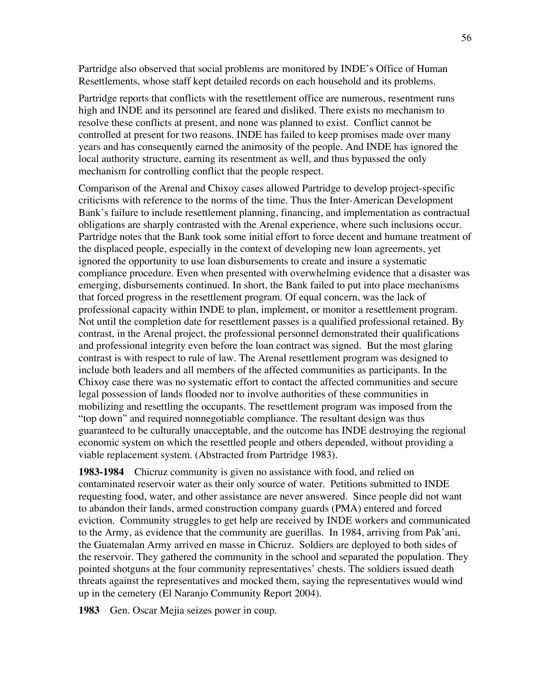Partridge also observed that social problems are monitored by INDE's Office of Human Resettlements, whose staff kept detailed records on each household and its problems.

Partridge reports that conflicts with the resettlement office are numerous, resentment runs high and INDE and its personnel are feared and disliked. There exists no mechanism to resolve these conflicts at present, and none was planned to exist. Conflict cannot be controlled at present for two reasons. INDE has failed to keep promises made over many years and has consequently earned the animosity of the people. And INDE has ignored the local authority structure, earning its resentment as well, and thus bypassed the only mechanism for controlling conflict that the people respect.

Comparison of the Arenal and Chixoy cases allowed Partridge to develop project-specific criticisms with reference to the norms of the time. Thus the Inter-American Development Bank's failure to include resettlement planning, financing, and implementation as contractual obligations are sharply contrasted with the Arenal experience, where such inclusions occur. Partridge notes that the Bank took some initial effort to force decent and humane treatment of the displaced people, especially in the context of developing new loan agreements, yet ignored the opportunity to use loan disbursements to create and insure a systematic compliance procedure. Even when presented with overwhelming evidence that a disaster was emerging, disbursements continued. In short, the Bank failed to put into place mechanisms that forced progress in the resettlement program. Of equal concern, was the lack of professional capacity within INDE to plan, implement, or monitor a resettlement program. Not until the completion date for resettlement passes is a qualified professional retained. By contrast, in the Arenal project, the professional personnel demonstrated their qualifications and professional integrity even before the loan contract was signed. But the most glaring contrast is with respect to rule of law. The Arenal resettlement program was designed to include both leaders and all members of the affected communities as participants. In the Chixoy case there was no systematic effort to contact the affected communities and secure legal possession of lands flooded nor to involve authorities of these communities in mobilizing and resettling the occupants. The resettlement program was imposed from the "top down" and required nonnegotiable compliance. The resultant design was thus guaranteed to be culturally unacceptable, and the outcome has INDE destroying the regional economic system on which the resettled people and others depended, without providing a viable replacement system. (Abstracted from Partridge 1983).

**1983-1984** Chicruz community is given no assistance with food, and relied on contaminated reservoir water as their only source of water. Petitions submitted to INDE requesting food, water, and other assistance are never answered. Since people did not want to abandon their lands, armed construction company guards (PMA) entered and forced eviction. Community struggles to get help are received by INDE workers and communicated to the Army, as evidence that the community are guerillas. In 1984, arriving from Pak'ani, the Guatemalan Army arrived en masse in Chicruz. Soldiers are deployed to both sides of the reservoir. They gathered the community in the school and separated the population. They pointed shotguns at the four community representatives' chests. The soldiers issued death threats against the representatives and mocked them, saying the representatives would wind up in the cemetery (El Naranjo Community Report 2004).

**1983** Gen. Oscar Mejia seizes power in coup.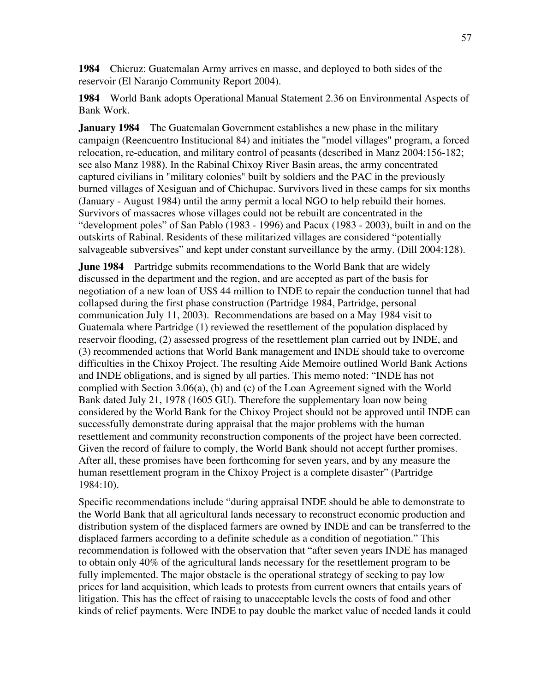**1984** Chicruz: Guatemalan Army arrives en masse, and deployed to both sides of the reservoir (El Naranjo Community Report 2004).

**1984** World Bank adopts Operational Manual Statement 2.36 on Environmental Aspects of Bank Work.

**January 1984** The Guatemalan Government establishes a new phase in the military campaign (Reencuentro Institucional 84) and initiates the "model villages" program, a forced relocation, re-education, and military control of peasants (described in Manz 2004:156-182; see also Manz 1988). In the Rabinal Chixoy River Basin areas, the army concentrated captured civilians in "military colonies" built by soldiers and the PAC in the previously burned villages of Xesiguan and of Chichupac. Survivors lived in these camps for six months (January - August 1984) until the army permit a local NGO to help rebuild their homes. Survivors of massacres whose villages could not be rebuilt are concentrated in the "development poles" of San Pablo (1983 - 1996) and Pacux (1983 - 2003), built in and on the outskirts of Rabinal. Residents of these militarized villages are considered "potentially salvageable subversives" and kept under constant surveillance by the army. (Dill 2004:128).

**June 1984** Partridge submits recommendations to the World Bank that are widely discussed in the department and the region, and are accepted as part of the basis for negotiation of a new loan of US\$ 44 million to INDE to repair the conduction tunnel that had collapsed during the first phase construction (Partridge 1984, Partridge, personal communication July 11, 2003). Recommendations are based on a May 1984 visit to Guatemala where Partridge (1) reviewed the resettlement of the population displaced by reservoir flooding, (2) assessed progress of the resettlement plan carried out by INDE, and (3) recommended actions that World Bank management and INDE should take to overcome difficulties in the Chixoy Project. The resulting Aide Memoire outlined World Bank Actions and INDE obligations, and is signed by all parties. This memo noted: "INDE has not complied with Section 3.06(a), (b) and (c) of the Loan Agreement signed with the World Bank dated July 21, 1978 (1605 GU). Therefore the supplementary loan now being considered by the World Bank for the Chixoy Project should not be approved until INDE can successfully demonstrate during appraisal that the major problems with the human resettlement and community reconstruction components of the project have been corrected. Given the record of failure to comply, the World Bank should not accept further promises. After all, these promises have been forthcoming for seven years, and by any measure the human resettlement program in the Chixoy Project is a complete disaster" (Partridge 1984:10).

Specific recommendations include "during appraisal INDE should be able to demonstrate to the World Bank that all agricultural lands necessary to reconstruct economic production and distribution system of the displaced farmers are owned by INDE and can be transferred to the displaced farmers according to a definite schedule as a condition of negotiation." This recommendation is followed with the observation that "after seven years INDE has managed to obtain only 40% of the agricultural lands necessary for the resettlement program to be fully implemented. The major obstacle is the operational strategy of seeking to pay low prices for land acquisition, which leads to protests from current owners that entails years of litigation. This has the effect of raising to unacceptable levels the costs of food and other kinds of relief payments. Were INDE to pay double the market value of needed lands it could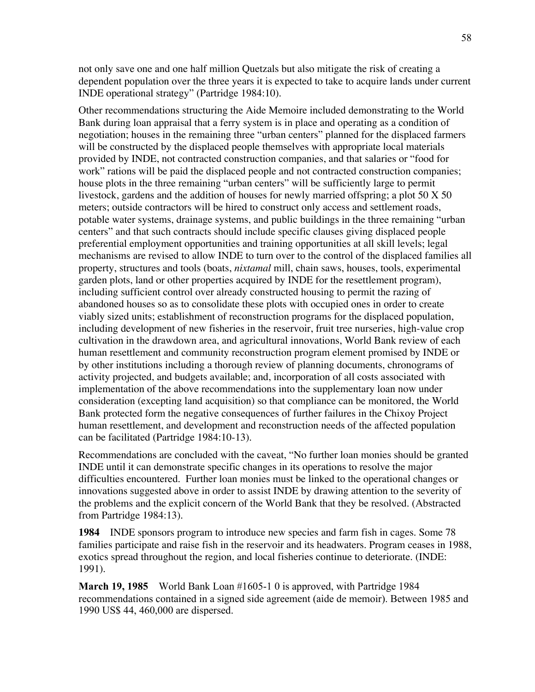not only save one and one half million Quetzals but also mitigate the risk of creating a dependent population over the three years it is expected to take to acquire lands under current INDE operational strategy" (Partridge 1984:10).

Other recommendations structuring the Aide Memoire included demonstrating to the World Bank during loan appraisal that a ferry system is in place and operating as a condition of negotiation; houses in the remaining three "urban centers" planned for the displaced farmers will be constructed by the displaced people themselves with appropriate local materials provided by INDE, not contracted construction companies, and that salaries or "food for work" rations will be paid the displaced people and not contracted construction companies; house plots in the three remaining "urban centers" will be sufficiently large to permit livestock, gardens and the addition of houses for newly married offspring; a plot 50 X 50 meters; outside contractors will be hired to construct only access and settlement roads, potable water systems, drainage systems, and public buildings in the three remaining "urban centers" and that such contracts should include specific clauses giving displaced people preferential employment opportunities and training opportunities at all skill levels; legal mechanisms are revised to allow INDE to turn over to the control of the displaced families all property, structures and tools (boats, *nixtamal* mill, chain saws, houses, tools, experimental garden plots, land or other properties acquired by INDE for the resettlement program), including sufficient control over already constructed housing to permit the razing of abandoned houses so as to consolidate these plots with occupied ones in order to create viably sized units; establishment of reconstruction programs for the displaced population, including development of new fisheries in the reservoir, fruit tree nurseries, high-value crop cultivation in the drawdown area, and agricultural innovations, World Bank review of each human resettlement and community reconstruction program element promised by INDE or by other institutions including a thorough review of planning documents, chronograms of activity projected, and budgets available; and, incorporation of all costs associated with implementation of the above recommendations into the supplementary loan now under consideration (excepting land acquisition) so that compliance can be monitored, the World Bank protected form the negative consequences of further failures in the Chixoy Project human resettlement, and development and reconstruction needs of the affected population can be facilitated (Partridge 1984:10-13).

Recommendations are concluded with the caveat, "No further loan monies should be granted INDE until it can demonstrate specific changes in its operations to resolve the major difficulties encountered. Further loan monies must be linked to the operational changes or innovations suggested above in order to assist INDE by drawing attention to the severity of the problems and the explicit concern of the World Bank that they be resolved. (Abstracted from Partridge 1984:13).

**1984** INDE sponsors program to introduce new species and farm fish in cages. Some 78 families participate and raise fish in the reservoir and its headwaters. Program ceases in 1988, exotics spread throughout the region, and local fisheries continue to deteriorate. (INDE: 1991).

**March 19, 1985** World Bank Loan #1605-1 0 is approved, with Partridge 1984 recommendations contained in a signed side agreement (aide de memoir). Between 1985 and 1990 US\$ 44, 460,000 are dispersed.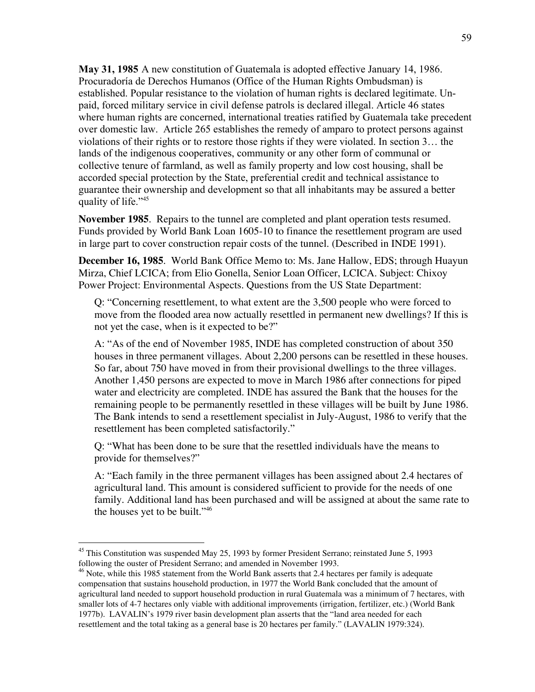**May 31, 1985** A new constitution of Guatemala is adopted effective January 14, 1986. Procuradoría de Derechos Humanos (Office of the Human Rights Ombudsman) is established. Popular resistance to the violation of human rights is declared legitimate. Unpaid, forced military service in civil defense patrols is declared illegal. Article 46 states where human rights are concerned, international treaties ratified by Guatemala take precedent over domestic law. Article 265 establishes the remedy of amparo to protect persons against violations of their rights or to restore those rights if they were violated. In section 3… the lands of the indigenous cooperatives, community or any other form of communal or collective tenure of farmland, as well as family property and low cost housing, shall be accorded special protection by the State, preferential credit and technical assistance to guarantee their ownership and development so that all inhabitants may be assured a better quality of life."<sup>45</sup>

**November 1985**. Repairs to the tunnel are completed and plant operation tests resumed. Funds provided by World Bank Loan 1605-10 to finance the resettlement program are used in large part to cover construction repair costs of the tunnel. (Described in INDE 1991).

**December 16, 1985**. World Bank Office Memo to: Ms. Jane Hallow, EDS; through Huayun Mirza, Chief LCICA; from Elio Gonella, Senior Loan Officer, LCICA. Subject: Chixoy Power Project: Environmental Aspects. Questions from the US State Department:

Q: "Concerning resettlement, to what extent are the 3,500 people who were forced to move from the flooded area now actually resettled in permanent new dwellings? If this is not yet the case, when is it expected to be?"

A: "As of the end of November 1985, INDE has completed construction of about 350 houses in three permanent villages. About 2,200 persons can be resettled in these houses. So far, about 750 have moved in from their provisional dwellings to the three villages. Another 1,450 persons are expected to move in March 1986 after connections for piped water and electricity are completed. INDE has assured the Bank that the houses for the remaining people to be permanently resettled in these villages will be built by June 1986. The Bank intends to send a resettlement specialist in July-August, 1986 to verify that the resettlement has been completed satisfactorily."

Q: "What has been done to be sure that the resettled individuals have the means to provide for themselves?"

A: "Each family in the three permanent villages has been assigned about 2.4 hectares of agricultural land. This amount is considered sufficient to provide for the needs of one family. Additional land has been purchased and will be assigned at about the same rate to the houses yet to be built."46

<sup>&</sup>lt;sup>45</sup> This Constitution was suspended May 25, 1993 by former President Serrano; reinstated June 5, 1993 following the ouster of President Serrano; and amended in November 1993.

<sup>&</sup>lt;sup>46</sup> Note, while this 1985 statement from the World Bank asserts that 2.4 hectares per family is adequate compensation that sustains household production, in 1977 the World Bank concluded that the amount of agricultural land needed to support household production in rural Guatemala was a minimum of 7 hectares, with smaller lots of 4-7 hectares only viable with additional improvements (irrigation, fertilizer, etc.) (World Bank 1977b). LAVALIN's 1979 river basin development plan asserts that the "land area needed for each resettlement and the total taking as a general base is 20 hectares per family." (LAVALIN 1979:324).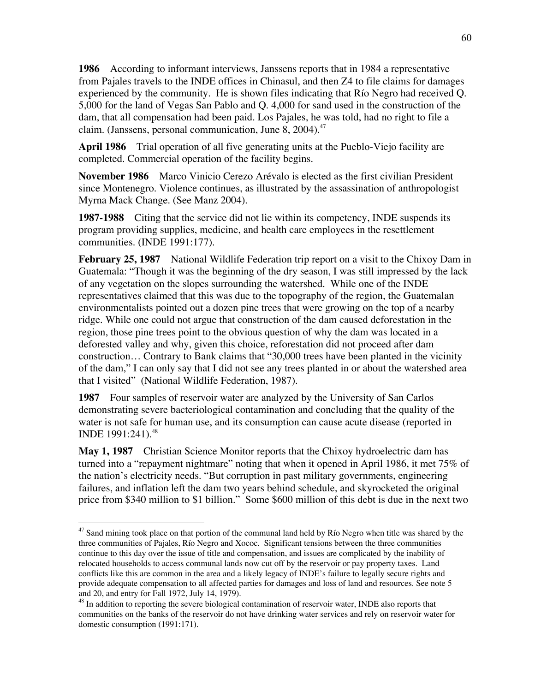**1986** According to informant interviews, Janssens reports that in 1984 a representative from Pajales travels to the INDE offices in Chinasul, and then Z4 to file claims for damages experienced by the community. He is shown files indicating that Río Negro had received Q. 5,000 for the land of Vegas San Pablo and Q. 4,000 for sand used in the construction of the dam, that all compensation had been paid. Los Pajales, he was told, had no right to file a claim. (Janssens, personal communication, June 8, 2004).<sup>47</sup>

**April 1986** Trial operation of all five generating units at the Pueblo-Viejo facility are completed. Commercial operation of the facility begins.

**November 1986** Marco Vinicio Cerezo Arévalo is elected as the first civilian President since Montenegro. Violence continues, as illustrated by the assassination of anthropologist Myrna Mack Change. (See Manz 2004).

**1987-1988** Citing that the service did not lie within its competency, INDE suspends its program providing supplies, medicine, and health care employees in the resettlement communities. (INDE 1991:177).

**February 25, 1987** National Wildlife Federation trip report on a visit to the Chixoy Dam in Guatemala: "Though it was the beginning of the dry season, I was still impressed by the lack of any vegetation on the slopes surrounding the watershed. While one of the INDE representatives claimed that this was due to the topography of the region, the Guatemalan environmentalists pointed out a dozen pine trees that were growing on the top of a nearby ridge. While one could not argue that construction of the dam caused deforestation in the region, those pine trees point to the obvious question of why the dam was located in a deforested valley and why, given this choice, reforestation did not proceed after dam construction… Contrary to Bank claims that "30,000 trees have been planted in the vicinity of the dam," I can only say that I did not see any trees planted in or about the watershed area that I visited" (National Wildlife Federation, 1987).

**1987** Four samples of reservoir water are analyzed by the University of San Carlos demonstrating severe bacteriological contamination and concluding that the quality of the water is not safe for human use, and its consumption can cause acute disease (reported in INDE 1991:241).<sup>48</sup>

**May 1, 1987** Christian Science Monitor reports that the Chixoy hydroelectric dam has turned into a "repayment nightmare" noting that when it opened in April 1986, it met 75% of the nation's electricity needs. "But corruption in past military governments, engineering failures, and inflation left the dam two years behind schedule, and skyrocketed the original price from \$340 million to \$1 billion." Some \$600 million of this debt is due in the next two

<sup>&</sup>lt;sup>47</sup> Sand mining took place on that portion of the communal land held by Río Negro when title was shared by the three communities of Pajales, Río Negro and Xococ. Significant tensions between the three communities continue to this day over the issue of title and compensation, and issues are complicated by the inability of relocated households to access communal lands now cut off by the reservoir or pay property taxes. Land conflicts like this are common in the area and a likely legacy of INDE's failure to legally secure rights and provide adequate compensation to all affected parties for damages and loss of land and resources. See note 5 and 20, and entry for Fall 1972, July 14, 1979).

<sup>&</sup>lt;sup>48</sup> In addition to reporting the severe biological contamination of reservoir water, INDE also reports that communities on the banks of the reservoir do not have drinking water services and rely on reservoir water for domestic consumption (1991:171).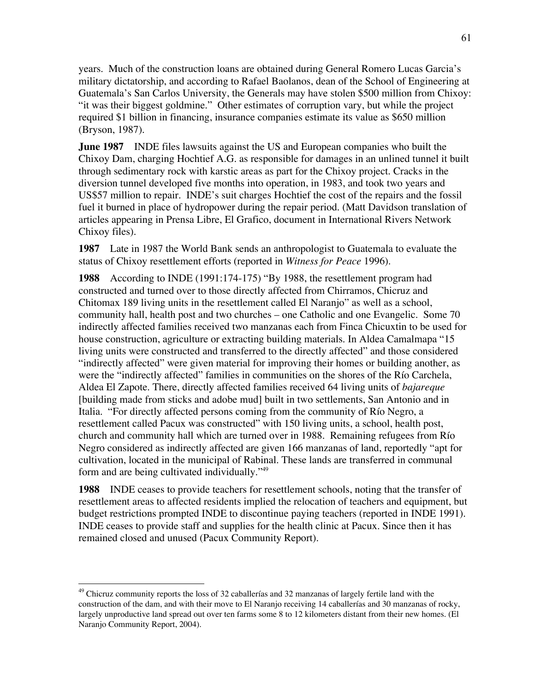years. Much of the construction loans are obtained during General Romero Lucas Garcia's military dictatorship, and according to Rafael Baolanos, dean of the School of Engineering at Guatemala's San Carlos University, the Generals may have stolen \$500 million from Chixoy: "it was their biggest goldmine." Other estimates of corruption vary, but while the project required \$1 billion in financing, insurance companies estimate its value as \$650 million (Bryson, 1987).

**June 1987** INDE files lawsuits against the US and European companies who built the Chixoy Dam, charging Hochtief A.G. as responsible for damages in an unlined tunnel it built through sedimentary rock with karstic areas as part for the Chixoy project. Cracks in the diversion tunnel developed five months into operation, in 1983, and took two years and US\$57 million to repair. INDE's suit charges Hochtief the cost of the repairs and the fossil fuel it burned in place of hydropower during the repair period. (Matt Davidson translation of articles appearing in Prensa Libre, El Grafico, document in International Rivers Network Chixoy files).

**1987** Late in 1987 the World Bank sends an anthropologist to Guatemala to evaluate the status of Chixoy resettlement efforts (reported in *Witness for Peace* 1996).

**1988** According to INDE (1991:174-175) "By 1988, the resettlement program had constructed and turned over to those directly affected from Chirramos, Chicruz and Chitomax 189 living units in the resettlement called El Naranjo" as well as a school, community hall, health post and two churches – one Catholic and one Evangelic. Some 70 indirectly affected families received two manzanas each from Finca Chicuxtin to be used for house construction, agriculture or extracting building materials. In Aldea Camalmapa "15 living units were constructed and transferred to the directly affected" and those considered "indirectly affected" were given material for improving their homes or building another, as were the "indirectly affected" families in communities on the shores of the Río Carchela, Aldea El Zapote. There, directly affected families received 64 living units of *bajareque* [building made from sticks and adobe mud] built in two settlements, San Antonio and in Italia. "For directly affected persons coming from the community of Río Negro, a resettlement called Pacux was constructed" with 150 living units, a school, health post, church and community hall which are turned over in 1988. Remaining refugees from Río Negro considered as indirectly affected are given 166 manzanas of land, reportedly "apt for cultivation, located in the municipal of Rabinal. These lands are transferred in communal form and are being cultivated individually."49

**1988** INDE ceases to provide teachers for resettlement schools, noting that the transfer of resettlement areas to affected residents implied the relocation of teachers and equipment, but budget restrictions prompted INDE to discontinue paying teachers (reported in INDE 1991). INDE ceases to provide staff and supplies for the health clinic at Pacux. Since then it has remained closed and unused (Pacux Community Report).

 <sup>49</sup> Chicruz community reports the loss of 32 caballerías and 32 manzanas of largely fertile land with the construction of the dam, and with their move to El Naranjo receiving 14 caballerías and 30 manzanas of rocky, largely unproductive land spread out over ten farms some 8 to 12 kilometers distant from their new homes. (El Naranjo Community Report, 2004).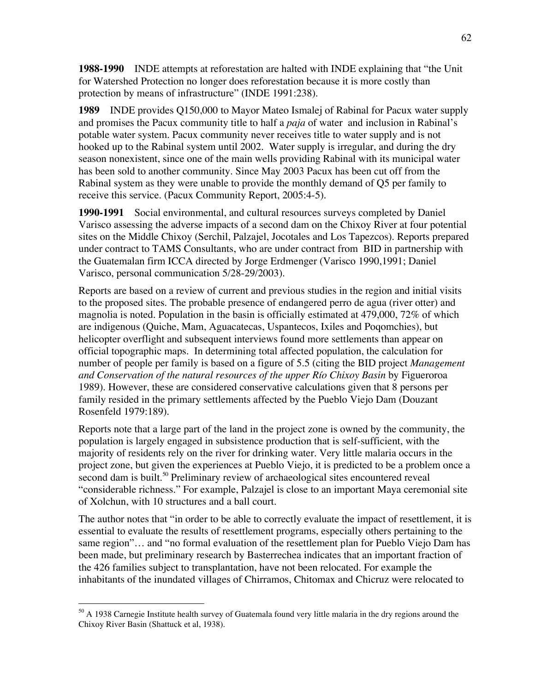**1988-1990** INDE attempts at reforestation are halted with INDE explaining that "the Unit for Watershed Protection no longer does reforestation because it is more costly than protection by means of infrastructure" (INDE 1991:238).

**1989** INDE provides Q150,000 to Mayor Mateo Ismalej of Rabinal for Pacux water supply and promises the Pacux community title to half a *paja* of water and inclusion in Rabinal's potable water system. Pacux community never receives title to water supply and is not hooked up to the Rabinal system until 2002. Water supply is irregular, and during the dry season nonexistent, since one of the main wells providing Rabinal with its municipal water has been sold to another community. Since May 2003 Pacux has been cut off from the Rabinal system as they were unable to provide the monthly demand of Q5 per family to receive this service. (Pacux Community Report, 2005:4-5).

**1990-1991** Social environmental, and cultural resources surveys completed by Daniel Varisco assessing the adverse impacts of a second dam on the Chixoy River at four potential sites on the Middle Chixoy (Serchil, Palzajel, Jocotales and Los Tapezcos). Reports prepared under contract to TAMS Consultants, who are under contract from BID in partnership with the Guatemalan firm ICCA directed by Jorge Erdmenger (Varisco 1990,1991; Daniel Varisco, personal communication 5/28-29/2003).

Reports are based on a review of current and previous studies in the region and initial visits to the proposed sites. The probable presence of endangered perro de agua (river otter) and magnolia is noted. Population in the basin is officially estimated at 479,000, 72% of which are indigenous (Quiche, Mam, Aguacatecas, Uspantecos, Ixiles and Poqomchies), but helicopter overflight and subsequent interviews found more settlements than appear on official topographic maps. In determining total affected population, the calculation for number of people per family is based on a figure of 5.5 (citing the BID project *Management and Conservation of the natural resources of the upper Río Chixoy Basin* by Figueroroa 1989). However, these are considered conservative calculations given that 8 persons per family resided in the primary settlements affected by the Pueblo Viejo Dam (Douzant Rosenfeld 1979:189).

Reports note that a large part of the land in the project zone is owned by the community, the population is largely engaged in subsistence production that is self-sufficient, with the majority of residents rely on the river for drinking water. Very little malaria occurs in the project zone, but given the experiences at Pueblo Viejo, it is predicted to be a problem once a second dam is built.<sup>50</sup> Preliminary review of archaeological sites encountered reveal "considerable richness." For example, Palzajel is close to an important Maya ceremonial site of Xolchun, with 10 structures and a ball court.

The author notes that "in order to be able to correctly evaluate the impact of resettlement, it is essential to evaluate the results of resettlement programs, especially others pertaining to the same region"... and "no formal evaluation of the resettlement plan for Pueblo Viejo Dam has been made, but preliminary research by Basterrechea indicates that an important fraction of the 426 families subject to transplantation, have not been relocated. For example the inhabitants of the inundated villages of Chirramos, Chitomax and Chicruz were relocated to

<sup>&</sup>lt;sup>50</sup> A 1938 Carnegie Institute health survey of Guatemala found very little malaria in the dry regions around the Chixoy River Basin (Shattuck et al, 1938).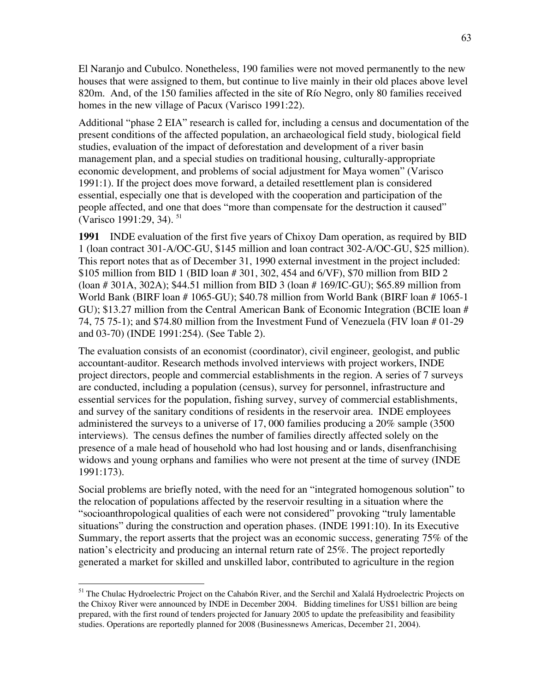El Naranjo and Cubulco. Nonetheless, 190 families were not moved permanently to the new houses that were assigned to them, but continue to live mainly in their old places above level 820m. And, of the 150 families affected in the site of Río Negro, only 80 families received homes in the new village of Pacux (Varisco 1991:22).

Additional "phase 2 EIA" research is called for, including a census and documentation of the present conditions of the affected population, an archaeological field study, biological field studies, evaluation of the impact of deforestation and development of a river basin management plan, and a special studies on traditional housing, culturally-appropriate economic development, and problems of social adjustment for Maya women" (Varisco 1991:1). If the project does move forward, a detailed resettlement plan is considered essential, especially one that is developed with the cooperation and participation of the people affected, and one that does "more than compensate for the destruction it caused" (Varisco 1991:29, 34).<sup>51</sup>

**1991** INDE evaluation of the first five years of Chixoy Dam operation, as required by BID 1 (loan contract 301-A/OC-GU, \$145 million and loan contract 302-A/OC-GU, \$25 million). This report notes that as of December 31, 1990 external investment in the project included: \$105 million from BID 1 (BID loan # 301, 302, 454 and 6/VF), \$70 million from BID 2 (loan # 301A, 302A); \$44.51 million from BID 3 (loan # 169/IC-GU); \$65.89 million from World Bank (BIRF loan # 1065-GU); \$40.78 million from World Bank (BIRF loan # 1065-1 GU); \$13.27 million from the Central American Bank of Economic Integration (BCIE loan # 74, 75 75-1); and \$74.80 million from the Investment Fund of Venezuela (FIV loan # 01-29 and 03-70) (INDE 1991:254). (See Table 2).

The evaluation consists of an economist (coordinator), civil engineer, geologist, and public accountant-auditor. Research methods involved interviews with project workers, INDE project directors, people and commercial establishments in the region. A series of 7 surveys are conducted, including a population (census), survey for personnel, infrastructure and essential services for the population, fishing survey, survey of commercial establishments, and survey of the sanitary conditions of residents in the reservoir area. INDE employees administered the surveys to a universe of 17, 000 families producing a 20% sample (3500 interviews). The census defines the number of families directly affected solely on the presence of a male head of household who had lost housing and or lands, disenfranchising widows and young orphans and families who were not present at the time of survey (INDE 1991:173).

Social problems are briefly noted, with the need for an "integrated homogenous solution" to the relocation of populations affected by the reservoir resulting in a situation where the "socioanthropological qualities of each were not considered" provoking "truly lamentable situations" during the construction and operation phases. (INDE 1991:10). In its Executive Summary, the report asserts that the project was an economic success, generating 75% of the nation's electricity and producing an internal return rate of 25%. The project reportedly generated a market for skilled and unskilled labor, contributed to agriculture in the region

<sup>&</sup>lt;sup>51</sup> The Chulac Hydroelectric Project on the Cahabón River, and the Serchil and Xalalá Hydroelectric Projects on the Chixoy River were announced by INDE in December 2004. Bidding timelines for US\$1 billion are being prepared, with the first round of tenders projected for January 2005 to update the prefeasibility and feasibility studies. Operations are reportedly planned for 2008 (Businessnews Americas, December 21, 2004).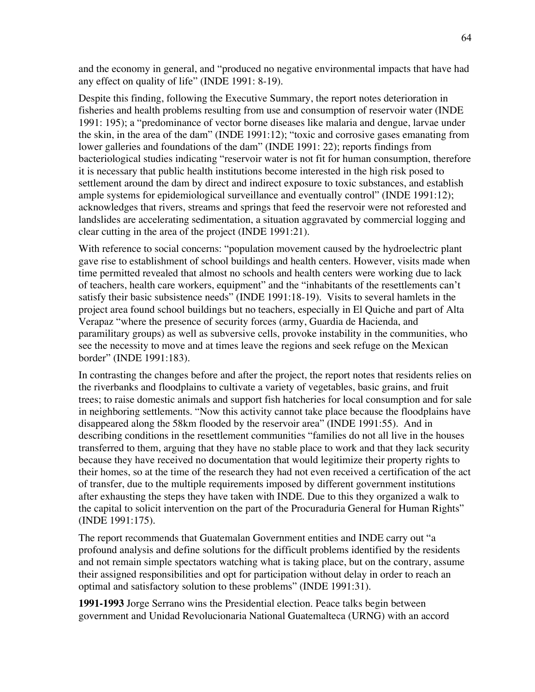and the economy in general, and "produced no negative environmental impacts that have had any effect on quality of life" (INDE 1991: 8-19).

Despite this finding, following the Executive Summary, the report notes deterioration in fisheries and health problems resulting from use and consumption of reservoir water (INDE 1991: 195); a "predominance of vector borne diseases like malaria and dengue, larvae under the skin, in the area of the dam" (INDE 1991:12); "toxic and corrosive gases emanating from lower galleries and foundations of the dam" (INDE 1991: 22); reports findings from bacteriological studies indicating "reservoir water is not fit for human consumption, therefore it is necessary that public health institutions become interested in the high risk posed to settlement around the dam by direct and indirect exposure to toxic substances, and establish ample systems for epidemiological surveillance and eventually control" (INDE 1991:12); acknowledges that rivers, streams and springs that feed the reservoir were not reforested and landslides are accelerating sedimentation, a situation aggravated by commercial logging and clear cutting in the area of the project (INDE 1991:21).

With reference to social concerns: "population movement caused by the hydroelectric plant gave rise to establishment of school buildings and health centers. However, visits made when time permitted revealed that almost no schools and health centers were working due to lack of teachers, health care workers, equipment" and the "inhabitants of the resettlements can't satisfy their basic subsistence needs" (INDE 1991:18-19). Visits to several hamlets in the project area found school buildings but no teachers, especially in El Quiche and part of Alta Verapaz "where the presence of security forces (army, Guardia de Hacienda, and paramilitary groups) as well as subversive cells, provoke instability in the communities, who see the necessity to move and at times leave the regions and seek refuge on the Mexican border" (INDE 1991:183).

In contrasting the changes before and after the project, the report notes that residents relies on the riverbanks and floodplains to cultivate a variety of vegetables, basic grains, and fruit trees; to raise domestic animals and support fish hatcheries for local consumption and for sale in neighboring settlements. "Now this activity cannot take place because the floodplains have disappeared along the 58km flooded by the reservoir area" (INDE 1991:55). And in describing conditions in the resettlement communities "families do not all live in the houses transferred to them, arguing that they have no stable place to work and that they lack security because they have received no documentation that would legitimize their property rights to their homes, so at the time of the research they had not even received a certification of the act of transfer, due to the multiple requirements imposed by different government institutions after exhausting the steps they have taken with INDE. Due to this they organized a walk to the capital to solicit intervention on the part of the Procuraduria General for Human Rights" (INDE 1991:175).

The report recommends that Guatemalan Government entities and INDE carry out "a profound analysis and define solutions for the difficult problems identified by the residents and not remain simple spectators watching what is taking place, but on the contrary, assume their assigned responsibilities and opt for participation without delay in order to reach an optimal and satisfactory solution to these problems" (INDE 1991:31).

**1991-1993** Jorge Serrano wins the Presidential election. Peace talks begin between government and Unidad Revolucionaria National Guatemalteca (URNG) with an accord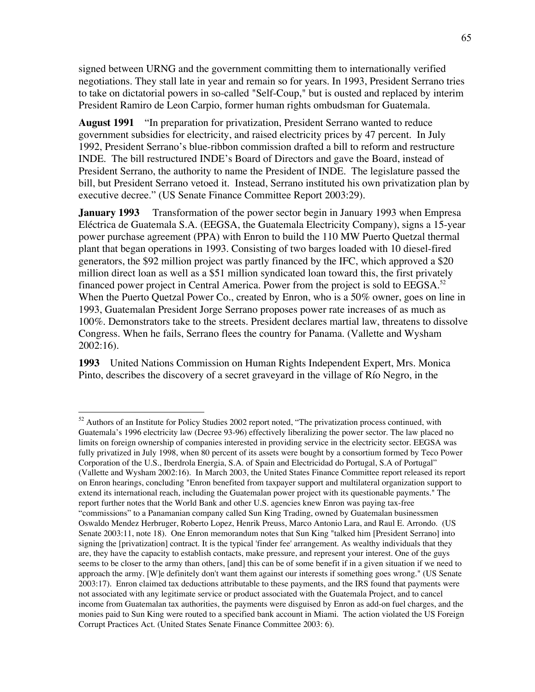signed between URNG and the government committing them to internationally verified negotiations. They stall late in year and remain so for years. In 1993, President Serrano tries to take on dictatorial powers in so-called "Self-Coup," but is ousted and replaced by interim President Ramiro de Leon Carpio, former human rights ombudsman for Guatemala.

**August 1991** "In preparation for privatization, President Serrano wanted to reduce government subsidies for electricity, and raised electricity prices by 47 percent. In July 1992, President Serrano's blue-ribbon commission drafted a bill to reform and restructure INDE. The bill restructured INDE's Board of Directors and gave the Board, instead of President Serrano, the authority to name the President of INDE. The legislature passed the bill, but President Serrano vetoed it. Instead, Serrano instituted his own privatization plan by executive decree." (US Senate Finance Committee Report 2003:29).

**January 1993** Transformation of the power sector begin in January 1993 when Empresa Eléctrica de Guatemala S.A. (EEGSA, the Guatemala Electricity Company), signs a 15-year power purchase agreement (PPA) with Enron to build the 110 MW Puerto Quetzal thermal plant that began operations in 1993. Consisting of two barges loaded with 10 diesel-fired generators, the \$92 million project was partly financed by the IFC, which approved a \$20 million direct loan as well as a \$51 million syndicated loan toward this, the first privately financed power project in Central America. Power from the project is sold to  $EEGSA$ <sup>52</sup> When the Puerto Quetzal Power Co., created by Enron, who is a 50% owner, goes on line in 1993, Guatemalan President Jorge Serrano proposes power rate increases of as much as 100%. Demonstrators take to the streets. President declares martial law, threatens to dissolve Congress. When he fails, Serrano flees the country for Panama. (Vallette and Wysham 2002:16).

**1993** United Nations Commission on Human Rights Independent Expert, Mrs. Monica Pinto, describes the discovery of a secret graveyard in the village of Río Negro, in the

<sup>&</sup>lt;sup>52</sup> Authors of an Institute for Policy Studies 2002 report noted, "The privatization process continued, with Guatemala's 1996 electricity law (Decree 93-96) effectively liberalizing the power sector. The law placed no limits on foreign ownership of companies interested in providing service in the electricity sector. EEGSA was fully privatized in July 1998, when 80 percent of its assets were bought by a consortium formed by Teco Power Corporation of the U.S., Iberdrola Energia, S.A. of Spain and Electricidad do Portugal, S.A of Portugal" (Vallette and Wysham 2002:16). In March 2003, the United States Finance Committee report released its report on Enron hearings, concluding "Enron benefited from taxpayer support and multilateral organization support to extend its international reach, including the Guatemalan power project with its questionable payments." The report further notes that the World Bank and other U.S. agencies knew Enron was paying tax-free "commissions" to a Panamanian company called Sun King Trading, owned by Guatemalan businessmen Oswaldo Mendez Herbruger, Roberto Lopez, Henrik Preuss, Marco Antonio Lara, and Raul E. Arrondo. (US Senate 2003:11, note 18). One Enron memorandum notes that Sun King "talked him [President Serrano] into signing the [privatization] contract. It is the typical 'finder fee' arrangement. As wealthy individuals that they are, they have the capacity to establish contacts, make pressure, and represent your interest. One of the guys seems to be closer to the army than others, [and] this can be of some benefit if in a given situation if we need to approach the army. [W]e definitely don't want them against our interests if something goes wrong." (US Senate 2003:17). Enron claimed tax deductions attributable to these payments, and the IRS found that payments were not associated with any legitimate service or product associated with the Guatemala Project, and to cancel income from Guatemalan tax authorities, the payments were disguised by Enron as add-on fuel charges, and the monies paid to Sun King were routed to a specified bank account in Miami. The action violated the US Foreign Corrupt Practices Act. (United States Senate Finance Committee 2003: 6).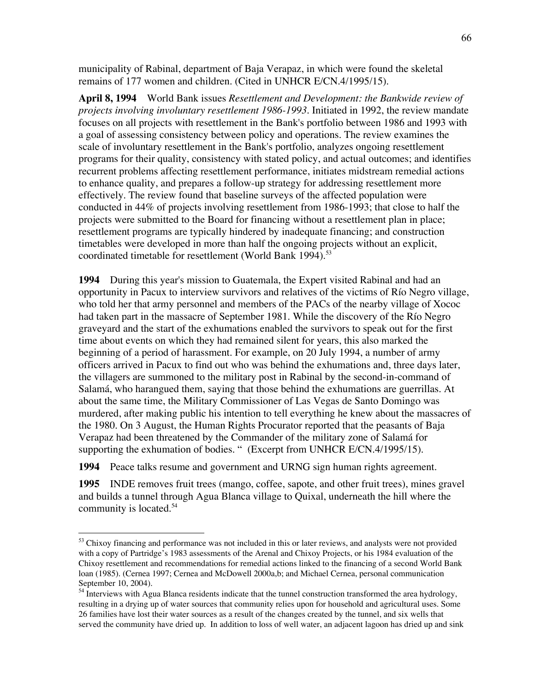municipality of Rabinal, department of Baja Verapaz, in which were found the skeletal remains of 177 women and children. (Cited in UNHCR E/CN.4/1995/15).

**April 8, 1994** World Bank issues *Resettlement and Development: the Bankwide review of projects involving involuntary resettlement 1986-1993*. Initiated in 1992, the review mandate focuses on all projects with resettlement in the Bank's portfolio between 1986 and 1993 with a goal of assessing consistency between policy and operations. The review examines the scale of involuntary resettlement in the Bank's portfolio, analyzes ongoing resettlement programs for their quality, consistency with stated policy, and actual outcomes; and identifies recurrent problems affecting resettlement performance, initiates midstream remedial actions to enhance quality, and prepares a follow-up strategy for addressing resettlement more effectively. The review found that baseline surveys of the affected population were conducted in 44% of projects involving resettlement from 1986-1993; that close to half the projects were submitted to the Board for financing without a resettlement plan in place; resettlement programs are typically hindered by inadequate financing; and construction timetables were developed in more than half the ongoing projects without an explicit, coordinated timetable for resettlement (World Bank 1994).<sup>53</sup>

**1994** During this year's mission to Guatemala, the Expert visited Rabinal and had an opportunity in Pacux to interview survivors and relatives of the victims of Río Negro village, who told her that army personnel and members of the PACs of the nearby village of Xococ had taken part in the massacre of September 1981. While the discovery of the Río Negro graveyard and the start of the exhumations enabled the survivors to speak out for the first time about events on which they had remained silent for years, this also marked the beginning of a period of harassment. For example, on 20 July 1994, a number of army officers arrived in Pacux to find out who was behind the exhumations and, three days later, the villagers are summoned to the military post in Rabinal by the second-in-command of Salamá, who harangued them, saying that those behind the exhumations are guerrillas. At about the same time, the Military Commissioner of Las Vegas de Santo Domingo was murdered, after making public his intention to tell everything he knew about the massacres of the 1980. On 3 August, the Human Rights Procurator reported that the peasants of Baja Verapaz had been threatened by the Commander of the military zone of Salamá for supporting the exhumation of bodies. " (Excerpt from UNHCR E/CN.4/1995/15).

**1994** Peace talks resume and government and URNG sign human rights agreement.

**1995** INDE removes fruit trees (mango, coffee, sapote, and other fruit trees), mines gravel and builds a tunnel through Agua Blanca village to Quixal, underneath the hill where the community is located.<sup>54</sup>

<sup>&</sup>lt;sup>53</sup> Chixoy financing and performance was not included in this or later reviews, and analysts were not provided with a copy of Partridge's 1983 assessments of the Arenal and Chixoy Projects, or his 1984 evaluation of the Chixoy resettlement and recommendations for remedial actions linked to the financing of a second World Bank loan (1985). (Cernea 1997; Cernea and McDowell 2000a,b; and Michael Cernea, personal communication September 10, 2004).

<sup>&</sup>lt;sup>54</sup> Interviews with Agua Blanca residents indicate that the tunnel construction transformed the area hydrology, resulting in a drying up of water sources that community relies upon for household and agricultural uses. Some 26 families have lost their water sources as a result of the changes created by the tunnel, and six wells that served the community have dried up. In addition to loss of well water, an adjacent lagoon has dried up and sink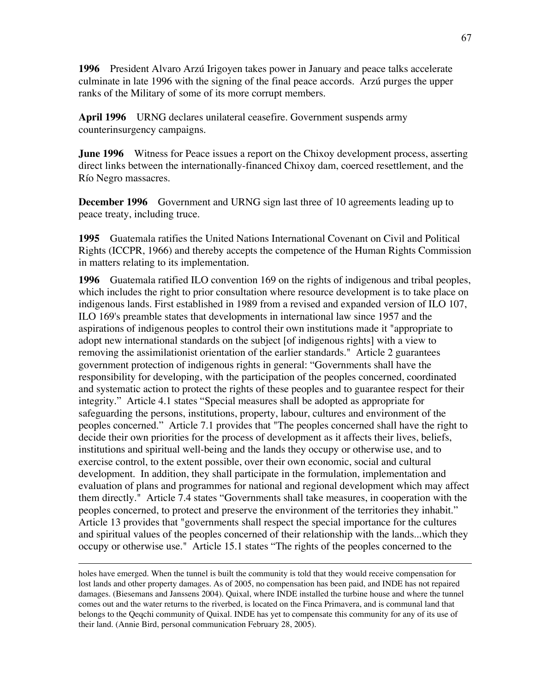**1996** President Alvaro Arzú Irigoyen takes power in January and peace talks accelerate culminate in late 1996 with the signing of the final peace accords. Arzú purges the upper ranks of the Military of some of its more corrupt members.

**April 1996** URNG declares unilateral ceasefire. Government suspends army counterinsurgency campaigns.

**June 1996** Witness for Peace issues a report on the Chixoy development process, asserting direct links between the internationally-financed Chixoy dam, coerced resettlement, and the Río Negro massacres.

**December 1996** Government and URNG sign last three of 10 agreements leading up to peace treaty, including truce.

**1995** Guatemala ratifies the United Nations International Covenant on Civil and Political Rights (ICCPR, 1966) and thereby accepts the competence of the Human Rights Commission in matters relating to its implementation.

**1996** Guatemala ratified ILO convention 169 on the rights of indigenous and tribal peoples, which includes the right to prior consultation where resource development is to take place on indigenous lands. First established in 1989 from a revised and expanded version of ILO 107, ILO 169's preamble states that developments in international law since 1957 and the aspirations of indigenous peoples to control their own institutions made it "appropriate to adopt new international standards on the subject [of indigenous rights] with a view to removing the assimilationist orientation of the earlier standards." Article 2 guarantees government protection of indigenous rights in general: "Governments shall have the responsibility for developing, with the participation of the peoples concerned, coordinated and systematic action to protect the rights of these peoples and to guarantee respect for their integrity." Article 4.1 states "Special measures shall be adopted as appropriate for safeguarding the persons, institutions, property, labour, cultures and environment of the peoples concerned." Article 7.1 provides that "The peoples concerned shall have the right to decide their own priorities for the process of development as it affects their lives, beliefs, institutions and spiritual well-being and the lands they occupy or otherwise use, and to exercise control, to the extent possible, over their own economic, social and cultural development. In addition, they shall participate in the formulation, implementation and evaluation of plans and programmes for national and regional development which may affect them directly." Article 7.4 states "Governments shall take measures, in cooperation with the peoples concerned, to protect and preserve the environment of the territories they inhabit." Article 13 provides that "governments shall respect the special importance for the cultures and spiritual values of the peoples concerned of their relationship with the lands...which they occupy or otherwise use." Article 15.1 states "The rights of the peoples concerned to the

holes have emerged. When the tunnel is built the community is told that they would receive compensation for lost lands and other property damages. As of 2005, no compensation has been paid, and INDE has not repaired damages. (Biesemans and Janssens 2004). Quixal, where INDE installed the turbine house and where the tunnel comes out and the water returns to the riverbed, is located on the Finca Primavera, and is communal land that belongs to the Qeqchi community of Quixal. INDE has yet to compensate this community for any of its use of their land. (Annie Bird, personal communication February 28, 2005).

 $\overline{a}$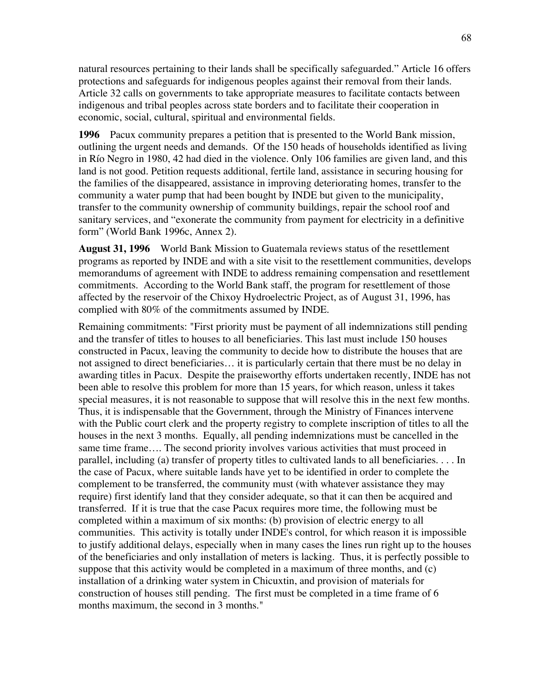natural resources pertaining to their lands shall be specifically safeguarded." Article 16 offers protections and safeguards for indigenous peoples against their removal from their lands. Article 32 calls on governments to take appropriate measures to facilitate contacts between indigenous and tribal peoples across state borders and to facilitate their cooperation in economic, social, cultural, spiritual and environmental fields.

**1996** Pacux community prepares a petition that is presented to the World Bank mission, outlining the urgent needs and demands. Of the 150 heads of households identified as living in Río Negro in 1980, 42 had died in the violence. Only 106 families are given land, and this land is not good. Petition requests additional, fertile land, assistance in securing housing for the families of the disappeared, assistance in improving deteriorating homes, transfer to the community a water pump that had been bought by INDE but given to the municipality, transfer to the community ownership of community buildings, repair the school roof and sanitary services, and "exonerate the community from payment for electricity in a definitive form" (World Bank 1996c, Annex 2).

**August 31, 1996** World Bank Mission to Guatemala reviews status of the resettlement programs as reported by INDE and with a site visit to the resettlement communities, develops memorandums of agreement with INDE to address remaining compensation and resettlement commitments. According to the World Bank staff, the program for resettlement of those affected by the reservoir of the Chixoy Hydroelectric Project, as of August 31, 1996, has complied with 80% of the commitments assumed by INDE.

Remaining commitments: "First priority must be payment of all indemnizations still pending and the transfer of titles to houses to all beneficiaries. This last must include 150 houses constructed in Pacux, leaving the community to decide how to distribute the houses that are not assigned to direct beneficiaries… it is particularly certain that there must be no delay in awarding titles in Pacux. Despite the praiseworthy efforts undertaken recently, INDE has not been able to resolve this problem for more than 15 years, for which reason, unless it takes special measures, it is not reasonable to suppose that will resolve this in the next few months. Thus, it is indispensable that the Government, through the Ministry of Finances intervene with the Public court clerk and the property registry to complete inscription of titles to all the houses in the next 3 months. Equally, all pending indemnizations must be cancelled in the same time frame…. The second priority involves various activities that must proceed in parallel, including (a) transfer of property titles to cultivated lands to all beneficiaries. . . . In the case of Pacux, where suitable lands have yet to be identified in order to complete the complement to be transferred, the community must (with whatever assistance they may require) first identify land that they consider adequate, so that it can then be acquired and transferred. If it is true that the case Pacux requires more time, the following must be completed within a maximum of six months: (b) provision of electric energy to all communities. This activity is totally under INDE's control, for which reason it is impossible to justify additional delays, especially when in many cases the lines run right up to the houses of the beneficiaries and only installation of meters is lacking. Thus, it is perfectly possible to suppose that this activity would be completed in a maximum of three months, and (c) installation of a drinking water system in Chicuxtin, and provision of materials for construction of houses still pending. The first must be completed in a time frame of 6 months maximum, the second in 3 months."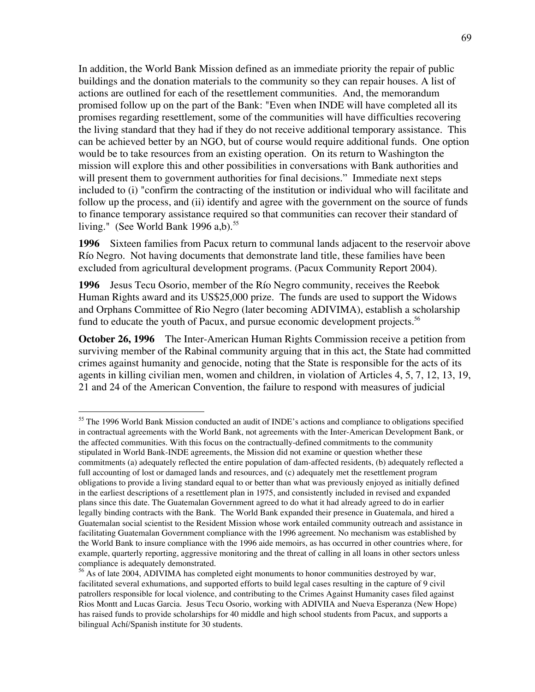In addition, the World Bank Mission defined as an immediate priority the repair of public buildings and the donation materials to the community so they can repair houses. A list of actions are outlined for each of the resettlement communities. And, the memorandum promised follow up on the part of the Bank: "Even when INDE will have completed all its promises regarding resettlement, some of the communities will have difficulties recovering the living standard that they had if they do not receive additional temporary assistance. This can be achieved better by an NGO, but of course would require additional funds. One option would be to take resources from an existing operation. On its return to Washington the mission will explore this and other possibilities in conversations with Bank authorities and will present them to government authorities for final decisions." Immediate next steps included to (i) "confirm the contracting of the institution or individual who will facilitate and follow up the process, and (ii) identify and agree with the government on the source of funds to finance temporary assistance required so that communities can recover their standard of living." (See World Bank 1996 a,b). $55$ 

**1996** Sixteen families from Pacux return to communal lands adjacent to the reservoir above Río Negro. Not having documents that demonstrate land title, these families have been excluded from agricultural development programs. (Pacux Community Report 2004).

**1996** Jesus Tecu Osorio, member of the Río Negro community, receives the Reebok Human Rights award and its US\$25,000 prize. The funds are used to support the Widows and Orphans Committee of Rio Negro (later becoming ADIVIMA), establish a scholarship fund to educate the youth of Pacux, and pursue economic development projects.<sup>56</sup>

**October 26, 1996** The Inter-American Human Rights Commission receive a petition from surviving member of the Rabinal community arguing that in this act, the State had committed crimes against humanity and genocide, noting that the State is responsible for the acts of its agents in killing civilian men, women and children, in violation of Articles 4, 5, 7, 12, 13, 19, 21 and 24 of the American Convention, the failure to respond with measures of judicial

<sup>&</sup>lt;sup>55</sup> The 1996 World Bank Mission conducted an audit of INDE's actions and compliance to obligations specified in contractual agreements with the World Bank, not agreements with the Inter-American Development Bank, or the affected communities. With this focus on the contractually-defined commitments to the community stipulated in World Bank-INDE agreements, the Mission did not examine or question whether these commitments (a) adequately reflected the entire population of dam-affected residents, (b) adequately reflected a full accounting of lost or damaged lands and resources, and (c) adequately met the resettlement program obligations to provide a living standard equal to or better than what was previously enjoyed as initially defined in the earliest descriptions of a resettlement plan in 1975, and consistently included in revised and expanded plans since this date. The Guatemalan Government agreed to do what it had already agreed to do in earlier legally binding contracts with the Bank. The World Bank expanded their presence in Guatemala, and hired a Guatemalan social scientist to the Resident Mission whose work entailed community outreach and assistance in facilitating Guatemalan Government compliance with the 1996 agreement. No mechanism was established by the World Bank to insure compliance with the 1996 aide memoirs, as has occurred in other countries where, for example, quarterly reporting, aggressive monitoring and the threat of calling in all loans in other sectors unless compliance is adequately demonstrated.

<sup>&</sup>lt;sup>56</sup> As of late 2004, ADIVIMA has completed eight monuments to honor communities destroyed by war, facilitated several exhumations, and supported efforts to build legal cases resulting in the capture of 9 civil patrollers responsible for local violence, and contributing to the Crimes Against Humanity cases filed against Rios Montt and Lucas Garcia. Jesus Tecu Osorio, working with ADIVIIA and Nueva Esperanza (New Hope) has raised funds to provide scholarships for 40 middle and high school students from Pacux, and supports a bilingual Achí/Spanish institute for 30 students.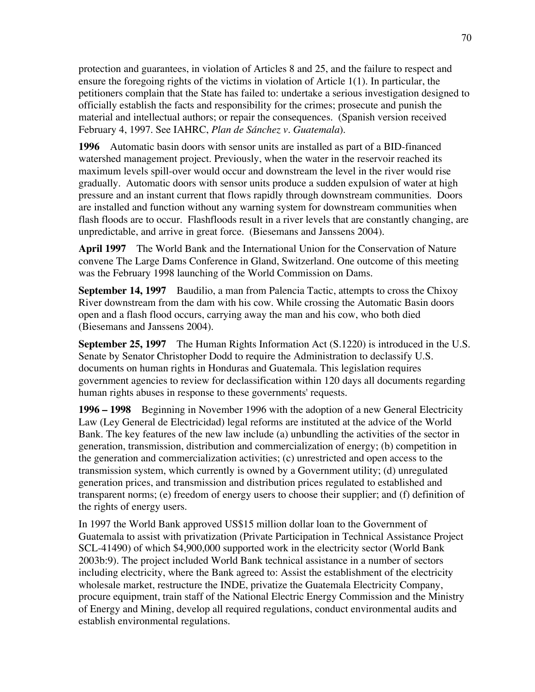protection and guarantees, in violation of Articles 8 and 25, and the failure to respect and ensure the foregoing rights of the victims in violation of Article 1(1). In particular, the petitioners complain that the State has failed to: undertake a serious investigation designed to officially establish the facts and responsibility for the crimes; prosecute and punish the material and intellectual authors; or repair the consequences. (Spanish version received February 4, 1997. See IAHRC, *Plan de Sánchez v. Guatemala*).

**1996** Automatic basin doors with sensor units are installed as part of a BID-financed watershed management project. Previously, when the water in the reservoir reached its maximum levels spill-over would occur and downstream the level in the river would rise gradually. Automatic doors with sensor units produce a sudden expulsion of water at high pressure and an instant current that flows rapidly through downstream communities. Doors are installed and function without any warning system for downstream communities when flash floods are to occur. Flashfloods result in a river levels that are constantly changing, are unpredictable, and arrive in great force. (Biesemans and Janssens 2004).

**April 1997** The World Bank and the International Union for the Conservation of Nature convene The Large Dams Conference in Gland, Switzerland. One outcome of this meeting was the February 1998 launching of the World Commission on Dams.

**September 14, 1997** Baudilio, a man from Palencia Tactic, attempts to cross the Chixoy River downstream from the dam with his cow. While crossing the Automatic Basin doors open and a flash flood occurs, carrying away the man and his cow, who both died (Biesemans and Janssens 2004).

**September 25, 1997** The Human Rights Information Act (S.1220) is introduced in the U.S. Senate by Senator Christopher Dodd to require the Administration to declassify U.S. documents on human rights in Honduras and Guatemala. This legislation requires government agencies to review for declassification within 120 days all documents regarding human rights abuses in response to these governments' requests.

**1996 – 1998** Beginning in November 1996 with the adoption of a new General Electricity Law (Ley General de Electricidad) legal reforms are instituted at the advice of the World Bank. The key features of the new law include (a) unbundling the activities of the sector in generation, transmission, distribution and commercialization of energy; (b) competition in the generation and commercialization activities; (c) unrestricted and open access to the transmission system, which currently is owned by a Government utility; (d) unregulated generation prices, and transmission and distribution prices regulated to established and transparent norms; (e) freedom of energy users to choose their supplier; and (f) definition of the rights of energy users.

In 1997 the World Bank approved US\$15 million dollar loan to the Government of Guatemala to assist with privatization (Private Participation in Technical Assistance Project SCL-41490) of which \$4,900,000 supported work in the electricity sector (World Bank 2003b:9). The project included World Bank technical assistance in a number of sectors including electricity, where the Bank agreed to: Assist the establishment of the electricity wholesale market, restructure the INDE, privatize the Guatemala Electricity Company, procure equipment, train staff of the National Electric Energy Commission and the Ministry of Energy and Mining, develop all required regulations, conduct environmental audits and establish environmental regulations.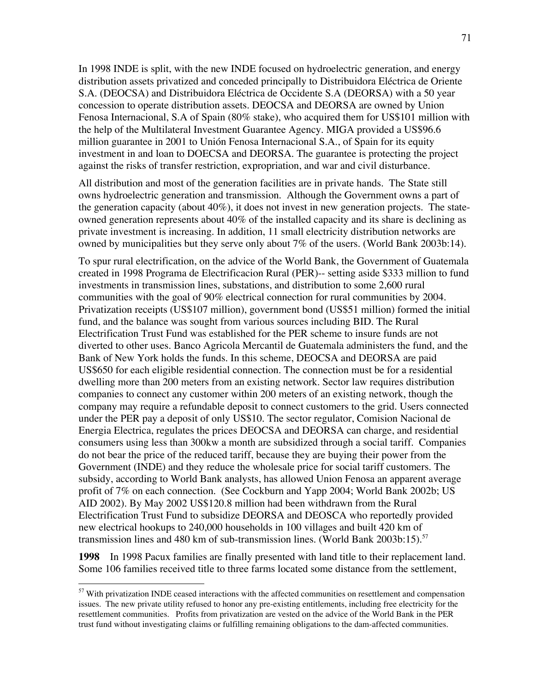In 1998 INDE is split, with the new INDE focused on hydroelectric generation, and energy distribution assets privatized and conceded principally to Distribuidora Eléctrica de Oriente S.A. (DEOCSA) and Distribuidora Eléctrica de Occidente S.A (DEORSA) with a 50 year concession to operate distribution assets. DEOCSA and DEORSA are owned by Union Fenosa Internacional, S.A of Spain (80% stake), who acquired them for US\$101 million with the help of the Multilateral Investment Guarantee Agency. MIGA provided a US\$96.6 million guarantee in 2001 to Unión Fenosa Internacional S.A., of Spain for its equity investment in and loan to DOECSA and DEORSA. The guarantee is protecting the project against the risks of transfer restriction, expropriation, and war and civil disturbance.

All distribution and most of the generation facilities are in private hands. The State still owns hydroelectric generation and transmission. Although the Government owns a part of the generation capacity (about  $40\%$ ), it does not invest in new generation projects. The stateowned generation represents about 40% of the installed capacity and its share is declining as private investment is increasing. In addition, 11 small electricity distribution networks are owned by municipalities but they serve only about 7% of the users. (World Bank 2003b:14).

To spur rural electrification, on the advice of the World Bank, the Government of Guatemala created in 1998 Programa de Electrificacion Rural (PER)-- setting aside \$333 million to fund investments in transmission lines, substations, and distribution to some 2,600 rural communities with the goal of 90% electrical connection for rural communities by 2004. Privatization receipts (US\$107 million), government bond (US\$51 million) formed the initial fund, and the balance was sought from various sources including BID. The Rural Electrification Trust Fund was established for the PER scheme to insure funds are not diverted to other uses. Banco Agricola Mercantil de Guatemala administers the fund, and the Bank of New York holds the funds. In this scheme, DEOCSA and DEORSA are paid US\$650 for each eligible residential connection. The connection must be for a residential dwelling more than 200 meters from an existing network. Sector law requires distribution companies to connect any customer within 200 meters of an existing network, though the company may require a refundable deposit to connect customers to the grid. Users connected under the PER pay a deposit of only US\$10. The sector regulator, Comision Nacional de Energia Electrica, regulates the prices DEOCSA and DEORSA can charge, and residential consumers using less than 300kw a month are subsidized through a social tariff. Companies do not bear the price of the reduced tariff, because they are buying their power from the Government (INDE) and they reduce the wholesale price for social tariff customers. The subsidy, according to World Bank analysts, has allowed Union Fenosa an apparent average profit of 7% on each connection. (See Cockburn and Yapp 2004; World Bank 2002b; US AID 2002). By May 2002 US\$120.8 million had been withdrawn from the Rural Electrification Trust Fund to subsidize DEORSA and DEOSCA who reportedly provided new electrical hookups to 240,000 households in 100 villages and built 420 km of transmission lines and 480 km of sub-transmission lines. (World Bank  $2003b:15$ ).<sup>57</sup>

**1998** In 1998 Pacux families are finally presented with land title to their replacement land. Some 106 families received title to three farms located some distance from the settlement,

<sup>&</sup>lt;sup>57</sup> With privatization INDE ceased interactions with the affected communities on resettlement and compensation issues. The new private utility refused to honor any pre-existing entitlements, including free electricity for the resettlement communities. Profits from privatization are vested on the advice of the World Bank in the PER trust fund without investigating claims or fulfilling remaining obligations to the dam-affected communities.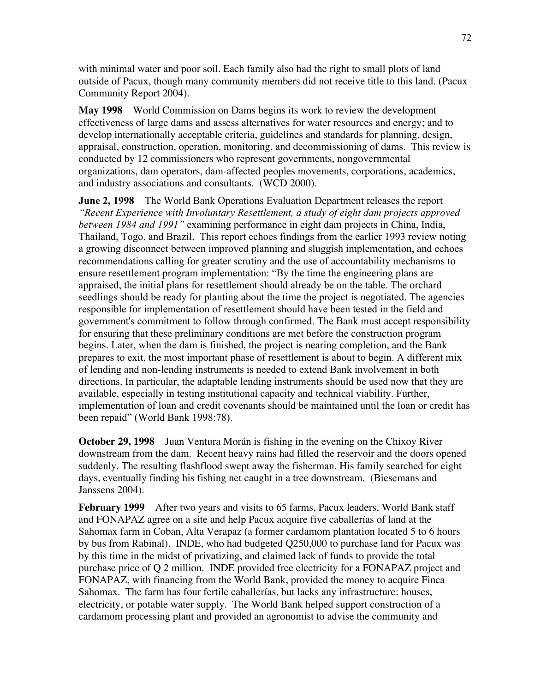with minimal water and poor soil. Each family also had the right to small plots of land outside of Pacux, though many community members did not receive title to this land. (Pacux Community Report 2004).

**May 1998** World Commission on Dams begins its work to review the development effectiveness of large dams and assess alternatives for water resources and energy; and to develop internationally acceptable criteria, guidelines and standards for planning, design, appraisal, construction, operation, monitoring, and decommissioning of dams. This review is conducted by 12 commissioners who represent governments, nongovernmental organizations, dam operators, dam-affected peoples movements, corporations, academics, and industry associations and consultants. (WCD 2000).

**June 2, 1998** The World Bank Operations Evaluation Department releases the report *"Recent Experience with Involuntary Resettlement, a study of eight dam projects approved between 1984 and 1991"* examining performance in eight dam projects in China, India, Thailand, Togo, and Brazil. This report echoes findings from the earlier 1993 review noting a growing disconnect between improved planning and sluggish implementation, and echoes recommendations calling for greater scrutiny and the use of accountability mechanisms to ensure resettlement program implementation: "By the time the engineering plans are appraised, the initial plans for resettlement should already be on the table. The orchard seedlings should be ready for planting about the time the project is negotiated. The agencies responsible for implementation of resettlement should have been tested in the field and government's commitment to follow through confirmed. The Bank must accept responsibility for ensuring that these preliminary conditions are met before the construction program begins. Later, when the dam is finished, the project is nearing completion, and the Bank prepares to exit, the most important phase of resettlement is about to begin. A different mix of lending and non-lending instruments is needed to extend Bank involvement in both directions. In particular, the adaptable lending instruments should be used now that they are available, especially in testing institutional capacity and technical viability. Further, implementation of loan and credit covenants should be maintained until the loan or credit has been repaid" (World Bank 1998:78).

**October 29, 1998** Juan Ventura Morán is fishing in the evening on the Chixoy River downstream from the dam. Recent heavy rains had filled the reservoir and the doors opened suddenly. The resulting flashflood swept away the fisherman. His family searched for eight days, eventually finding his fishing net caught in a tree downstream. (Biesemans and Janssens 2004).

**February 1999** After two years and visits to 65 farms, Pacux leaders, World Bank staff and FONAPAZ agree on a site and help Pacux acquire five caballerías of land at the Sahomax farm in Coban, Alta Verapaz (a former cardamom plantation located 5 to 6 hours by bus from Rabinal). INDE, who had budgeted Q250,000 to purchase land for Pacux was by this time in the midst of privatizing, and claimed lack of funds to provide the total purchase price of Q 2 million. INDE provided free electricity for a FONAPAZ project and FONAPAZ, with financing from the World Bank, provided the money to acquire Finca Sahomax. The farm has four fertile caballerías, but lacks any infrastructure: houses, electricity, or potable water supply. The World Bank helped support construction of a cardamom processing plant and provided an agronomist to advise the community and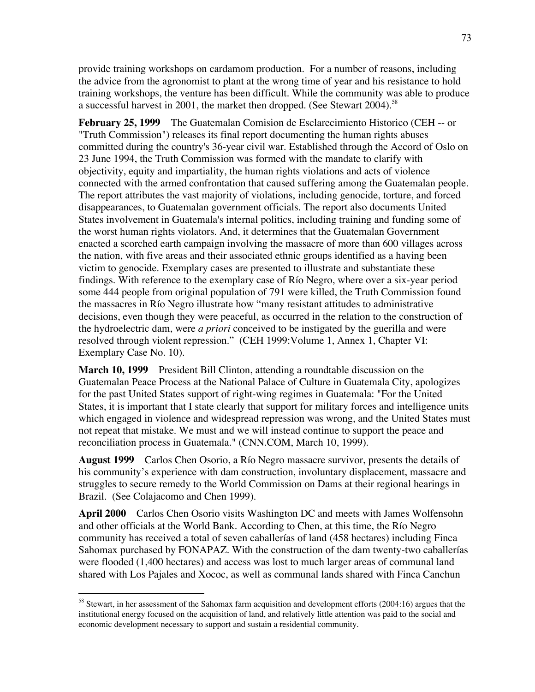provide training workshops on cardamom production. For a number of reasons, including the advice from the agronomist to plant at the wrong time of year and his resistance to hold training workshops, the venture has been difficult. While the community was able to produce a successful harvest in 2001, the market then dropped. (See Stewart 2004).<sup>58</sup>

**February 25, 1999** The Guatemalan Comision de Esclarecimiento Historico (CEH -- or "Truth Commission") releases its final report documenting the human rights abuses committed during the country's 36-year civil war. Established through the Accord of Oslo on 23 June 1994, the Truth Commission was formed with the mandate to clarify with objectivity, equity and impartiality, the human rights violations and acts of violence connected with the armed confrontation that caused suffering among the Guatemalan people. The report attributes the vast majority of violations, including genocide, torture, and forced disappearances, to Guatemalan government officials. The report also documents United States involvement in Guatemala's internal politics, including training and funding some of the worst human rights violators. And, it determines that the Guatemalan Government enacted a scorched earth campaign involving the massacre of more than 600 villages across the nation, with five areas and their associated ethnic groups identified as a having been victim to genocide. Exemplary cases are presented to illustrate and substantiate these findings. With reference to the exemplary case of Río Negro, where over a six-year period some 444 people from original population of 791 were killed, the Truth Commission found the massacres in Río Negro illustrate how "many resistant attitudes to administrative decisions, even though they were peaceful, as occurred in the relation to the construction of the hydroelectric dam, were *a priori* conceived to be instigated by the guerilla and were resolved through violent repression." (CEH 1999:Volume 1, Annex 1, Chapter VI: Exemplary Case No. 10).

**March 10, 1999** President Bill Clinton, attending a roundtable discussion on the Guatemalan Peace Process at the National Palace of Culture in Guatemala City, apologizes for the past United States support of right-wing regimes in Guatemala: "For the United States, it is important that I state clearly that support for military forces and intelligence units which engaged in violence and widespread repression was wrong, and the United States must not repeat that mistake. We must and we will instead continue to support the peace and reconciliation process in Guatemala." (CNN.COM, March 10, 1999).

**August 1999** Carlos Chen Osorio, a Río Negro massacre survivor, presents the details of his community's experience with dam construction, involuntary displacement, massacre and struggles to secure remedy to the World Commission on Dams at their regional hearings in Brazil. (See Colajacomo and Chen 1999).

**April 2000** Carlos Chen Osorio visits Washington DC and meets with James Wolfensohn and other officials at the World Bank. According to Chen, at this time, the Río Negro community has received a total of seven caballerías of land (458 hectares) including Finca Sahomax purchased by FONAPAZ. With the construction of the dam twenty-two caballerías were flooded (1,400 hectares) and access was lost to much larger areas of communal land shared with Los Pajales and Xococ, as well as communal lands shared with Finca Canchun

 <sup>58</sup> Stewart, in her assessment of the Sahomax farm acquisition and development efforts (2004:16) argues that the institutional energy focused on the acquisition of land, and relatively little attention was paid to the social and economic development necessary to support and sustain a residential community.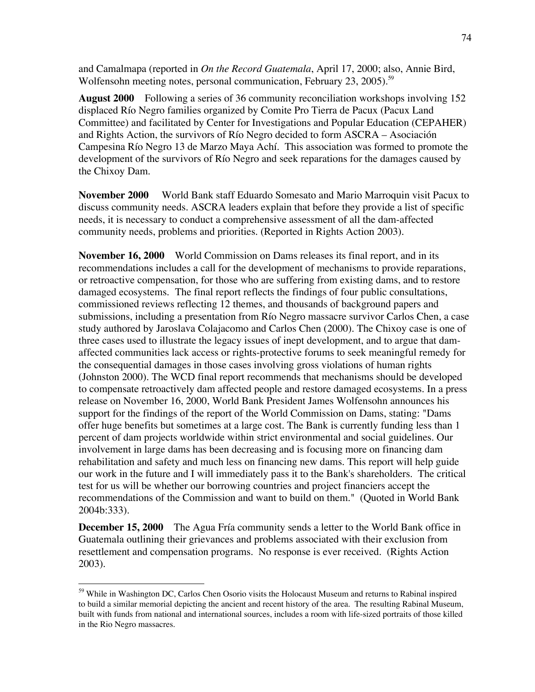and Camalmapa (reported in *On the Record Guatemala*, April 17, 2000; also, Annie Bird, Wolfensohn meeting notes, personal communication, February 23, 2005).<sup>59</sup>

**August 2000** Following a series of 36 community reconciliation workshops involving 152 displaced Río Negro families organized by Comite Pro Tierra de Pacux (Pacux Land Committee) and facilitated by Center for Investigations and Popular Education (CEPAHER) and Rights Action, the survivors of Río Negro decided to form ASCRA – Asociación Campesina Río Negro 13 de Marzo Maya Achí. This association was formed to promote the development of the survivors of Río Negro and seek reparations for the damages caused by the Chixoy Dam.

**November 2000** World Bank staff Eduardo Somesato and Mario Marroquin visit Pacux to discuss community needs. ASCRA leaders explain that before they provide a list of specific needs, it is necessary to conduct a comprehensive assessment of all the dam-affected community needs, problems and priorities. (Reported in Rights Action 2003).

**November 16, 2000** World Commission on Dams releases its final report, and in its recommendations includes a call for the development of mechanisms to provide reparations, or retroactive compensation, for those who are suffering from existing dams, and to restore damaged ecosystems. The final report reflects the findings of four public consultations, commissioned reviews reflecting 12 themes, and thousands of background papers and submissions, including a presentation from Río Negro massacre survivor Carlos Chen, a case study authored by Jaroslava Colajacomo and Carlos Chen (2000). The Chixoy case is one of three cases used to illustrate the legacy issues of inept development, and to argue that damaffected communities lack access or rights-protective forums to seek meaningful remedy for the consequential damages in those cases involving gross violations of human rights (Johnston 2000). The WCD final report recommends that mechanisms should be developed to compensate retroactively dam affected people and restore damaged ecosystems. In a press release on November 16, 2000, World Bank President James Wolfensohn announces his support for the findings of the report of the World Commission on Dams, stating: "Dams offer huge benefits but sometimes at a large cost. The Bank is currently funding less than 1 percent of dam projects worldwide within strict environmental and social guidelines. Our involvement in large dams has been decreasing and is focusing more on financing dam rehabilitation and safety and much less on financing new dams. This report will help guide our work in the future and I will immediately pass it to the Bank's shareholders. The critical test for us will be whether our borrowing countries and project financiers accept the recommendations of the Commission and want to build on them." (Quoted in World Bank 2004b:333).

**December 15, 2000** The Agua Fría community sends a letter to the World Bank office in Guatemala outlining their grievances and problems associated with their exclusion from resettlement and compensation programs. No response is ever received. (Rights Action 2003).

<sup>&</sup>lt;sup>59</sup> While in Washington DC, Carlos Chen Osorio visits the Holocaust Museum and returns to Rabinal inspired to build a similar memorial depicting the ancient and recent history of the area. The resulting Rabinal Museum, built with funds from national and international sources, includes a room with life-sized portraits of those killed in the Rio Negro massacres.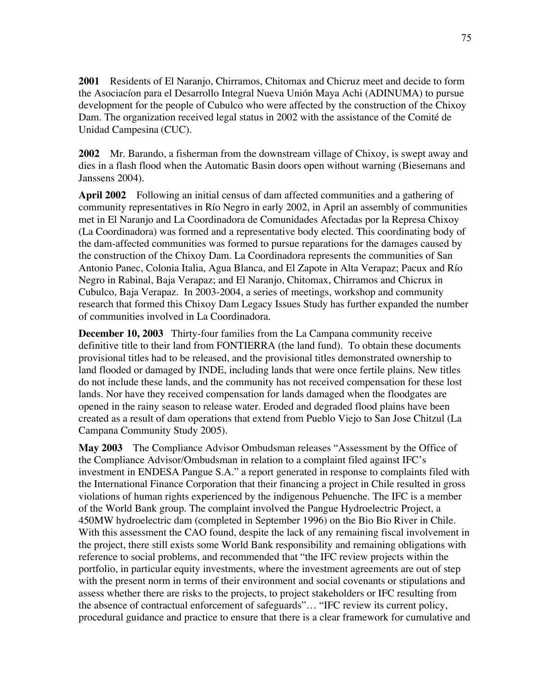**2001** Residents of El Naranjo, Chirramos, Chitomax and Chicruz meet and decide to form the Asociacíon para el Desarrollo Integral Nueva Unión Maya Achi (ADINUMA) to pursue development for the people of Cubulco who were affected by the construction of the Chixoy Dam. The organization received legal status in 2002 with the assistance of the Comité de Unidad Campesina (CUC).

**2002** Mr. Barando, a fisherman from the downstream village of Chixoy, is swept away and dies in a flash flood when the Automatic Basin doors open without warning (Biesemans and Janssens 2004).

**April 2002** Following an initial census of dam affected communities and a gathering of community representatives in Río Negro in early 2002, in April an assembly of communities met in El Naranjo and La Coordinadora de Comunidades Afectadas por la Represa Chixoy (La Coordinadora) was formed and a representative body elected. This coordinating body of the dam-affected communities was formed to pursue reparations for the damages caused by the construction of the Chixoy Dam. La Coordinadora represents the communities of San Antonio Panec, Colonia Italia, Agua Blanca, and El Zapote in Alta Verapaz; Pacux and Río Negro in Rabinal, Baja Verapaz; and El Naranjo, Chitomax, Chirramos and Chicrux in Cubulco, Baja Verapaz. In 2003-2004, a series of meetings, workshop and community research that formed this Chixoy Dam Legacy Issues Study has further expanded the number of communities involved in La Coordinadora.

**December 10, 2003** Thirty-four families from the La Campana community receive definitive title to their land from FONTIERRA (the land fund). To obtain these documents provisional titles had to be released, and the provisional titles demonstrated ownership to land flooded or damaged by INDE, including lands that were once fertile plains. New titles do not include these lands, and the community has not received compensation for these lost lands. Nor have they received compensation for lands damaged when the floodgates are opened in the rainy season to release water. Eroded and degraded flood plains have been created as a result of dam operations that extend from Pueblo Viejo to San Jose Chitzul (La Campana Community Study 2005).

**May 2003** The Compliance Advisor Ombudsman releases "Assessment by the Office of the Compliance Advisor/Ombudsman in relation to a complaint filed against IFC's investment in ENDESA Pangue S.A." a report generated in response to complaints filed with the International Finance Corporation that their financing a project in Chile resulted in gross violations of human rights experienced by the indigenous Pehuenche. The IFC is a member of the World Bank group. The complaint involved the Pangue Hydroelectric Project, a 450MW hydroelectric dam (completed in September 1996) on the Bio Bio River in Chile. With this assessment the CAO found, despite the lack of any remaining fiscal involvement in the project, there still exists some World Bank responsibility and remaining obligations with reference to social problems, and recommended that "the IFC review projects within the portfolio, in particular equity investments, where the investment agreements are out of step with the present norm in terms of their environment and social covenants or stipulations and assess whether there are risks to the projects, to project stakeholders or IFC resulting from the absence of contractual enforcement of safeguards"… "IFC review its current policy, procedural guidance and practice to ensure that there is a clear framework for cumulative and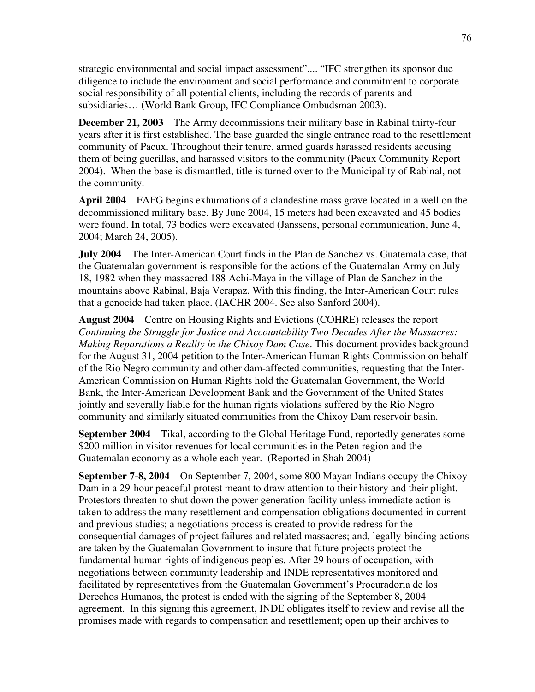strategic environmental and social impact assessment".... "IFC strengthen its sponsor due diligence to include the environment and social performance and commitment to corporate social responsibility of all potential clients, including the records of parents and subsidiaries… (World Bank Group, IFC Compliance Ombudsman 2003).

**December 21, 2003** The Army decommissions their military base in Rabinal thirty-four years after it is first established. The base guarded the single entrance road to the resettlement community of Pacux. Throughout their tenure, armed guards harassed residents accusing them of being guerillas, and harassed visitors to the community (Pacux Community Report 2004). When the base is dismantled, title is turned over to the Municipality of Rabinal, not the community.

**April 2004** FAFG begins exhumations of a clandestine mass grave located in a well on the decommissioned military base. By June 2004, 15 meters had been excavated and 45 bodies were found. In total, 73 bodies were excavated (Janssens, personal communication, June 4, 2004; March 24, 2005).

**July 2004** The Inter-American Court finds in the Plan de Sanchez vs. Guatemala case, that the Guatemalan government is responsible for the actions of the Guatemalan Army on July 18, 1982 when they massacred 188 Achi-Maya in the village of Plan de Sanchez in the mountains above Rabinal, Baja Verapaz. With this finding, the Inter-American Court rules that a genocide had taken place. (IACHR 2004. See also Sanford 2004).

**August 2004** Centre on Housing Rights and Evictions (COHRE) releases the report *Continuing the Struggle for Justice and Accountability Two Decades After the Massacres: Making Reparations a Reality in the Chixoy Dam Case.* This document provides background for the August 31, 2004 petition to the Inter-American Human Rights Commission on behalf of the Rio Negro community and other dam-affected communities, requesting that the Inter-American Commission on Human Rights hold the Guatemalan Government, the World Bank, the Inter-American Development Bank and the Government of the United States jointly and severally liable for the human rights violations suffered by the Rio Negro community and similarly situated communities from the Chixoy Dam reservoir basin.

**September 2004** Tikal, according to the Global Heritage Fund, reportedly generates some \$200 million in visitor revenues for local communities in the Peten region and the Guatemalan economy as a whole each year. (Reported in Shah 2004)

**September 7-8, 2004** On September 7, 2004, some 800 Mayan Indians occupy the Chixoy Dam in a 29-hour peaceful protest meant to draw attention to their history and their plight. Protestors threaten to shut down the power generation facility unless immediate action is taken to address the many resettlement and compensation obligations documented in current and previous studies; a negotiations process is created to provide redress for the consequential damages of project failures and related massacres; and, legally-binding actions are taken by the Guatemalan Government to insure that future projects protect the fundamental human rights of indigenous peoples. After 29 hours of occupation, with negotiations between community leadership and INDE representatives monitored and facilitated by representatives from the Guatemalan Government's Procuradoria de los Derechos Humanos, the protest is ended with the signing of the September 8, 2004 agreement. In this signing this agreement, INDE obligates itself to review and revise all the promises made with regards to compensation and resettlement; open up their archives to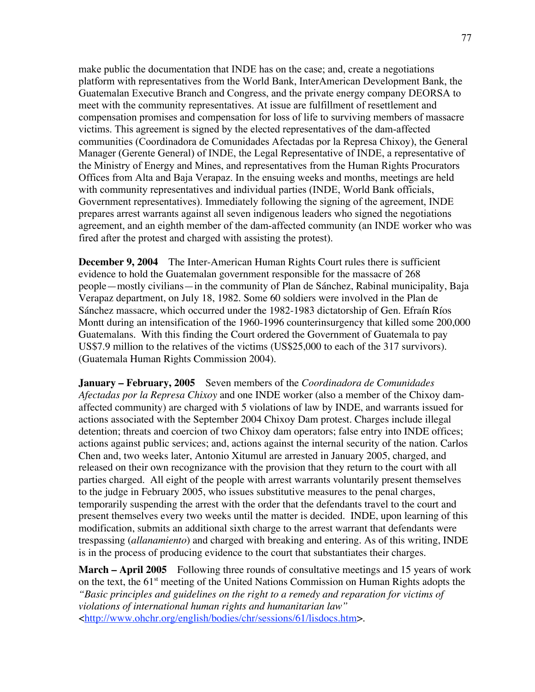make public the documentation that INDE has on the case; and, create a negotiations platform with representatives from the World Bank, InterAmerican Development Bank, the Guatemalan Executive Branch and Congress, and the private energy company DEORSA to meet with the community representatives. At issue are fulfillment of resettlement and compensation promises and compensation for loss of life to surviving members of massacre victims. This agreement is signed by the elected representatives of the dam-affected communities (Coordinadora de Comunidades Afectadas por la Represa Chixoy), the General Manager (Gerente General) of INDE, the Legal Representative of INDE, a representative of the Ministry of Energy and Mines, and representatives from the Human Rights Procurators Offices from Alta and Baja Verapaz. In the ensuing weeks and months, meetings are held with community representatives and individual parties (INDE, World Bank officials, Government representatives). Immediately following the signing of the agreement, INDE prepares arrest warrants against all seven indigenous leaders who signed the negotiations agreement, and an eighth member of the dam-affected community (an INDE worker who was fired after the protest and charged with assisting the protest).

**December 9, 2004** The Inter-American Human Rights Court rules there is sufficient evidence to hold the Guatemalan government responsible for the massacre of 268 people—mostly civilians—in the community of Plan de Sánchez, Rabinal municipality, Baja Verapaz department, on July 18, 1982. Some 60 soldiers were involved in the Plan de Sánchez massacre, which occurred under the 1982-1983 dictatorship of Gen. Efraín Ríos Montt during an intensification of the 1960-1996 counterinsurgency that killed some 200,000 Guatemalans. With this finding the Court ordered the Government of Guatemala to pay US\$7.9 million to the relatives of the victims (US\$25,000 to each of the 317 survivors). (Guatemala Human Rights Commission 2004).

**January – February, 2005** Seven members of the *Coordinadora de Comunidades Afectadas por la Represa Chixoy* and one INDE worker (also a member of the Chixoy damaffected community) are charged with 5 violations of law by INDE, and warrants issued for actions associated with the September 2004 Chixoy Dam protest. Charges include illegal detention; threats and coercion of two Chixoy dam operators; false entry into INDE offices; actions against public services; and, actions against the internal security of the nation. Carlos Chen and, two weeks later, Antonio Xitumul are arrested in January 2005, charged, and released on their own recognizance with the provision that they return to the court with all parties charged. All eight of the people with arrest warrants voluntarily present themselves to the judge in February 2005, who issues substitutive measures to the penal charges, temporarily suspending the arrest with the order that the defendants travel to the court and present themselves every two weeks until the matter is decided. INDE, upon learning of this modification, submits an additional sixth charge to the arrest warrant that defendants were trespassing (*allanamiento*) and charged with breaking and entering. As of this writing, INDE is in the process of producing evidence to the court that substantiates their charges.

**March – April 2005** Following three rounds of consultative meetings and 15 years of work on the text, the 61<sup>st</sup> meeting of the United Nations Commission on Human Rights adopts the *"Basic principles and guidelines on the right to a remedy and reparation for victims of violations of international human rights and humanitarian law"* <http://www.ohchr.org/english/bodies/chr/sessions/61/lisdocs.htm>.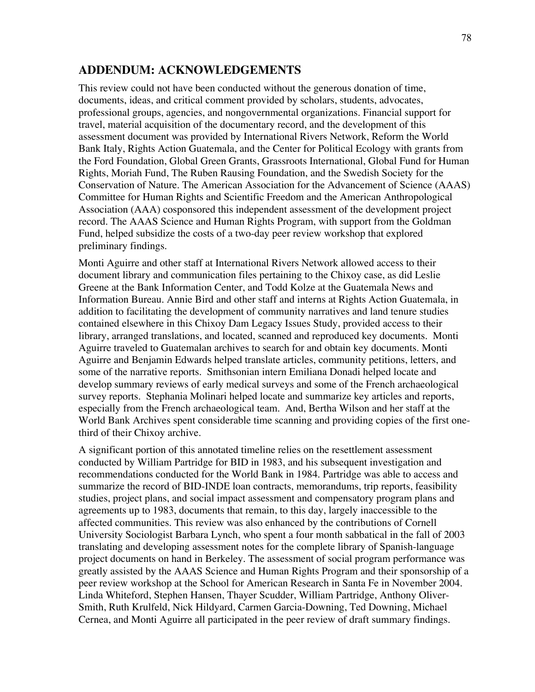## **ADDENDUM: ACKNOWLEDGEMENTS**

This review could not have been conducted without the generous donation of time, documents, ideas, and critical comment provided by scholars, students, advocates, professional groups, agencies, and nongovernmental organizations. Financial support for travel, material acquisition of the documentary record, and the development of this assessment document was provided by International Rivers Network, Reform the World Bank Italy, Rights Action Guatemala, and the Center for Political Ecology with grants from the Ford Foundation, Global Green Grants, Grassroots International, Global Fund for Human Rights, Moriah Fund, The Ruben Rausing Foundation, and the Swedish Society for the Conservation of Nature. The American Association for the Advancement of Science (AAAS) Committee for Human Rights and Scientific Freedom and the American Anthropological Association (AAA) cosponsored this independent assessment of the development project record. The AAAS Science and Human Rights Program, with support from the Goldman Fund, helped subsidize the costs of a two-day peer review workshop that explored preliminary findings.

Monti Aguirre and other staff at International Rivers Network allowed access to their document library and communication files pertaining to the Chixoy case, as did Leslie Greene at the Bank Information Center, and Todd Kolze at the Guatemala News and Information Bureau. Annie Bird and other staff and interns at Rights Action Guatemala, in addition to facilitating the development of community narratives and land tenure studies contained elsewhere in this Chixoy Dam Legacy Issues Study, provided access to their library, arranged translations, and located, scanned and reproduced key documents. Monti Aguirre traveled to Guatemalan archives to search for and obtain key documents. Monti Aguirre and Benjamin Edwards helped translate articles, community petitions, letters, and some of the narrative reports. Smithsonian intern Emiliana Donadi helped locate and develop summary reviews of early medical surveys and some of the French archaeological survey reports. Stephania Molinari helped locate and summarize key articles and reports, especially from the French archaeological team. And, Bertha Wilson and her staff at the World Bank Archives spent considerable time scanning and providing copies of the first onethird of their Chixoy archive.

A significant portion of this annotated timeline relies on the resettlement assessment conducted by William Partridge for BID in 1983, and his subsequent investigation and recommendations conducted for the World Bank in 1984. Partridge was able to access and summarize the record of BID-INDE loan contracts, memorandums, trip reports, feasibility studies, project plans, and social impact assessment and compensatory program plans and agreements up to 1983, documents that remain, to this day, largely inaccessible to the affected communities. This review was also enhanced by the contributions of Cornell University Sociologist Barbara Lynch, who spent a four month sabbatical in the fall of 2003 translating and developing assessment notes for the complete library of Spanish-language project documents on hand in Berkeley. The assessment of social program performance was greatly assisted by the AAAS Science and Human Rights Program and their sponsorship of a peer review workshop at the School for American Research in Santa Fe in November 2004. Linda Whiteford, Stephen Hansen, Thayer Scudder, William Partridge, Anthony Oliver-Smith, Ruth Krulfeld, Nick Hildyard, Carmen Garcia-Downing, Ted Downing, Michael Cernea, and Monti Aguirre all participated in the peer review of draft summary findings.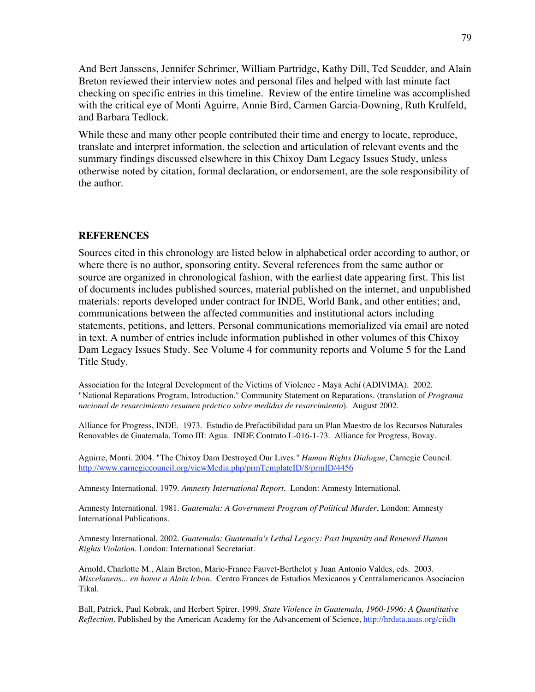And Bert Janssens, Jennifer Schrimer, William Partridge, Kathy Dill, Ted Scudder, and Alain Breton reviewed their interview notes and personal files and helped with last minute fact checking on specific entries in this timeline. Review of the entire timeline was accomplished with the critical eye of Monti Aguirre, Annie Bird, Carmen Garcia-Downing, Ruth Krulfeld, and Barbara Tedlock.

While these and many other people contributed their time and energy to locate, reproduce, translate and interpret information, the selection and articulation of relevant events and the summary findings discussed elsewhere in this Chixoy Dam Legacy Issues Study, unless otherwise noted by citation, formal declaration, or endorsement, are the sole responsibility of the author.

## **REFERENCES**

Sources cited in this chronology are listed below in alphabetical order according to author, or where there is no author, sponsoring entity. Several references from the same author or source are organized in chronological fashion, with the earliest date appearing first. This list of documents includes published sources, material published on the internet, and unpublished materials: reports developed under contract for INDE, World Bank, and other entities; and, communications between the affected communities and institutional actors including statements, petitions, and letters. Personal communications memorialized via email are noted in text. A number of entries include information published in other volumes of this Chixoy Dam Legacy Issues Study. See Volume 4 for community reports and Volume 5 for the Land Title Study.

Association for the Integral Development of the Victims of Violence - Maya Achí (ADIVIMA). 2002. "National Reparations Program, Introduction." Community Statement on Reparations. (translation of *Programa nacional de resarcimiento resumen práctico sobre medidas de resarcimiento*). August 2002.

Alliance for Progress, INDE. 1973. Estudio de Prefactibilidad para un Plan Maestro de los Recursos Naturales Renovables de Guatemala, Tomo III: Agua. INDE Contrato L-016-1-73. Alliance for Progress, Bovay.

Aguirre, Monti. 2004. "The Chixoy Dam Destroyed Our Lives." *Human Rights Dialogue*, Carnegie Council. http://www.carnegiecouncil.org/viewMedia.php/prmTemplateID/8/prmID/4456

Amnesty International. 1979. *Amnesty International Report.* London: Amnesty International.

Amnesty International. 1981. *Guatemala: A Government Program of Political Murder*, London: Amnesty International Publications.

Amnesty International. 2002. *Guatemala: Guatemala's Lethal Legacy: Past Impunity and Renewed Human Rights Violation*. London: International Secretariat.

Arnold, Charlotte M., Alain Breton, Marie-France Fauvet-Berthelot y Juan Antonio Valdes, eds. 2003. *Miscelaneas... en honor a Alain Ichon*. Centro Frances de Estudios Mexicanos y Centralamericanos Asociacion Tikal.

Ball, Patrick, Paul Kobrak, and Herbert Spirer. 1999. *State Violence in Guatemala, 1960-1996: A Quantitative Reflection*. Published by the American Academy for the Advancement of Science, http://hrdata.aaas.org/ciidh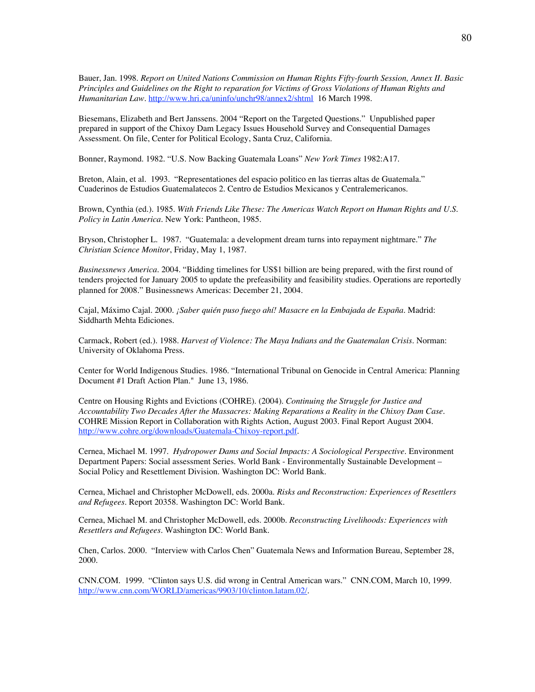Bauer, Jan. 1998. *Report on United Nations Commission on Human Rights Fifty-fourth Session, Annex II. Basic Principles and Guidelines on the Right to reparation for Victims of Gross Violations of Human Rights and Humanitarian Law*. http://www.hri.ca/uninfo/unchr98/annex2/shtml 16 March 1998.

Biesemans, Elizabeth and Bert Janssens. 2004 "Report on the Targeted Questions." Unpublished paper prepared in support of the Chixoy Dam Legacy Issues Household Survey and Consequential Damages Assessment. On file, Center for Political Ecology, Santa Cruz, California.

Bonner, Raymond. 1982. "U.S. Now Backing Guatemala Loans" *New York Times* 1982:A17.

Breton, Alain, et al. 1993. "Representationes del espacio politico en las tierras altas de Guatemala." Cuaderinos de Estudios Guatemalatecos 2. Centro de Estudios Mexicanos y Centralemericanos.

Brown, Cynthia (ed.). 1985. *With Friends Like These: The Americas Watch Report on Human Rights and U.S. Policy in Latin America.* New York: Pantheon, 1985.

Bryson, Christopher L. 1987. "Guatemala: a development dream turns into repayment nightmare." *The Christian Science Monitor*, Friday, May 1, 1987.

*Businessnews America*. 2004. "Bidding timelines for US\$1 billion are being prepared, with the first round of tenders projected for January 2005 to update the prefeasibility and feasibility studies. Operations are reportedly planned for 2008." Businessnews Americas: December 21, 2004.

Cajal, Máximo Cajal. 2000. *¡Saber quién puso fuego ahí! Masacre en la Embajada de España*. Madrid: Siddharth Mehta Ediciones.

Carmack, Robert (ed.). 1988. *Harvest of Violence: The Maya Indians and the Guatemalan Crisis*. Norman: University of Oklahoma Press.

Center for World Indigenous Studies. 1986. "International Tribunal on Genocide in Central America: Planning Document #1 Draft Action Plan." June 13, 1986.

Centre on Housing Rights and Evictions (COHRE). (2004). *Continuing the Struggle for Justice and Accountability Two Decades After the Massacres: Making Reparations a Reality in the Chixoy Dam Case*. COHRE Mission Report in Collaboration with Rights Action, August 2003. Final Report August 2004. http://www.cohre.org/downloads/Guatemala-Chixoy-report.pdf.

Cernea, Michael M. 1997. *Hydropower Dams and Social Impacts: A Sociological Perspective.* Environment Department Papers: Social assessment Series. World Bank - Environmentally Sustainable Development – Social Policy and Resettlement Division. Washington DC: World Bank.

Cernea, Michael and Christopher McDowell, eds. 2000a. *Risks and Reconstruction: Experiences of Resettlers and Refugees.* Report 20358. Washington DC: World Bank.

Cernea, Michael M. and Christopher McDowell, eds. 2000b. *Reconstructing Livelihoods: Experiences with Resettlers and Refugees.* Washington DC: World Bank.

Chen, Carlos. 2000. "Interview with Carlos Chen" Guatemala News and Information Bureau, September 28, 2000.

CNN.COM. 1999. "Clinton says U.S. did wrong in Central American wars." CNN.COM, March 10, 1999. http://www.cnn.com/WORLD/americas/9903/10/clinton.latam.02/.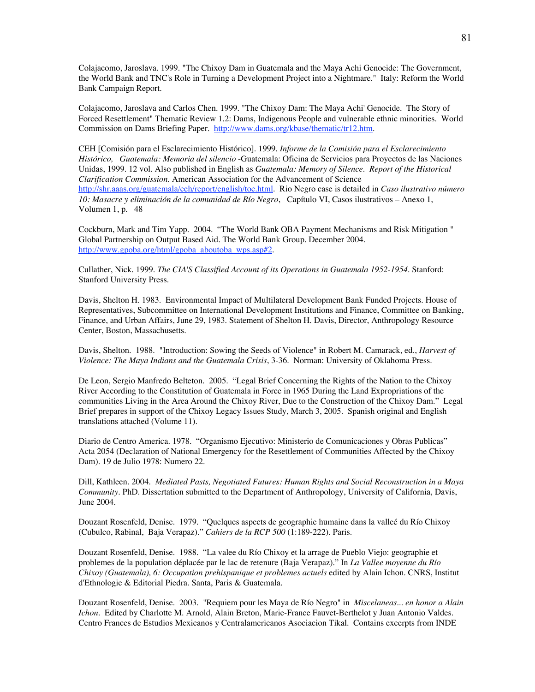Colajacomo, Jaroslava. 1999. "The Chixoy Dam in Guatemala and the Maya Achi Genocide: The Government, the World Bank and TNC's Role in Turning a Development Project into a Nightmare." Italy: Reform the World Bank Campaign Report.

Colajacomo, Jaroslava and Carlos Chen. 1999. "The Chixoy Dam: The Maya Achi' Genocide. The Story of Forced Resettlement" Thematic Review 1.2: Dams, Indigenous People and vulnerable ethnic minorities. World Commission on Dams Briefing Paper. http://www.dams.org/kbase/thematic/tr12.htm.

CEH [Comisión para el Esclarecimiento Histórico]. 1999. *Informe de la Comisión para el Esclarecimiento Histórico, Guatemala: Memoria del silencio* -Guatemala: Oficina de Servicios para Proyectos de las Naciones Unidas, 1999. 12 vol. Also published in English as *Guatemala: Memory of Silence. Report of the Historical Clarification Commission*. American Association for the Advancement of Science http://shr.aaas.org/guatemala/ceh/report/english/toc.html. Rio Negro case is detailed in *Caso ilustrativo número 10: Masacre y eliminación de la comunidad de Río Negro*, Capítulo VI, Casos ilustrativos – Anexo 1, Volumen 1, p. 48

Cockburn, Mark and Tim Yapp. 2004. "The World Bank OBA Payment Mechanisms and Risk Mitigation " Global Partnership on Output Based Aid. The World Bank Group. December 2004. http://www.gpoba.org/html/gpoba\_aboutoba\_wps.asp#2.

Cullather, Nick. 1999. *The CIA'S Classified Account of its Operations in Guatemala 1952-1954*. Stanford: Stanford University Press.

Davis, Shelton H. 1983. Environmental Impact of Multilateral Development Bank Funded Projects. House of Representatives, Subcommittee on International Development Institutions and Finance, Committee on Banking, Finance, and Urban Affairs, June 29, 1983. Statement of Shelton H. Davis, Director, Anthropology Resource Center, Boston, Massachusetts.

Davis, Shelton. 1988. "Introduction: Sowing the Seeds of Violence" in Robert M. Camarack, ed., *Harvest of Violence: The Maya Indians and the Guatemala Crisis*, 3-36. Norman: University of Oklahoma Press.

De Leon, Sergio Manfredo Belteton. 2005. "Legal Brief Concerning the Rights of the Nation to the Chixoy River According to the Constitution of Guatemala in Force in 1965 During the Land Expropriations of the communities Living in the Area Around the Chixoy River, Due to the Construction of the Chixoy Dam." Legal Brief prepares in support of the Chixoy Legacy Issues Study, March 3, 2005. Spanish original and English translations attached (Volume 11).

Diario de Centro America. 1978. "Organismo Ejecutivo: Ministerio de Comunicaciones y Obras Publicas" Acta 2054 (Declaration of National Emergency for the Resettlement of Communities Affected by the Chixoy Dam). 19 de Julio 1978: Numero 22.

Dill, Kathleen. 2004. *Mediated Pasts, Negotiated Futures: Human Rights and Social Reconstruction in a Maya Community*. PhD. Dissertation submitted to the Department of Anthropology, University of California, Davis, June 2004.

Douzant Rosenfeld, Denise. 1979. "Quelques aspects de geographie humaine dans la valleé du Río Chixoy (Cubulco, Rabinal, Baja Verapaz)." *Cahiers de la RCP 500* (1:189-222). Paris.

Douzant Rosenfeld, Denise. 1988. "La valee du Río Chixoy et la arrage de Pueblo Viejo: geographie et problemes de la population déplacée par le lac de retenure (Baja Verapaz)." In *La Vallee moyenne du Río Chixoy (Guatemala), 6: Occupation prehispanique et problemes actuels* edited by Alain Ichon. CNRS, Institut d'Ethnologie & Editorial Piedra. Santa, Paris & Guatemala.

Douzant Rosenfeld, Denise. 2003. "Requiem pour les Maya de Río Negro" in *Miscelaneas... en honor a Alain Ichon*. Edited by Charlotte M. Arnold, Alain Breton, Marie-France Fauvet-Berthelot y Juan Antonio Valdes. Centro Frances de Estudios Mexicanos y Centralamericanos Asociacion Tikal. Contains excerpts from INDE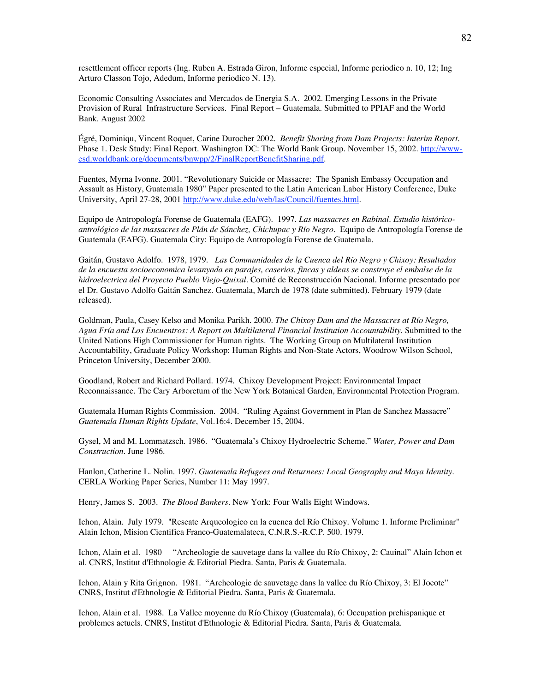resettlement officer reports (Ing. Ruben A. Estrada Giron, Informe especial, Informe periodico n. 10, 12; Ing Arturo Classon Tojo, Adedum, Informe periodico N. 13).

Economic Consulting Associates and Mercados de Energia S.A. 2002. Emerging Lessons in the Private Provision of Rural Infrastructure Services. Final Report – Guatemala. Submitted to PPIAF and the World Bank. August 2002

Égré, Dominiqu, Vincent Roquet, Carine Durocher 2002. *Benefit Sharing from Dam Projects: Interim Report.* Phase 1. Desk Study: Final Report. Washington DC: The World Bank Group. November 15, 2002. http://wwwesd.worldbank.org/documents/bnwpp/2/FinalReportBenefitSharing.pdf.

Fuentes, Myrna Ivonne. 2001. "Revolutionary Suicide or Massacre: The Spanish Embassy Occupation and Assault as History, Guatemala 1980" Paper presented to the Latin American Labor History Conference, Duke University, April 27-28, 2001 http://www.duke.edu/web/las/Council/fuentes.html.

Equipo de Antropología Forense de Guatemala (EAFG). 1997. *Las massacres en Rabinal. Estudio históricoantrológico de las massacres de Plán de Sánchez, Chichupac y Río Negro.* Equipo de Antropología Forense de Guatemala (EAFG). Guatemala City: Equipo de Antropología Forense de Guatemala.

Gaitán, Gustavo Adolfo. 1978, 1979. *Las Communidades de la Cuenca del Río Negro y Chixoy: Resultados de la encuesta socioeconomica levanyada en parajes, caserios, fincas y aldeas se construye el embalse de la hidroelectrica del Proyecto Pueblo Viejo-Quixal.* Comité de Reconstrucción Nacional. Informe presentado por el Dr. Gustavo Adolfo Gaitán Sanchez. Guatemala, March de 1978 (date submitted). February 1979 (date released).

Goldman, Paula, Casey Kelso and Monika Parikh. 2000. *The Chixoy Dam and the Massacres at Río Negro, Agua Fría and Los Encuentros: A Report on Multilateral Financial Institution Accountability*. Submitted to the United Nations High Commissioner for Human rights. The Working Group on Multilateral Institution Accountability, Graduate Policy Workshop: Human Rights and Non-State Actors, Woodrow Wilson School, Princeton University, December 2000.

Goodland, Robert and Richard Pollard. 1974. Chixoy Development Project: Environmental Impact Reconnaissance. The Cary Arboretum of the New York Botanical Garden, Environmental Protection Program.

Guatemala Human Rights Commission. 2004. "Ruling Against Government in Plan de Sanchez Massacre" *Guatemala Human Rights Update*, Vol.16:4. December 15, 2004.

Gysel, M and M. Lommatzsch. 1986. "Guatemala's Chixoy Hydroelectric Scheme." *Water, Power and Dam Construction.* June 1986.

Hanlon, Catherine L. Nolin. 1997. *Guatemala Refugees and Returnees: Local Geography and Maya Identity*. CERLA Working Paper Series, Number 11: May 1997.

Henry, James S. 2003. *The Blood Bankers*. New York: Four Walls Eight Windows.

Ichon, Alain. July 1979. "Rescate Arqueologico en la cuenca del Río Chixoy. Volume 1. Informe Preliminar" Alain Ichon, Mision Cientifica Franco-Guatemalateca, C.N.R.S.-R.C.P. 500. 1979.

Ichon, Alain et al. 1980 "Archeologie de sauvetage dans la vallee du Río Chixoy, 2: Cauinal" Alain Ichon et al. CNRS, Institut d'Ethnologie & Editorial Piedra. Santa, Paris & Guatemala.

Ichon, Alain y Rita Grignon. 1981. "Archeologie de sauvetage dans la vallee du Río Chixoy, 3: El Jocote" CNRS, Institut d'Ethnologie & Editorial Piedra. Santa, Paris & Guatemala.

Ichon, Alain et al. 1988. La Vallee moyenne du Río Chixoy (Guatemala), 6: Occupation prehispanique et problemes actuels. CNRS, Institut d'Ethnologie & Editorial Piedra. Santa, Paris & Guatemala.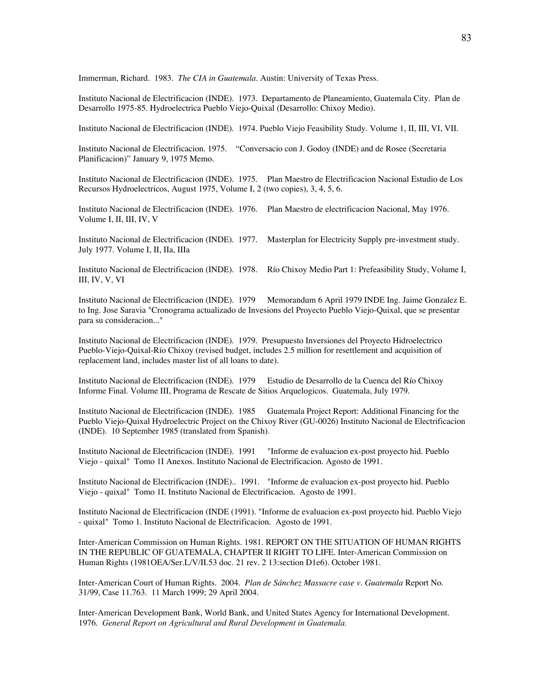Immerman, Richard. 1983. *The CIA in Guatemala*. Austin: University of Texas Press.

Instituto Nacional de Electrificacion (INDE). 1973. Departamento de Planeamiento, Guatemala City. Plan de Desarrollo 1975-85. Hydroelectrica Pueblo Viejo-Quixal (Desarrollo: Chixoy Medio).

Instituto Nacional de Electrificacion (INDE). 1974. Pueblo Viejo Feasibility Study. Volume 1, II, III, VI, VII.

Instituto Nacional de Electrificacion. 1975. "Conversacio con J. Godoy (INDE) and de Rosee (Secretaria Planificacion)" January 9, 1975 Memo.

Instituto Nacional de Electrificacion (INDE). 1975. Plan Maestro de Electrificacion Nacional Estudio de Los Recursos Hydroelectricos, August 1975, Volume I, 2 (two copies), 3, 4, 5, 6.

Instituto Nacional de Electrificacion (INDE). 1976. Plan Maestro de electrificacion Nacional, May 1976. Volume I, II, III, IV, V

Instituto Nacional de Electrificacion (INDE). 1977. Masterplan for Electricity Supply pre-investment study. July 1977. Volume I, II, IIa, IIIa

Instituto Nacional de Electrificacion (INDE). 1978. Río Chixoy Medio Part 1: Prefeasibility Study, Volume I, III, IV, V, VI

Instituto Nacional de Electrificacion (INDE). 1979 Memorandum 6 April 1979 INDE Ing. Jaime Gonzalez E. to Ing. Jose Saravia "Cronograma actualizado de Invesions del Proyecto Pueblo Viejo-Quixal, que se presentar para su consideracion..."

Instituto Nacional de Electrificacion (INDE). 1979. Presupuesto Inversiones del Proyecto Hidroelectrico Pueblo-Viejo-Quixal-Río Chixoy (revised budget, includes 2.5 million for resettlement and acquisition of replacement land, includes master list of all loans to date).

Instituto Nacional de Electrificacion (INDE). 1979 Estudio de Desarrollo de la Cuenca del Río Chixoy Informe Final. Volume III, Programa de Rescate de Sitios Arquelogicos. Guatemala, July 1979.

Instituto Nacional de Electrificacion (INDE). 1985 Guatemala Project Report: Additional Financing for the Pueblo Viejo-Quixal Hydroelectric Project on the Chixoy River (GU-0026) Instituto Nacional de Electrificacion (INDE). 10 September 1985 (translated from Spanish).

Instituto Nacional de Electrificacion (INDE). 1991 "Informe de evaluacion ex-post proyecto hid. Pueblo Viejo - quixal" Tomo 1I Anexos. Instituto Nacional de Electrificacion. Agosto de 1991.

Instituto Nacional de Electrificacion (INDE).. 1991. "Informe de evaluacion ex-post proyecto hid. Pueblo Viejo - quixal" Tomo 1I. Instituto Nacional de Electrificacion. Agosto de 1991.

Instituto Nacional de Electrificacion (INDE (1991). "Informe de evaluacion ex-post proyecto hid. Pueblo Viejo - quixal" Tomo 1. Instituto Nacional de Electrificacion. Agosto de 1991.

Inter-American Commission on Human Rights. 1981. REPORT ON THE SITUATION OF HUMAN RIGHTS IN THE REPUBLIC OF GUATEMALA, CHAPTER II RIGHT TO LIFE. Inter-American Commission on Human Rights (1981OEA/Ser.L/V/II.53 doc. 21 rev. 2 13:section D1e6). October 1981.

Inter-American Court of Human Rights. 2004. *Plan de Sánchez Massacre case v. Guatemala* Report No. 31/99, Case 11.763. 11 March 1999; 29 April 2004.

Inter-American Development Bank, World Bank, and United States Agency for International Development. 1976. *General Report on Agricultural and Rural Development in Guatemala.*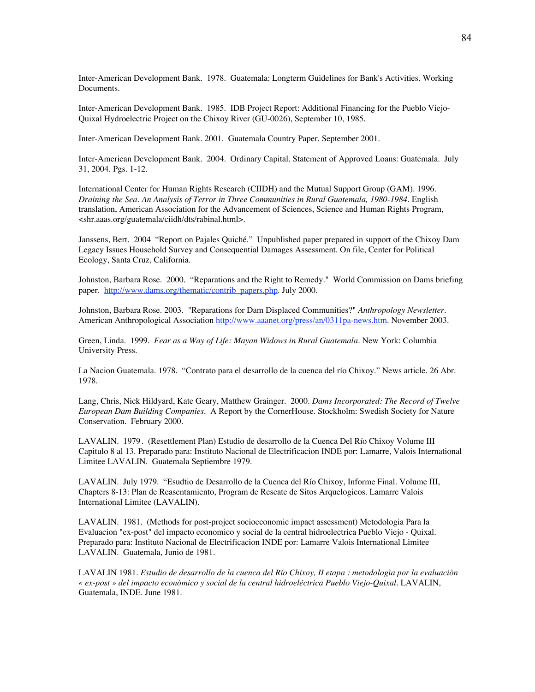Inter-American Development Bank. 1978. Guatemala: Longterm Guidelines for Bank's Activities. Working Documents.

Inter-American Development Bank. 1985. IDB Project Report: Additional Financing for the Pueblo Viejo-Quixal Hydroelectric Project on the Chixoy River (GU-0026), September 10, 1985.

Inter-American Development Bank. 2001. Guatemala Country Paper. September 2001.

Inter-American Development Bank. 2004. Ordinary Capital. Statement of Approved Loans: Guatemala. July 31, 2004. Pgs. 1-12.

International Center for Human Rights Research (CIIDH) and the Mutual Support Group (GAM). 1996. *Draining the Sea. An Analysis of Terror in Three Communities in Rural Guatemala, 1980-1984*. English translation, American Association for the Advancement of Sciences, Science and Human Rights Program, <shr.aaas.org/guatemala/ciidh/dts/rabinal.html>.

Janssens, Bert. 2004 "Report on Pajales Quiché." Unpublished paper prepared in support of the Chixoy Dam Legacy Issues Household Survey and Consequential Damages Assessment. On file, Center for Political Ecology, Santa Cruz, California.

Johnston, Barbara Rose. 2000. "Reparations and the Right to Remedy." World Commission on Dams briefing paper. http://www.dams.org/thematic/contrib\_papers.php. July 2000.

Johnston, Barbara Rose. 2003. "Reparations for Dam Displaced Communities?" *Anthropology Newsletter.* American Anthropological Association http://www.aaanet.org/press/an/0311pa-news.htm. November 2003.

Green, Linda. 1999. *Fear as a Way of Life: Mayan Widows in Rural Guatemala*. New York: Columbia University Press.

La Nacion Guatemala. 1978. "Contrato para el desarrollo de la cuenca del río Chixoy." News article. 26 Abr. 1978.

Lang, Chris, Nick Hildyard, Kate Geary, Matthew Grainger. 2000. *Dams Incorporated: The Record of Twelve European Dam Building Companies*. A Report by the CornerHouse. Stockholm: Swedish Society for Nature Conservation. February 2000.

LAVALIN. 1979. (Resettlement Plan) Estudio de desarrollo de la Cuenca Del Río Chixoy Volume III Capitulo 8 al 13. Preparado para: Instituto Nacional de Electrificacion INDE por: Lamarre, Valois International Limitee LAVALIN. Guatemala Septiembre 1979.

LAVALIN. July 1979. "Esudtio de Desarrollo de la Cuenca del Río Chixoy, Informe Final. Volume III, Chapters 8-13: Plan de Reasentamiento, Program de Rescate de Sitos Arquelogicos. Lamarre Valois International Limitee (LAVALIN).

LAVALIN. 1981. (Methods for post-project socioeconomic impact assessment) Metodologia Para la Evaluacion "ex-post" del impacto economico y social de la central hidroelectrica Pueblo Viejo - Quixal. Preparado para: Instituto Nacional de Electrificacion INDE por: Lamarre Valois International Limitee LAVALIN. Guatemala, Junio de 1981.

LAVALIN 1981. *Estudio de desarrollo de la cuenca del Río Chixoy, II etapa : metodologìa por la evaluaciòn « ex-post » del impacto econòmico y social de la central hidroeléctrica Pueblo Viejo-Quixal*. LAVALIN, Guatemala, INDE. June 1981.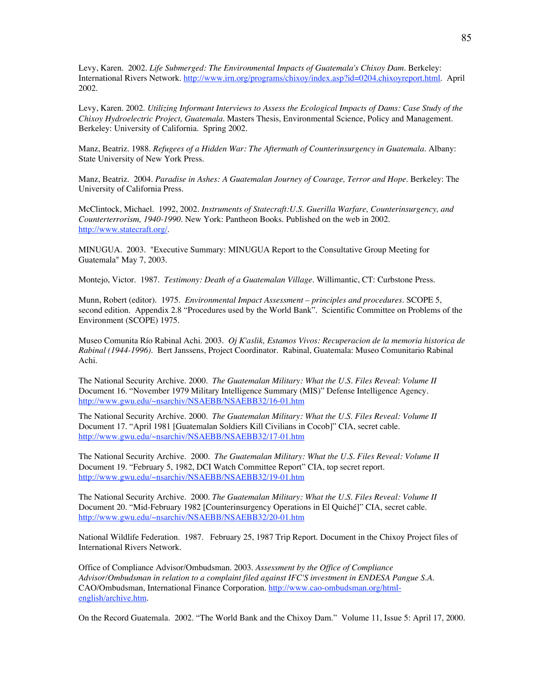Levy, Karen. 2002. *Life Submerged: The Environmental Impacts of Guatemala's Chixoy Dam*. Berkeley: International Rivers Network. http://www.irn.org/programs/chixoy/index.asp?id=0204.chixoyreport.html. April 2002.

Levy, Karen. 2002. *Utilizing Informant Interviews to Assess the Ecological Impacts of Dams: Case Study of the Chixoy Hydroelectric Project, Guatemala*. Masters Thesis, Environmental Science, Policy and Management. Berkeley: University of California. Spring 2002.

Manz, Beatriz. 1988. *Refugees of a Hidden War: The Aftermath of Counterinsurgency in Guatemala*. Albany: State University of New York Press.

Manz, Beatriz. 2004. *Paradise in Ashes: A Guatemalan Journey of Courage, Terror and Hope*. Berkeley: The University of California Press.

McClintock, Michael. 1992, 2002. *Instruments of Statecraft:U.S. Guerilla Warfare, Counterinsurgency, and Counterterrorism, 1940-1990*. New York: Pantheon Books. Published on the web in 2002. http://www.statecraft.org/.

MINUGUA. 2003. "Executive Summary: MINUGUA Report to the Consultative Group Meeting for Guatemala" May 7, 2003.

Montejo, Victor. 1987. *Testimony: Death of a Guatemalan Village*. Willimantic, CT: Curbstone Press.

Munn, Robert (editor). 1975. *Environmental Impact Assessment – principles and procedures.* SCOPE 5, second edition. Appendix 2.8 "Procedures used by the World Bank". Scientific Committee on Problems of the Environment (SCOPE) 1975.

Museo Comunita Río Rabinal Achi. 2003. *Oj K'aslik, Estamos Vivos: Recuperacion de la memoria historica de Rabinal (1944-1996)*. Bert Janssens, Project Coordinator. Rabinal, Guatemala: Museo Comunitario Rabinal Achi.

The National Security Archive. 2000. *The Guatemalan Military: What the U.S. Files Reveal*: *Volume II* Document 16. "November 1979 Military Intelligence Summary (MIS)" Defense Intelligence Agency. http://www.gwu.edu/~nsarchiv/NSAEBB/NSAEBB32/16-01.htm

The National Security Archive. 2000. *The Guatemalan Military: What the U.S. Files Reveal: Volume II* Document 17. "April 1981 [Guatemalan Soldiers Kill Civilians in Cocob]" CIA, secret cable. http://www.gwu.edu/~nsarchiv/NSAEBB/NSAEBB32/17-01.htm

The National Security Archive. 2000. *The Guatemalan Military: What the U.S. Files Reveal: Volume II* Document 19. "February 5, 1982, DCI Watch Committee Report" CIA, top secret report. http://www.gwu.edu/~nsarchiv/NSAEBB/NSAEBB32/19-01.htm

The National Security Archive. 2000. *The Guatemalan Military: What the U.S. Files Reveal: Volume II* Document 20. "Mid-February 1982 [Counterinsurgency Operations in El Quiché]" CIA, secret cable. http://www.gwu.edu/~nsarchiv/NSAEBB/NSAEBB32/20-01.htm

National Wildlife Federation. 1987. February 25, 1987 Trip Report. Document in the Chixoy Project files of International Rivers Network.

Office of Compliance Advisor/Ombudsman. 2003. *Assessment by the Office of Compliance Advisor/Ombudsman in relation to a complaint filed against IFC'S investment in ENDESA Pangue S.A.* CAO/Ombudsman, International Finance Corporation. http://www.cao-ombudsman.org/htmlenglish/archive.htm.

On the Record Guatemala. 2002. "The World Bank and the Chixoy Dam." Volume 11, Issue 5: April 17, 2000.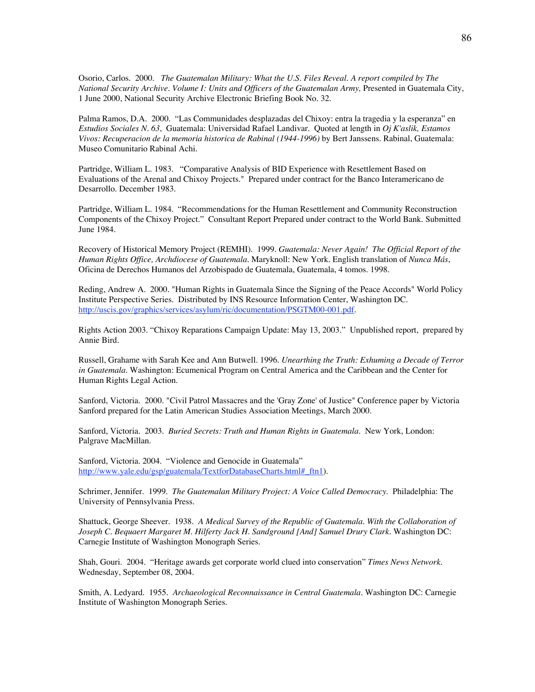Osorio, Carlos. 2000. *The Guatemalan Military: What the U.S. Files Reveal. A report compiled by The National Security Archive. Volume I: Units and Officers of the Guatemalan Army,* Presented in Guatemala City, 1 June 2000, National Security Archive Electronic Briefing Book No. 32.

Palma Ramos, D.A. 2000. "Las Communidades desplazadas del Chixoy: entra la tragedia y la esperanza" en *Estudios Sociales N. 63*, Guatemala: Universidad Rafael Landivar. Quoted at length in *Oj K'aslik, Estamos Vivos: Recuperacion de la memoria historica de Rabinal (1944-1996)* by Bert Janssens. Rabinal, Guatemala: Museo Comunitario Rabinal Achi.

Partridge, William L. 1983. "Comparative Analysis of BID Experience with Resettlement Based on Evaluations of the Arenal and Chixoy Projects." Prepared under contract for the Banco Interamericano de Desarrollo. December 1983.

Partridge, William L. 1984. "Recommendations for the Human Resettlement and Community Reconstruction Components of the Chixoy Project." Consultant Report Prepared under contract to the World Bank. Submitted June 1984.

Recovery of Historical Memory Project (REMHI). 1999. *Guatemala: Never Again! The Official Report of the Human Rights Office, Archdiocese of Guatemala.* Maryknoll: New York. English translation of *Nunca Más*, Oficina de Derechos Humanos del Arzobispado de Guatemala, Guatemala, 4 tomos. 1998.

Reding, Andrew A. 2000. "Human Rights in Guatemala Since the Signing of the Peace Accords" World Policy Institute Perspective Series. Distributed by INS Resource Information Center, Washington DC. http://uscis.gov/graphics/services/asylum/ric/documentation/PSGTM00-001.pdf.

Rights Action 2003. "Chixoy Reparations Campaign Update: May 13, 2003." Unpublished report, prepared by Annie Bird.

Russell, Grahame with Sarah Kee and Ann Butwell. 1996. *Unearthing the Truth: Exhuming a Decade of Terror in Guatemala.* Washington: Ecumenical Program on Central America and the Caribbean and the Center for Human Rights Legal Action.

Sanford, Victoria. 2000. "Civil Patrol Massacres and the 'Gray Zone' of Justice" Conference paper by Victoria Sanford prepared for the Latin American Studies Association Meetings, March 2000.

Sanford, Victoria. 2003. *Buried Secrets: Truth and Human Rights in Guatemala.* New York, London: Palgrave MacMillan.

Sanford, Victoria. 2004. "Violence and Genocide in Guatemala" http://www.yale.edu/gsp/guatemala/TextforDatabaseCharts.html# ftn1).

Schrimer, Jennifer. 1999. *The Guatemalan Military Project: A Voice Called Democracy*. Philadelphia: The University of Pennsylvania Press.

Shattuck, George Sheever. 1938. *A Medical Survey of the Republic of Guatemala. With the Collaboration of Joseph C. Bequaert Margaret M. Hilferty Jack H. Sandground [And] Samuel Drury Clark.* Washington DC: Carnegie Institute of Washington Monograph Series.

Shah, Gouri. 2004. "Heritage awards get corporate world clued into conservation" *Times News Network*. Wednesday, September 08, 2004.

Smith, A. Ledyard. 1955. *Archaeological Reconnaissance in Central Guatemala.* Washington DC: Carnegie Institute of Washington Monograph Series.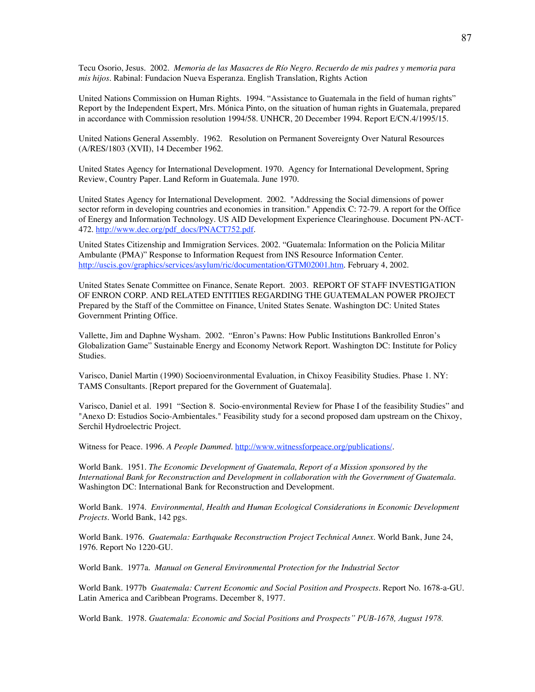Tecu Osorio, Jesus. 2002. *Memoria de las Masacres de Río Negro. Recuerdo de mis padres y memoria para mis hijos.* Rabinal: Fundacion Nueva Esperanza. English Translation, Rights Action

United Nations Commission on Human Rights. 1994. "Assistance to Guatemala in the field of human rights" Report by the Independent Expert, Mrs. Mónica Pinto, on the situation of human rights in Guatemala, prepared in accordance with Commission resolution 1994/58. UNHCR, 20 December 1994. Report E/CN.4/1995/15.

United Nations General Assembly. 1962. Resolution on Permanent Sovereignty Over Natural Resources (A/RES/1803 (XVII), 14 December 1962.

United States Agency for International Development. 1970. Agency for International Development, Spring Review, Country Paper. Land Reform in Guatemala. June 1970.

United States Agency for International Development. 2002. "Addressing the Social dimensions of power sector reform in developing countries and economies in transition." Appendix C: 72-79. A report for the Office of Energy and Information Technology. US AID Development Experience Clearinghouse. Document PN-ACT-472. http://www.dec.org/pdf\_docs/PNACT752.pdf.

United States Citizenship and Immigration Services. 2002. "Guatemala: Information on the Policia Militar Ambulante (PMA)" Response to Information Request from INS Resource Information Center. http://uscis.gov/graphics/services/asylum/ric/documentation/GTM02001.htm. February 4, 2002.

United States Senate Committee on Finance, Senate Report. 2003. REPORT OF STAFF INVESTIGATION OF ENRON CORP. AND RELATED ENTITIES REGARDING THE GUATEMALAN POWER PROJECT Prepared by the Staff of the Committee on Finance, United States Senate. Washington DC: United States Government Printing Office.

Vallette, Jim and Daphne Wysham. 2002. "Enron's Pawns: How Public Institutions Bankrolled Enron's Globalization Game" Sustainable Energy and Economy Network Report. Washington DC: Institute for Policy Studies.

Varisco, Daniel Martin (1990) Socioenvironmental Evaluation, in Chixoy Feasibility Studies. Phase 1. NY: TAMS Consultants. [Report prepared for the Government of Guatemala].

Varisco, Daniel et al. 1991 "Section 8. Socio-environmental Review for Phase I of the feasibility Studies" and "Anexo D: Estudios Socio-Ambientales." Feasibility study for a second proposed dam upstream on the Chixoy, Serchil Hydroelectric Project.

Witness for Peace. 1996. *A People Dammed*. http://www.witnessforpeace.org/publications/.

World Bank. 1951. *The Economic Development of Guatemala, Report of a Mission sponsored by the International Bank for Reconstruction and Development in collaboration with the Government of Guatemala.* Washington DC: International Bank for Reconstruction and Development.

World Bank. 1974. *Environmental, Health and Human Ecological Considerations in Economic Development Projects.* World Bank, 142 pgs.

World Bank. 1976. *Guatemala: Earthquake Reconstruction Project Technical Annex*. World Bank, June 24, 1976. Report No 1220-GU.

World Bank. 1977a. *Manual on General Environmental Protection for the Industrial Sector*

World Bank. 1977b *Guatemala: Current Economic and Social Position and Prospects.* Report No. 1678-a-GU. Latin America and Caribbean Programs. December 8, 1977.

World Bank. 1978. *Guatemala: Economic and Social Positions and Prospects" PUB-1678, August 1978.*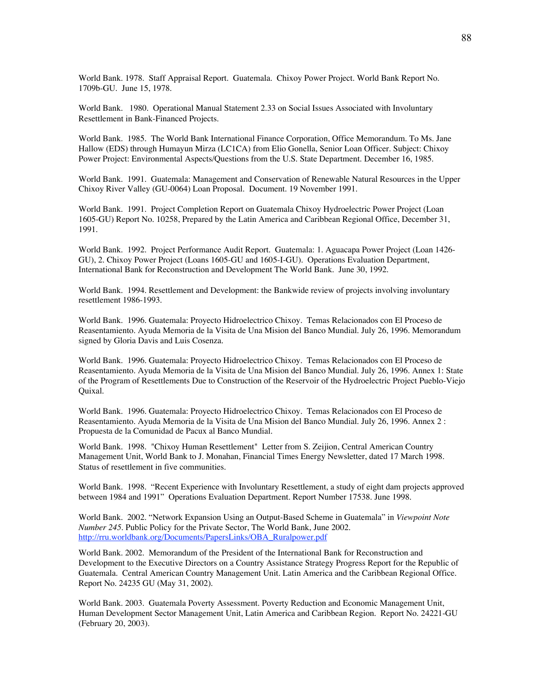World Bank. 1978. Staff Appraisal Report. Guatemala. Chixoy Power Project. World Bank Report No. 1709b-GU. June 15, 1978.

World Bank. 1980. Operational Manual Statement 2.33 on Social Issues Associated with Involuntary Resettlement in Bank-Financed Projects.

World Bank. 1985. The World Bank International Finance Corporation, Office Memorandum. To Ms. Jane Hallow (EDS) through Humayun Mirza (LC1CA) from Elio Gonella, Senior Loan Officer. Subject: Chixoy Power Project: Environmental Aspects/Questions from the U.S. State Department. December 16, 1985.

World Bank. 1991. Guatemala: Management and Conservation of Renewable Natural Resources in the Upper Chixoy River Valley (GU-0064) Loan Proposal. Document. 19 November 1991.

World Bank. 1991. Project Completion Report on Guatemala Chixoy Hydroelectric Power Project (Loan 1605-GU) Report No. 10258, Prepared by the Latin America and Caribbean Regional Office, December 31, 1991.

World Bank. 1992. Project Performance Audit Report. Guatemala: 1. Aguacapa Power Project (Loan 1426- GU), 2. Chixoy Power Project (Loans 1605-GU and 1605-I-GU). Operations Evaluation Department, International Bank for Reconstruction and Development The World Bank. June 30, 1992.

World Bank. 1994. Resettlement and Development: the Bankwide review of projects involving involuntary resettlement 1986-1993.

World Bank. 1996. Guatemala: Proyecto Hidroelectrico Chixoy. Temas Relacionados con El Proceso de Reasentamiento. Ayuda Memoria de la Visita de Una Mision del Banco Mundial. July 26, 1996. Memorandum signed by Gloria Davis and Luis Cosenza.

World Bank. 1996. Guatemala: Proyecto Hidroelectrico Chixoy. Temas Relacionados con El Proceso de Reasentamiento. Ayuda Memoria de la Visita de Una Mision del Banco Mundial. July 26, 1996. Annex 1: State of the Program of Resettlements Due to Construction of the Reservoir of the Hydroelectric Project Pueblo-Viejo Quixal.

World Bank. 1996. Guatemala: Proyecto Hidroelectrico Chixoy. Temas Relacionados con El Proceso de Reasentamiento. Ayuda Memoria de la Visita de Una Mision del Banco Mundial. July 26, 1996. Annex 2 : Propuesta de la Comunidad de Pacux al Banco Mundial.

World Bank. 1998. "Chixoy Human Resettlement" Letter from S. Zeijion, Central American Country Management Unit, World Bank to J. Monahan, Financial Times Energy Newsletter, dated 17 March 1998. Status of resettlement in five communities.

World Bank. 1998. "Recent Experience with Involuntary Resettlement, a study of eight dam projects approved between 1984 and 1991" Operations Evaluation Department. Report Number 17538. June 1998.

World Bank. 2002. "Network Expansion Using an Output-Based Scheme in Guatemala" in *Viewpoint Note Number 245*. Public Policy for the Private Sector, The World Bank, June 2002. http://rru.worldbank.org/Documents/PapersLinks/OBA\_Ruralpower.pdf

World Bank. 2002. Memorandum of the President of the International Bank for Reconstruction and Development to the Executive Directors on a Country Assistance Strategy Progress Report for the Republic of Guatemala. Central American Country Management Unit. Latin America and the Caribbean Regional Office. Report No. 24235 GU (May 31, 2002).

World Bank. 2003. Guatemala Poverty Assessment. Poverty Reduction and Economic Management Unit, Human Development Sector Management Unit, Latin America and Caribbean Region. Report No. 24221-GU (February 20, 2003).